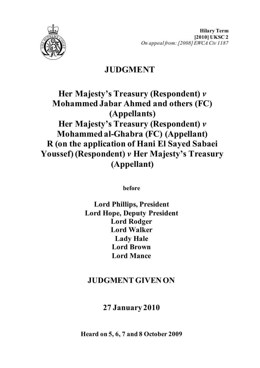

**Hilary Term [2010] UKSC 2** *On appeal from: [2008] EWCA Civ 1187*

# **JUDGMENT**

# **Her Majesty's Treasury (Respondent)** *v* **Mohammed Jabar Ahmed and others (FC) (Appellants) Her Majesty's Treasury (Respondent)** *v* **Mohammed al-Ghabra (FC) (Appellant) R (on the application of Hani El Sayed Sabaei Youssef) (Respondent)** *v* **Her Majesty's Treasury (Appellant)**

**before** 

**Lord Phillips, President Lord Hope, Deputy President Lord Rodger Lord Walker Lady Hale Lord Brown Lord Mance**

# **JUDGMENT GIVEN ON**

# **27 January 2010**

**Heard on 5, 6, 7 and 8 October 2009**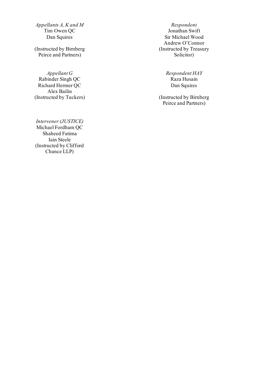*Appellants A, K and M Respondent*<br>
Tim Owen OC *Respondent Respondent*<br> *Respondent*<br> *Respondent* Tim Owen QC<br>Dan Squires

(Instructed by Birnberg Peirce and Partners )

*Appellant G* Rabinder Singh QC Richard Hermer QC Alex Bailin (Instructed by Tuckers

*Intervener (JUSTICE)* Michael Fordham QC Shaheed Fatima Iain Steele (Instructed by Clifford Chance LLP)

Sir Michael Wood Andrew O'Connor (Instructed by Treasury Solicitor )

> *Respondent HAY* Dan Squires

) (Instructed by Birnberg Peirce and Partners)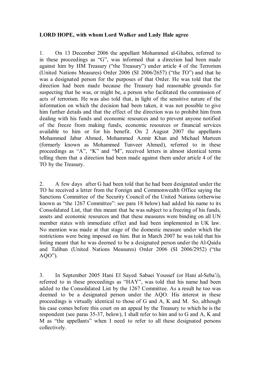### **LORD HOPE, with whom Lord Walker and Lady Hale agree**

1. On 13 December 2006 the appellant Mohammed al-Ghabra, referred to in these proceedings as "G", was informed that a direction had been made against him by HM Treasury ("the Treasury") under article 4 of the Terrorism (United Nations Measures) Order 2006 (SI 2006/2657) ("the TO") and that he was a designated person for the purposes of that Order. He was told that the direction had been made because the Treasury had reasonable grounds for suspecting that he was, or might be, a person who facilitated the commission of acts of terrorism. He was also told that, in light of the sensitive nature of the information on which the decision had been taken, it was not possible to give him further details and that the effect of the direction was to prohibit him from dealing with his funds and economic resources and to prevent anyone notified of the freeze from making funds, economic resources or financial services available to him or for his benefit. On 2 August 2007 the appellants Mohammed Jabar Ahmed, Mohammed Azmir Khan and Michael Marteen (formerly known as Mohammed Tunveer Ahmed), referred to in these proceedings as "A", "K" and "M", received letters in almost identical terms telling them that a direction had been made against them under article 4 of the TO by the Treasury.

2. A few days after G had been told that he had been designated under the TO he received a letter from the Foreign and Commonwealth Office saying the Sanctions Committee of the Security Council of the United Nations (otherwise known as "the 1267 Committee": see para 18 below) had added his name to its Consolidated List, that this meant that he was subject to a freezing of his funds, assets and economic resources and that these measures were binding on all UN member states with immediate effect and had been implemented in UK law. No mention was made at that stage of the domestic measure under which the restrictions were being imposed on him. But in March 2007 he was told that his listing meant that he was deemed to be a designated person under the Al-Qaida and Taliban (United Nations Measures) Order 2006 (SI 2006/2952) ("the AQO").

3. In September 2005 Hani El Sayed Sabaei Youssef (or Hani al-Seba'i), referred to in these proceedings as "HAY", was told that his name had been added to the Consolidated List by the 1267 Committee. As a result he too was deemed to be a designated person under the AQO. His interest in these proceedings is virtually identical to those of G and A, K and M. So, although his case comes before this court on an appeal by the Treasury to which he is the respondent (see paras 35-37, below), I shall refer to him and to G and A, K and M as "the appellants" when I need to refer to all these designated persons collectively.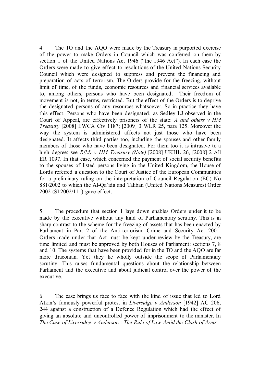4. The TO and the AQO were made by the Treasury in purported exercise of the power to make Orders in Council which was conferred on them by section 1 of the United Nations Act 1946 ("the 1946 Act"). In each case the Orders were made to give effect to resolutions of the United Nations Security Council which were designed to suppress and prevent the financing and preparation of acts of terrorism. The Orders provide for the freezing, without limit of time, of the funds, economic resources and financial services available to, among others, persons who have been designated. Their freedom of movement is not, in terms, restricted. But the effect of the Orders is to deprive the designated persons of any resources whatsoever. So in practice they have this effect. Persons who have been designated, as Sedley LJ observed in the Court of Appeal, are effectively prisoners of the state: *A and others v HM Treasury* [2008] EWCA Civ 1187; [2009] 3 WLR 25, para 125. Moreover the way the system is administered affects not just those who have been designated. It affects third parties too, including the spouses and other family members of those who have been designated. For them too it is intrusive to a high degree: see *R(M) v HM Treasury (Note)* [2008] UKHL 26, [2008] 2 All ER 1097. In that case, which concerned the payment of social security benefits to the spouses of listed persons living in the United Kingdom, the House of Lords referred a question to the Court of Justice of the European Communities for a preliminary ruling on the interpretation of Council Regulation (EC) No 881/2002 to which the Al-Qa'ida and Taliban (United Nations Measures) Order 2002 (SI 2002/111) gave effect.

5. The procedure that section 1 lays down enables Orders under it to be made by the executive without any kind of Parliamentary scrutiny. This is in sharp contrast to the scheme for the freezing of assets that has been enacted by Parliament in Part 2 of the Anti-terrorism, Crime and Security Act 2001. Orders made under that Act must be kept under review by the Treasury, are time limited and must be approved by both Houses of Parliament: sections 7, 8 and 10. The systems that have been provided for in the TO and the AQO are far more draconian. Yet they lie wholly outside the scope of Parliamentary scrutiny. This raises fundamental questions about the relationship between Parliament and the executive and about judicial control over the power of the executive.

6. The case brings us face to face with the kind of issue that led to Lord Atkin's famously powerful protest in *Liversidge v Anderson* [1942] AC 206, 244 against a construction of a Defence Regulation which had the effect of giving an absolute and uncontrolled power of imprisonment to the minister. In *The Case of Liversidge v Anderson : The Rule of Law Amid the Clash of Arms*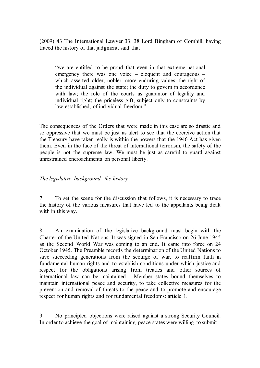(2009) 43 The International Lawyer 33, 38 Lord Bingham of Cornhill, having traced the history of that judgment, said that –

"we are entitled to be proud that even in that extreme national emergency there was one voice – eloquent and courageous – which asserted older, nobler, more enduring values: the right of the individual against the state; the duty to govern in accordance with law; the role of the courts as guarantor of legality and individual right; the priceless gift, subject only to constraints by law established, of individual freedom."

The consequences of the Orders that were made in this case are so drastic and so oppressive that we must be just as alert to see that the coercive action that the Treasury have taken really is within the powers that the 1946 Act has given them. Even in the face of the threat of international terrorism, the safety of the people is not the supreme law. We must be just as careful to guard against unrestrained encroachments on personal liberty.

### *The legislative background: the history*

7. To set the scene for the discussion that follows, it is necessary to trace the history of the various measures that have led to the appellants being dealt with in this way.

8. An examination of the legislative background must begin with the Charter of the United Nations. It was signed in San Francisco on 26 June 1945 as the Second World War was coming to an end. It came into force on 24 October 1945. The Preamble records the determination of the United Nations to save succeeding generations from the scourge of war, to reaffirm faith in fundamental human rights and to establish conditions under which justice and respect for the obligations arising from treaties and other sources of international law can be maintained. Member states bound themselves to maintain international peace and security, to take collective measures for the prevention and removal of threats to the peace and to promote and encourage respect for human rights and for fundamental freedoms: article 1.

9. No principled objections were raised against a strong Security Council. In order to achieve the goal of maintaining peace states were willing to submit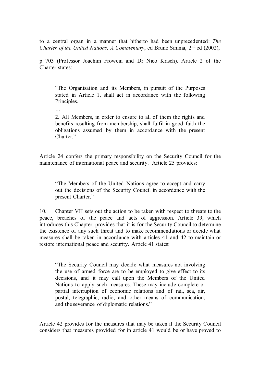to a central organ in a manner that hitherto had been unprecedented: *The Charter of the United Nations, A Commentary*, ed Bruno Simma, 2<sup>nd</sup> ed (2002),

p 703 (Professor Joachim Frowein and Dr Nico Krisch). Article 2 of the Charter states:

"The Organisation and its Members, in pursuit of the Purposes stated in Article 1, shall act in accordance with the following Principles.

…

2. All Members, in order to ensure to all of them the rights and benefits resulting from membership, shall fulfil in good faith the obligations assumed by them in accordance with the present Charter."

Article 24 confers the primary responsibility on the Security Council for the maintenance of international peace and security. Article 25 provides:

"The Members of the United Nations agree to accept and carry out the decisions of the Security Council in accordance with the present Charter."

10. Chapter VII sets out the action to be taken with respect to threats to the peace, breaches of the peace and acts of aggression. Article 39, which introduces this Chapter, provides that it is for the Security Council to determine the existence of any such threat and to make recommendations or decide what measures shall be taken in accordance with articles 41 and 42 to maintain or restore international peace and security. Article 41 states:

"The Security Council may decide what measures not involving the use of armed force are to be employed to give effect to its decisions, and it may call upon the Members of the United Nations to apply such measures. These may include complete or partial interruption of economic relations and of rail, sea, air, postal, telegraphic, radio, and other means of communication, and the severance of diplomatic relations."

Article 42 provides for the measures that may be taken if the Security Council considers that measures provided for in article 41 would be or have proved to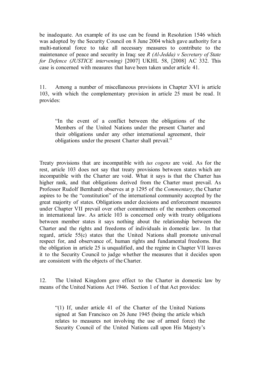be inadequate. An example of its use can be found in Resolution 1546 which was adopted by the Security Council on 8 June 2004 which gave authority for a multi-national force to take all necessary measures to contribute to the maintenance of peace and security in Iraq: see *R (Al-Jedda) v Secretary of State for Defence (JUSTICE intervening)* [2007] UKHL 58, [2008] AC 332. This case is concerned with measures that have been taken under article 41.

11. Among a number of miscellaneous provisions in Chapter XVI is article 103, with which the complementary provision in article 25 must be read. It provides:

"In the event of a conflict between the obligations of the Members of the United Nations under the present Charter and their obligations under any other international agreement, their obligations under the present Charter shall prevail."

Treaty provisions that are incompatible with *ius cogens* are void. As for the rest, article 103 does not say that treaty provisions between states which are incompatible with the Charter are void. What it says is that the Charter has higher rank, and that obligations derived from the Charter must prevail. As Professor Rudolf Bernhardt observes at p 1295 of the *Commentary*, the Charter aspires to be the "constitution" of the international community accepted by the great majority of states. Obligations under decisions and enforcement measures under Chapter VII prevail over other commitments of the members concerned in international law. As article 103 is concerned only with treaty obligations between member states it says nothing about the relationship between the Charter and the rights and freedoms of individuals in domestic law. In that regard, article 55(c) states that the United Nations shall promote universal respect for, and observance of, human rights and fundamental freedoms. But the obligation in article 25 is unqualified, and the regime in Chapter VII leaves it to the Security Council to judge whether the measures that it decides upon are consistent with the objects of the Charter.

12. The United Kingdom gave effect to the Charter in domestic law by means of the United Nations Act 1946. Section 1 of that Act provides:

"(1) If, under article 41 of the Charter of the United Nations signed at San Francisco on 26 June 1945 (being the article which relates to measures not involving the use of armed force) the Security Council of the United Nations call upon His Majesty's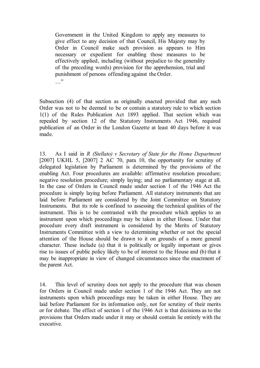Government in the United Kingdom to apply any measures to give effect to any decision of that Council, His Majesty may by Order in Council make such provision as appears to Him necessary or expedient for enabling those measures to be effectively applied, including (without prejudice to the generality of the preceding words) provision for the apprehension, trial and punishment of persons offending against the Order.  $\cdots$ 

Subsection (4) of that section as originally enacted provided that any such Order was not to be deemed to be or contain a statutory rule to which section 1(1) of the Rules Publication Act 1893 applied. That section which was repealed by section 12 of the Statutory Instruments Act 1946, required publication of an Order in the London Gazette at least 40 days before it was made.

13. As I said in *R (Stellato) v Secretary of State for the Home Department* [2007] UKHL 5, [2007] 2 AC 70, para 10, the opportunity for scrutiny of delegated legislation by Parliament is determined by the provisions of the enabling Act. Four procedures are available: affirmative resolution procedure; negative resolution procedure; simply laying; and no parliamentary stage at all. In the case of Orders in Council made under section 1 of the 1946 Act the procedure is simply laying before Parliament. All statutory instruments that are laid before Parliament are considered by the Joint Committee on Statutory Instruments. But its role is confined to assessing the technical qualities of the instrument. This is to be contrasted with the procedure which applies to an instrument upon which proceedings may be taken in either House. Under that procedure every draft instrument is considered by the Merits of Statutory Instruments Committee with a view to determining whether or not the special attention of the House should be drawn to it on grounds of a more general character. These include (a) that it is politically or legally important or gives rise to issues of public policy likely to be of interest to the House and (b) that it may be inappropriate in view of changed circumstances since the enactment of the parent Act.

14. This level of scrutiny does not apply to the procedure that was chosen for Orders in Council made under section 1 of the 1946 Act. They are not instruments upon which proceedings may be taken in either House. They are laid before Parliament for its information only, not for scrutiny of their merits or for debate. The effect of section 1 of the 1946 Act is that decisions as to the provisions that Orders made under it may or should contain lie entirely with the executive.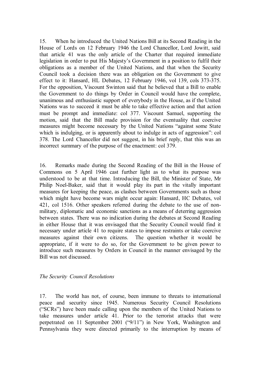15. When he introduced the United Nations Bill at its Second Reading in the House of Lords on 12 February 1946 the Lord Chancellor, Lord Jowitt, said that article 41 was the only article of the Charter that required immediate legislation in order to put His Majesty's Government in a position to fulfil their obligations as a member of the United Nations, and that when the Security Council took a decision there was an obligation on the Government to give effect to it: Hansard, HL Debates, 12 February 1946, vol 139, cols 373-375. For the opposition, Viscount Swinton said that he believed that a Bill to enable the Government to do things by Order in Council would have the complete, unanimous and enthusiastic support of everybody in the House, as if the United Nations was to succeed it must be able to take effective action and that action must be prompt and immediate: col 377. Viscount Samuel, supporting the motion, said that the Bill made provision for the eventuality that coercive measures might become necessary by the United Nations "against some State which is indulging, or is apparently about to indulge in acts of aggression": col 378. The Lord Chancellor did not suggest, in his brief reply, that this was an incorrect summary of the purpose of the enactment: col 379.

16. Remarks made during the Second Reading of the Bill in the House of Commons on 5 April 1946 cast further light as to what its purpose was understood to be at that time. Introducing the Bill, the Minister of State, Mr Philip Noel-Baker, said that it would play its part in the vitally important measures for keeping the peace, as clashes between Governments such as those which might have become wars might occur again: Hansard, HC Debates, vol 421, col 1516. Other speakers referred during the debate to the use of nonmilitary, diplomatic and economic sanctions as a means of deterring aggression between states. There was no indication during the debates at Second Reading in either House that it was envisaged that the Security Council would find it necessary under article 41 to require states to impose restraints or take coercive measures against their own citizens. The question whether it would be appropriate, if it were to do so, for the Government to be given power to introduce such measures by Orders in Council in the manner envisaged by the Bill was not discussed.

#### *The Security Council Resolutions*

17. The world has not, of course, been immune to threats to international peace and security since 1945. Numerous Security Council Resolutions ("SCRs") have been made calling upon the members of the United Nations to take measures under article 41. Prior to the terrorist attacks that were perpetrated on 11 September 2001 ("9/11") in New York, Washington and Pennsylvania they were directed primarily to the interruption by means of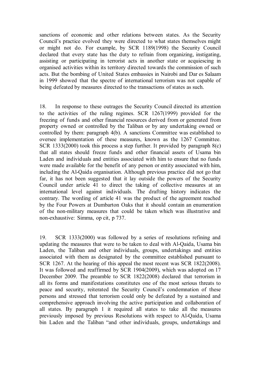sanctions of economic and other relations between states. As the Security Council's practice evolved they were directed to what states themselves might or might not do. For example, by SCR 1189(1998) the Security Council declared that every state has the duty to refrain from organizing, instigating, assisting or participating in terrorist acts in another state or acquiescing in organised activities within its territory directed towards the commission of such acts. But the bombing of United States embassies in Nairobi and Dar es Salaam in 1999 showed that the spectre of international terrorism was not capable of being defeated by measures directed to the transactions of states as such.

18. In response to these outrages the Security Council directed its attention to the activities of the ruling regimes. SCR 1267(1999) provided for the freezing of funds and other financial resources derived from or generated from property owned or controlled by the Taliban or by any undertaking owned or controlled by them: paragraph 4(b). A sanctions Committee was established to oversee implementation of these measures, known as the 1267 Committee. SCR 1333(2000) took this process a step further. It provided by paragraph 8(c) that all states should freeze funds and other financial assets of Usama bin Laden and individuals and entities associated with him to ensure that no funds were made available for the benefit of any person or entity associated with him, including the Al-Qaida organisation. Although previous practice did not go that far, it has not been suggested that it lay outside the powers of the Security Council under article 41 to direct the taking of collective measures at an international level against individuals. The drafting history indicates the contrary. The wording of article 41 was the product of the agreement reached by the Four Powers at Dumbarton Oaks that it should contain an enumeration of the non-military measures that could be taken which was illustrative and non-exhaustive: Simma, op cit, p 737.

19. SCR 1333(2000) was followed by a series of resolutions refining and updating the measures that were to be taken to deal with Al-Qaida, Usama bin Laden, the Taliban and other individuals, groups, undertakings and entities associated with them as designated by the committee established pursuant to SCR 1267. At the hearing of this appeal the most recent was SCR 1822(2008). It was followed and reaffirmed by SCR 1904(2009), which was adopted on 17 December 2009. The preamble to SCR 1822(2008) declared that terrorism in all its forms and manifestations constitutes one of the most serious threats to peace and security, reiterated the Security Council's condemnation of these persons and stressed that terrorism could only be defeated by a sustained and comprehensive approach involving the active participation and collaboration of all states. By paragraph 1 it required all states to take all the measures previously imposed by previous Resolutions with respect to Al-Qaida, Usama bin Laden and the Taliban "and other individuals, groups, undertakings and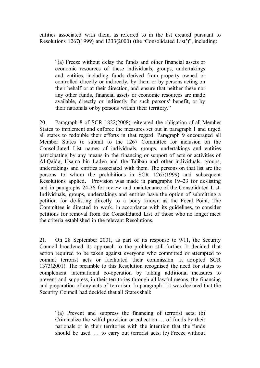entities associated with them, as referred to in the list created pursuant to Resolutions 1267(1999) and 1333(2000) (the 'Consolidated List')", including:

"(a) Freeze without delay the funds and other financial assets or economic resources of these individuals, groups, undertakings and entities, including funds derived from property owned or controlled directly or indirectly, by them or by persons acting on their behalf or at their direction, and ensure that neither these nor any other funds, financial assets or economic resources are made available, directly or indirectly for such persons' benefit, or by their nationals or by persons within their territory."

20. Paragraph 8 of SCR 1822(2008) reiterated the obligation of all Member States to implement and enforce the measures set out in paragraph 1 and urged all states to redouble their efforts in that regard. Paragraph 9 encouraged all Member States to submit to the 1267 Committee for inclusion on the Consolidated List names of individuals, groups, undertakings and entities participating by any means in the financing or support of acts or activities of Al-Qaida, Usama bin Laden and the Taliban and other individuals, groups, undertakings and entities associated with them. The persons on that list are the persons to whom the prohibitions in SCR 1267(1999) and subsequent Resolutions applied. Provision was made in paragraphs 19–23 for de-listing and in paragraphs 24-26 for review and maintenance of the Consolidated List. Individuals, groups, undertakings and entities have the option of submitting a petition for de-listing directly to a body known as the Focal Point. The Committee is directed to work, in accordance with its guidelines, to consider petitions for removal from the Consolidated List of those who no longer meet the criteria established in the relevant Resolutions.

21. On 28 September 2001, as part of its response to 9/11, the Security Council broadened its approach to the problem still further. It decided that action required to be taken against everyone who committed or attempted to commit terrorist acts or facilitated their commission. It adopted SCR 1373(2001). The preamble to this Resolution recognised the need for states to complement international co-operation by taking additional measures to prevent and suppress, in their territories through all lawful means, the financing and preparation of any acts of terrorism. In paragraph 1 it was declared that the Security Council had decided that all States shall:

"(a) Prevent and suppress the financing of terrorist acts; (b) Criminalize the wilful provision or collection … of funds by their nationals or in their territories with the intention that the funds should be used … to carry out terrorist acts; (c) Freeze without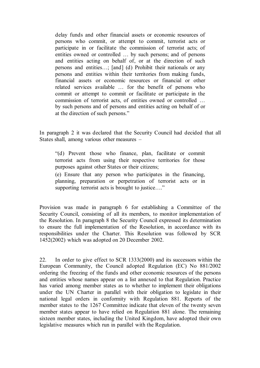delay funds and other financial assets or economic resources of persons who commit, or attempt to commit, terrorist acts or participate in or facilitate the commission of terrorist acts; of entities owned or controlled … by such persons; and of persons and entities acting on behalf of, or at the direction of such persons and entities…; [and] (d) Prohibit their nationals or any persons and entities within their territories from making funds, financial assets or economic resources or financial or other related services available … for the benefit of persons who commit or attempt to commit or facilitate or participate in the commission of terrorist acts, of entities owned or controlled … by such persons and of persons and entities acting on behalf of or at the direction of such persons."

In paragraph 2 it was declared that the Security Council had decided that all States shall, among various other measures –

"(d) Prevent those who finance, plan, facilitate or commit terrorist acts from using their respective territories for those purposes against other States or their citizens;

(e) Ensure that any person who participates in the financing, planning, preparation or perpetration of terrorist acts or in supporting terrorist acts is brought to justice...."

Provision was made in paragraph 6 for establishing a Committee of the Security Council, consisting of all its members, to monitor implementation of the Resolution. In paragraph 8 the Security Council expressed its determination to ensure the full implementation of the Resolution, in accordance with its responsibilities under the Charter. This Resolution was followed by SCR 1452(2002) which was adopted on 20 December 2002.

22. In order to give effect to SCR 1333(2000) and its successors within the European Community, the Council adopted Regulation (EC) No 881/2002 ordering the freezing of the funds and other economic resources of the persons and entities whose names appear on a list annexed to that Regulation. Practice has varied among member states as to whether to implement their obligations under the UN Charter in parallel with their obligation to legislate in their national legal orders in conformity with Regulation 881. Reports of the member states to the 1267 Committee indicate that eleven of the twenty seven member states appear to have relied on Regulation 881 alone. The remaining sixteen member states, including the United Kingdom, have adopted their own legislative measures which run in parallel with the Regulation.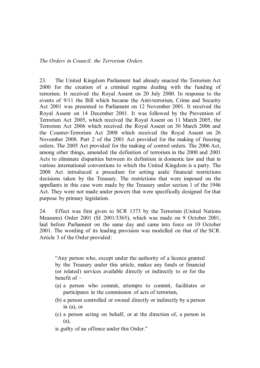23. The United Kingdom Parliament had already enacted the Terrorism Act 2000 for the creation of a criminal regime dealing with the funding of terrorism. It received the Royal Assent on 20 July 2000. In response to the events of 9/11 the Bill which became the Anti-terrorism, Crime and Security Act 2001 was presented to Parliament on 12 November 2001. It received the Royal Assent on 14 December 2001. It was followed by the Prevention of Terrorism Act 2005, which received the Royal Assent on 11 March 2005, the Terrorism Act 2006 which received the Royal Assent on 30 March 2006 and the Counter-Terrorism Act 2008 which received the Royal Assent on 26 November 2008. Part 2 of the 2001 Act provided for the making of freezing orders. The 2005 Act provided for the making of control orders. The 2006 Act, among other things, amended the definition of terrorism in the 2000 and 2001 Acts to eliminate disparities between its definition in domestic law and that in various international conventions to which the United Kingdom is a party. The 2008 Act introduced a procedure for setting aside financial restrictions decisions taken by the Treasury. The restrictions that were imposed on the appellants in this case were made by the Treasury under section 1 of the 1946 Act. They were not made under powers that were specifically designed for that purpose by primary legislation.

24. Effect was first given to SCR 1373 by the Terrorism (United Nations Measures) Order 2001 (SI 2001/3365), which was made on 9 October 2001, laid before Parliament on the same day and came into force on 10 October 2001. The wording of its leading provision was modelled on that of the SCR. Article 3 of the Order provided:

"Any person who, except under the authority of a licence granted by the Treasury under this article, makes any funds or financial (or related) services available directly or indirectly to or for the benefit of –

- (a) a person who commit, attempts to commit, facilitates or participates in the commission of acts of terrorism,
- (b) a person controlled or owned directly or indirectly by a person in (a), or
- (c) a person acting on behalf, or at the direction of, a person in (a),
- is guilty of an offence under this Order."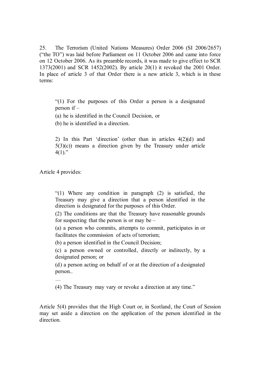25. The Terrorism (United Nations Measures) Order 2006 (SI 2006/2657) ("the TO") was laid before Parliament on 11 October 2006 and came into force on 12 October 2006. As its preamble records, it was made to give effect to SCR 1373(2001) and SCR 1452(2002). By article 20(1) it revoked the 2001 Order. In place of article 3 of that Order there is a new article 3, which is in these terms:

"(1) For the purposes of this Order a person is a designated person if –

(a) he is identified in the Council Decision, or

(b) he is identified in a direction.

2) In this Part 'direction' (other than in articles 4(2)(d) and  $5(3)(c)$  means a direction given by the Treasury under article  $4(1)$ ."

Article 4 provides:

"(1) Where any condition in paragraph (2) is satisfied, the Treasury may give a direction that a person identified in the direction is designated for the purposes of this Order.

(2) The conditions are that the Treasury have reasonable grounds for suspecting that the person is or may be  $-$ 

(a) a person who commits, attempts to commit, participates in or facilitates the commission of acts of terrorism;

(b) a person identified in the Council Decision;

(c) a person owned or controlled, directly or indirectly, by a designated person; or

(d) a person acting on behalf of or at the direction of a designated person..

…

(4) The Treasury may vary or revoke a direction at any time."

Article 5(4) provides that the High Court or, in Scotland, the Court of Session may set aside a direction on the application of the person identified in the direction.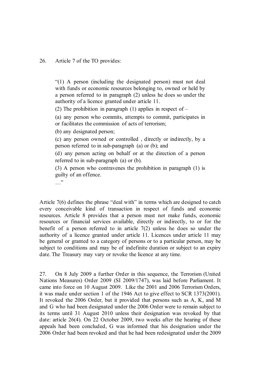#### 26. Article 7 of the TO provides:

"(1) A person (including the designated person) must not deal with funds or economic resources belonging to, owned or held by a person referred to in paragraph (2) unless he does so under the authority of a licence granted under article 11.

(2) The prohibition in paragraph (1) applies in respect of  $-$ 

(a) any person who commits, attempts to commit, participates in or facilitates the commission of acts of terrorism;

(b) any designated person;

(c) any person owned or controlled , directly or indirectly, by a person referred to in sub-paragraph (a) or (b); and

(d) any person acting on behalf or at the direction of a person referred to in sub-paragraph (a) or (b).

(3) A person who contravenes the prohibition in paragraph (1) is guilty of an offence.

…"

Article 7(6) defines the phrase "deal with" in terms which are designed to catch every conceivable kind of transaction in respect of funds and economic resources. Article 8 provides that a person must not make funds, economic resources or financial services available, directly or indirectly, to or for the benefit of a person referred to in article 7(2) unless he does so under the authority of a licence granted under article 11. Licences under article 11 may be general or granted to a category of persons or to a particular person, may be subject to conditions and may be of indefinite duration or subject to an expiry date. The Treasury may vary or revoke the licence at any time.

27. On 8 July 2009 a further Order in this sequence, the Terrorism (United Nations Measures) Order 2009 (SI 2009/1747), was laid before Parliament. It came into force on 10 August 2009. Like the 2001 and 2006 Terrorism Orders, it was made under section 1 of the 1946 Act to give effect to SCR 1373(2001). It revoked the 2006 Order, but it provided that persons such as A, K, and M and G who had been designated under the 2006 Order were to remain subject to its terms until 31 August 2010 unless their designation was revoked by that date: article 26(4). On 22 October 2009, two weeks after the hearing of these appeals had been concluded, G was informed that his designation under the 2006 Order had been revoked and that he had been redesignated under the 2009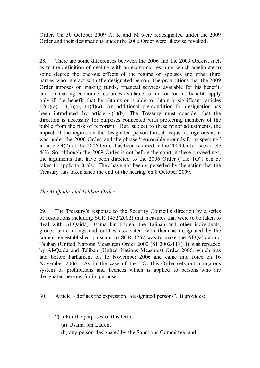Order. On 30 October 2009 A, K and M were redesignated under the 2009 Order and their designations under the 2006 Order were likewise revoked.

28. There are some differences between the 2006 and the 2009 Orders, such as to the definition of dealing with an economic resource, which ameliorate to some degree the onerous effects of the regime on spouses and other third parties who interact with the designated person. The prohibitions that the 2009 Order imposes on making funds, financial services available for his benefit, and on making economic resources available to him or for his benefit, apply only if the benefit that he obtains or is able to obtain is significant: articles  $12(4)(a)$ ,  $13(3)(a)$ ,  $14(4)(a)$ . An additional pre-condition for designation has been introduced by article 4(1)(b). The Treasury must consider that the direction is necessary for purposes connected with protecting members of the public from the risk of terrorism. But, subject to these minor adjustments, the impact of the regime on the designated person himself is just as rigorous as it was under the 2006 Order, and the phrase "reasonable grounds for suspecting" in article 4(2) of the 2006 Order has been retained in the 2009 Order: see article 4(2). So, although the 2009 Order is not before the court in these proceedings, the arguments that have been directed to the 2006 Order ("the TO") can be taken to apply to it also. They have not been superseded by the action that the Treasury has taken since the end of the hearing on 8 October 2009.

# *The Al-Qaida and Taliban Order*

29. The Treasury's response to the Security Council's direction by a series of resolutions including SCR 1452(2002) that measures that were to be taken to deal with Al-Qaida, Usama bin Laden, the Taliban and other individuals, groups undertakings and entities associated with them as designated by the committee established pursuant to SCR 1267 was to make the Al-Qa'ida and Taliban (United Nations Measures) Order 2002 (SI 2002/111). It was replaced by Al-Qaida and Taliban (United Nations Measures) Order 2006, which was laid before Parliament on 15 November 2006 and came into force on 16 November 2006. As in the case of the TO, this Order sets out a rigorous system of prohibitions and licences which is applied to persons who are designated persons for its purposes.

- 30. Article 3 defines the expression "designated persons". It provides:
	- "(1) For the purposes of this Order
		- (a) Usama bin Laden,
		- (b) any person designated by the Sanctions Committee, and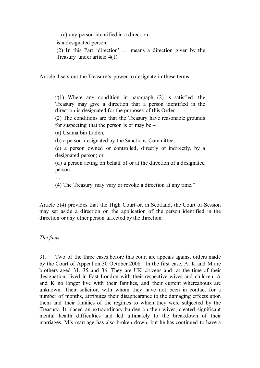(c) any person identified in a direction,

is a designated person.

(2) In this Part 'direction' … means a direction given by the Treasury under article 4(1).

Article 4 sets out the Treasury's power to designate in these terms:

"(1) Where any condition in paragraph (2) is satisfied, the Treasury may give a direction that a person identified in the direction is designated for the purposes of this Order.

(2) The conditions are that the Treasury have reasonable grounds for suspecting that the person is or may be  $-$ 

(a) Usama bin Laden,

(b) a person designated by the Sanctions Committee,

(c) a person owned or controlled, directly or indirectly, by a designated person; or

(d) a person acting on behalf of or at the direction of a designated person.

…

(4) The Treasury may vary or revoke a direction at any time."

Article 5(4) provides that the High Court or, in Scotland, the Court of Session may set aside a direction on the application of the person identified in the direction or any other person affected by the direction.

# *The facts*

31. Two of the three cases before this court are appeals against orders made by the Court of Appeal on 30 October 2008. In the first case, A, K and M are brothers aged 31, 35 and 36. They are UK citizens and, at the time of their designation, lived in East London with their respective wives and children. A and K no longer live with their families, and their current whereabouts are unknown. Their solicitor, with whom they have not been in contact for a number of months, attributes their disappearance to the damaging effects upon them and their families of the regimes to which they were subjected by the Treasury. It placed an extraordinary burden on their wives, created significant mental health difficulties and led ultimately to the breakdown of their marriages. M's marriage has also broken down, but he has continued to have a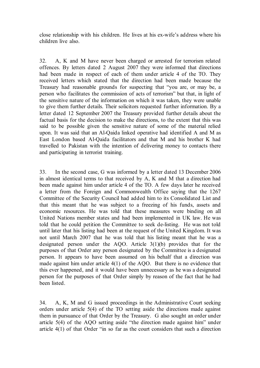close relationship with his children. He lives at his ex-wife's address where his children live also.

32. A, K and M have never been charged or arrested for terrorism related offences. By letters dated 2 August 2007 they were informed that directions had been made in respect of each of them under article 4 of the TO. They received letters which stated that the direction had been made because the Treasury had reasonable grounds for suspecting that "you are, or may be, a person who facilitates the commission of acts of terrorism" but that, in light of the sensitive nature of the information on which it was taken, they were unable to give them further details. Their solicitors requested further information. By a letter dated 12 September 2007 the Treasury provided further details about the factual basis for the decision to make the directions, to the extent that this was said to be possible given the sensitive nature of some of the material relied upon. It was said that an Al-Qaida linked operative had identified A and M as East London based Al-Qaida facilitators and that M and his brother K had travelled to Pakistan with the intention of delivering money to contacts there and participating in terrorist training.

33. In the second case, G was informed by a letter dated 13 December 2006 in almost identical terms to that received by A, K and M that a direction had been made against him under article 4 of the TO. A few days later he received a letter from the Foreign and Commonwealth Office saying that the 1267 Committee of the Security Council had added him to its Consolidated List and that this meant that he was subject to a freezing of his funds, assets and economic resources. He was told that these measures were binding on all United Nations member states and had been implemented in UK law. He was told that he could petition the Committee to seek de-listing. He was not told until later that his listing had been at the request of the United Kingdom. It was not until March 2007 that he was told that his listing meant that he was a designated person under the AQO. Article 3(1)(b) provides that for the purposes of that Order any person designated by the Committee is a designated person. It appears to have been assumed on his behalf that a direction was made against him under article 4(1) of the AQO. But there is no evidence that this ever happened, and it would have been unnecessary as he was a designated person for the purposes of that Order simply by reason of the fact that he had been listed.

34. A, K, M and G issued proceedings in the Administrative Court seeking orders under article 5(4) of the TO setting aside the directions made against them in pursuance of that Order by the Treasury. G also sought an order under article 5(4) of the AQO setting aside "the direction made against him" under article 4(1) of that Order "in so far as the court considers that such a direction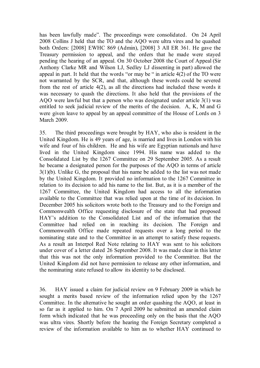has been lawfully made". The proceedings were consolidated. On 24 April 2008 Collins J held that the TO and the AQO were ultra vires and he quashed both Orders: [2008] EWHC 869 (Admin), [2008] 3 All ER 361. He gave the Treasury permission to appeal, and the orders that he made were stayed pending the hearing of an appeal. On 30 October 2008 the Court of Appeal (Sir Anthony Clarke MR and Wilson LJ, Sedley LJ dissenting in part) allowed the appeal in part. It held that the words "or may be " in article 4(2) of the TO were not warranted by the SCR, and that, although these words could be severed from the rest of article 4(2), as all the directions had included these words it was necessary to quash the directions. It also held that the provisions of the AQO were lawful but that a person who was designated under article 3(1) was entitled to seek judicial review of the merits of the decision. A, K, M and G were given leave to appeal by an appeal committee of the House of Lords on 3 March 2009.

35. The third proceedings were brought by HAY, who also is resident in the United Kingdom. He is 49 years of age, is married and lives in London with his wife and four of his children. He and his wife are Egyptian nationals and have lived in the United Kingdom since 1994. His name was added to the Consolidated List by the 1267 Committee on 29 September 2005. As a result he became a designated person for the purposes of the AQO in terms of article 3(1)(b). Unlike G, the proposal that his name be added to the list was not made by the United Kingdom. It provided no information to the 1267 Committee in relation to its decision to add his name to the list. But, as it is a member of the 1267 Committee, the United Kingdom had access to all the information available to the Committee that was relied upon at the time of its decision. In December 2005 his solicitors wrote both to the Treasury and to the Foreign and Commonwealth Office requesting disclosure of the state that had proposed HAY's addition to the Consolidated List and of the information that the Committee had relied on in reaching its decision. The Foreign and Commonwealth Office made repeated requests over a long period to the nominating state and to the Committee in an attempt to satisfy these requests. As a result an Interpol Red Note relating to HAY was sent to his solicitors under cover of a letter dated 26 September 2008. It was made clear in this letter that this was not the only information provided to the Committee. But the United Kingdom did not have permission to release any other information, and the nominating state refused to allow its identity to be disclosed.

36. HAY issued a claim for judicial review on 9 February 2009 in which he sought a merits based review of the information relied upon by the 1267 Committee. In the alternative he sought an order quashing the AQO, at least in so far as it applied to him. On 7 April 2009 he submitted an amended claim form which indicated that he was proceeding only on the basis that the AQO was ultra vires. Shortly before the hearing the Foreign Secretary completed a review of the information available to him as to whether HAY continued to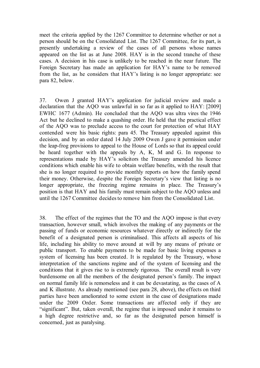meet the criteria applied by the 1267 Committee to determine whether or not a person should be on the Consolidated List. The 1267 Committee, for its part, is presently undertaking a review of the cases of all persons whose names appeared on the list as at June 2008. HAY is in the second tranche of these cases. A decision in his case is unlikely to be reached in the near future. The Foreign Secretary has made an application for HAY's name to be removed from the list, as he considers that HAY's listing is no longer appropriate: see para 82, below.

37. Owen J granted HAY's application for judicial review and made a declaration that the AQO was unlawful in so far as it applied to HAY: [2009] EWHC 1677 (Admin). He concluded that the AQO was ultra vires the 1946 Act but he declined to make a quashing order. He held that the practical effect of the AQO was to preclude access to the court for protection of what HAY contended were his basic rights: para 45. The Treasury appealed against this decision, and by an order dated 14 July 2009 Owen J gave it permission under the leap-frog provisions to appeal to the House of Lords so that its appeal could be heard together with the appeals by A, K, M and G. In response to representations made by HAY's solicitors the Treasury amended his licence conditions which enable his wife to obtain welfare benefits, with the result that she is no longer required to provide monthly reports on how the family spend their money. Otherwise, despite the Foreign Secretary's view that listing is no longer appropriate, the freezing regime remains in place. The Treasury's position is that HAY and his family must remain subject to the AQO unless and until the 1267 Committee decides to remove him from the Consolidated List.

38. The effect of the regimes that the TO and the AQO impose is that every transaction, however small, which involves the making of any payments or the passing of funds or economic resources whatever directly or indirectly for the benefit of a designated person is criminalised. This affects all aspects of his life, including his ability to move around at will by any means of private or public transport. To enable payments to be made for basic living expenses a system of licensing has been created. It is regulated by the Treasury, whose interpretation of the sanctions regime and of the system of licensing and the conditions that it gives rise to is extremely rigorous. The overall result is very burdensome on all the members of the designated person's family. The impact on normal family life is remorseless and it can be devastating, as the cases of A and K illustrate. As already mentioned (see para 28, above), the effects on third parties have been ameliorated to some extent in the case of designations made under the 2009 Order. Some transactions are affected only if they are "significant". But, taken overall, the regime that is imposed under it remains to a high degree restrictive and, so far as the designated person himself is concerned, just as paralysing.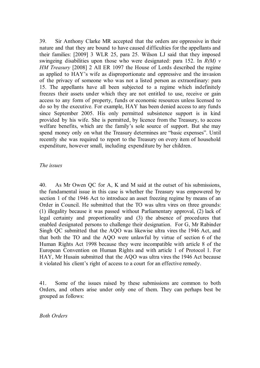39. Sir Anthony Clarke MR accepted that the orders are oppressive in their nature and that they are bound to have caused difficulties for the appellants and their families: [2009] 3 WLR 25, para 25. Wilson LJ said that they imposed swingeing disabilities upon those who were designated: para 152. In *R(M) v HM Treasury* [2008] 2 All ER 1097 the House of Lords described the regime as applied to HAY's wife as disproportionate and oppressive and the invasion of the privacy of someone who was not a listed person as extraordinary: para 15. The appellants have all been subjected to a regime which indefinitely freezes their assets under which they are not entitled to use, receive or gain access to any form of property, funds or economic resources unless licensed to do so by the executive. For example, HAY has been denied access to any funds since September 2005. His only permitted subsistence support is in kind provided by his wife. She is permitted, by licence from the Treasury, to access welfare benefits, which are the family's sole source of support. But she may spend money only on what the Treasury determines are "basic expenses". Until recently she was required to report to the Treasury on every item of household expenditure, however small, including expenditure by her children.

#### *The issues*

40. As Mr Owen QC for A, K and M said at the outset of his submissions, the fundamental issue in this case is whether the Treasury was empowered by section 1 of the 1946 Act to introduce an asset freezing regime by means of an Order in Council. He submitted that the TO was ultra vires on three grounds: (1) illegality because it was passed without Parliamentary approval, (2) lack of legal certainty and proportionality and (3) the absence of procedures that enabled designated persons to challenge their designation. For G, Mr Rabinder Singh QC submitted that the AQO was likewise ultra vires the 1946 Act, and that both the TO and the AQO were unlawful by virtue of section 6 of the Human Rights Act 1998 because they were incompatible with article 8 of the European Convention on Human Rights and with article 1 of Protocol 1. For HAY, Mr Husain submitted that the AQO was ultra vires the 1946 Act because it violated his client's right of access to a court for an effective remedy.

41. Some of the issues raised by these submissions are common to both Orders, and others arise under only one of them. They can perhaps best be grouped as follows:

*Both Orders*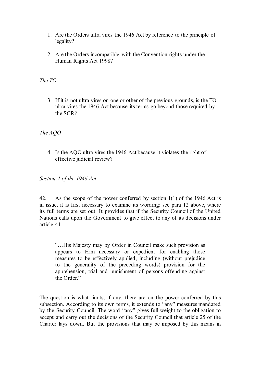- 1. Are the Orders ultra vires the 1946 Act by reference to the principle of legality?
- 2. Are the Orders incompatible with the Convention rights under the Human Rights Act 1998?

# *The TO*

3. If it is not ultra vires on one or other of the previous grounds, is the TO ultra vires the 1946 Act because its terms go beyond those required by the SCR?

# *The AQO*

4. Is the AQO ultra vires the 1946 Act because it violates the right of effective judicial review?

*Section 1 of the 1946 Act*

42. As the scope of the power conferred by section 1(1) of the 1946 Act is in issue, it is first necessary to examine its wording: see para 12 above, where its full terms are set out. It provides that if the Security Council of the United Nations calls upon the Government to give effect to any of its decisions under article 41 –

"…His Majesty may by Order in Council make such provision as appears to Him necessary or expedient for enabling those measures to be effectively applied, including (without prejudice to the generality of the preceding words) provision for the apprehension, trial and punishment of persons offending against the Order."

The question is what limits, if any, there are on the power conferred by this subsection. According to its own terms, it extends to "any" measures mandated by the Security Council. The word "any" gives full weight to the obligation to accept and carry out the decisions of the Security Council that article 25 of the Charter lays down. But the provisions that may be imposed by this means in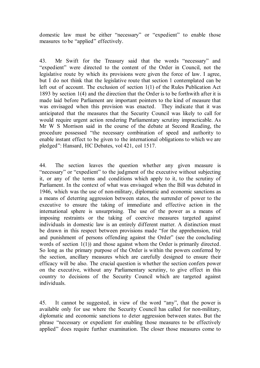domestic law must be either "necessary" or "expedient" to enable those measures to be "applied" effectively.

43. Mr Swift for the Treasury said that the words "necessary" and "expedient" were directed to the content of the Order in Council, not the legislative route by which its provisions were given the force of law. I agree, but I do not think that the legislative route that section 1 contemplated can be left out of account. The exclusion of section 1(1) of the Rules Publication Act 1893 by section 1(4) and the direction that the Order is to be forthwith after it is made laid before Parliament are important pointers to the kind of measure that was envisaged when this provision was enacted. They indicate that it was anticipated that the measures that the Security Council was likely to call for would require urgent action rendering Parliamentary scrutiny impracticable. As Mr W S Morrison said in the course of the debate at Second Reading, the procedure possessed "the necessary combination of speed and authority to enable instant effect to be given to the international obligations to which we are pledged": Hansard, HC Debates, vol 421, col 1517.

44. The section leaves the question whether any given measure is "necessary" or "expedient" to the judgment of the executive without subjecting it, or any of the terms and conditions which apply to it, to the scrutiny of Parliament. In the context of what was envisaged when the Bill was debated in 1946, which was the use of non-military, diplomatic and economic sanctions as a means of deterring aggression between states, the surrender of power to the executive to ensure the taking of immediate and effective action in the international sphere is unsurprising. The use of the power as a means of imposing restraints or the taking of coercive measures targeted against individuals in domestic law is an entirely different matter. A distinction must be drawn in this respect between provisions made "for the apprehension, trial and punishment of persons offending against the Order" (see the concluding words of section 1(1)) and those against whom the Order is primarily directed. So long as the primary purpose of the Order is within the powers conferred by the section, ancillary measures which are carefully designed to ensure their efficacy will be also. The crucial question is whether the section confers power on the executive, without any Parliamentary scrutiny, to give effect in this country to decisions of the Security Council which are targeted against individuals.

45. It cannot be suggested, in view of the word "any", that the power is available only for use where the Security Council has called for non-military, diplomatic and economic sanctions to deter aggression between states. But the phrase "necessary or expedient for enabling those measures to be effectively applied" does require further examination. The closer those measures come to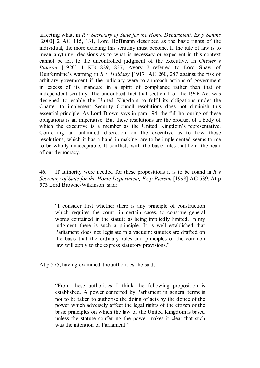affecting what, in *R v Secretary of State for the Home Department, Ex p Simms* [2000] 2 AC 115, 131, Lord Hoffmann described as the basic rights of the individual, the more exacting this scrutiny must become. If the rule of law is to mean anything, decisions as to what is necessary or expedient in this context cannot be left to the uncontrolled judgment of the executive. In *Chester v Bateson* [1920] 1 KB 829, 837, Avory J referred to Lord Shaw of Dunfermline's warning in *R v Halliday* [1917] AC 260, 287 against the risk of arbitrary government if the judiciary were to approach actions of government in excess of its mandate in a spirit of compliance rather than that of independent scrutiny. The undoubted fact that section 1 of the 1946 Act was designed to enable the United Kingdom to fulfil its obligations under the Charter to implement Security Council resolutions does not diminish this essential principle. As Lord Brown says in para 194, the full honouring of these obligations is an imperative. But these resolutions are the product of a body of which the executive is a member as the United Kingdom's representative. Conferring an unlimited discretion on the executive as to how those resolutions, which it has a hand in making, are to be implemented seems to me to be wholly unacceptable. It conflicts with the basic rules that lie at the heart of our democracy.

46. If authority were needed for these propositions it is to be found in *R v Secretary of State for the Home Department, Ex p Pierson* [1998] AC 539. At p 573 Lord Browne-Wilkinson said:

"I consider first whether there is any principle of construction which requires the court, in certain cases, to construe general words contained in the statute as being impliedly limited. In my judgment there is such a principle. It is well established that Parliament does not legislate in a vacuum: statutes are drafted on the basis that the ordinary rules and principles of the common law will apply to the express statutory provisions."

At p 575, having examined the authorities, he said:

"From these authorities I think the following proposition is established. A power conferred by Parliament in general terms is not to be taken to authorise the doing of acts by the donee of the power which adversely affect the legal rights of the citizen or the basic principles on which the law of the United Kingdom is based unless the statute conferring the power makes it clear that such was the intention of Parliament."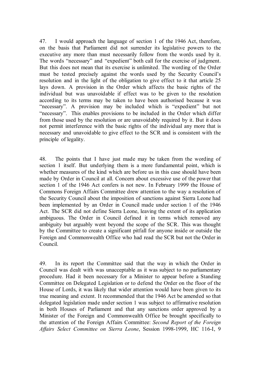47. I would approach the language of section 1 of the 1946 Act, therefore, on the basis that Parliament did not surrender its legislative powers to the executive any more than must necessarily follow from the words used by it. The words "necessary" and "expedient" both call for the exercise of judgment. But this does not mean that its exercise is unlimited. The wording of the Order must be tested precisely against the words used by the Security Council's resolution and in the light of the obligation to give effect to it that article 25 lays down. A provision in the Order which affects the basic rights of the individual but was unavoidable if effect was to be given to the resolution according to its terms may be taken to have been authorised because it was "necessary". A provision may be included which is "expedient" but not "necessary". This enables provisions to be included in the Order which differ from those used by the resolution or are unavoidably required by it. But it does not permit interference with the basic rights of the individual any more that is necessary and unavoidable to give effect to the SCR and is consistent with the principle of legality.

48. The points that I have just made may be taken from the wording of section 1 itself. But underlying them is a more fundamental point, which is whether measures of the kind which are before us in this case should have been made by Order in Council at all. Concern about excessive use of the power that section 1 of the 1946 Act confers is not new. In February 1999 the House of Commons Foreign Affairs Committee drew attention to the way a resolution of the Security Council about the imposition of sanctions against Sierra Leone had been implemented by an Order in Council made under section 1 of the 1946 Act. The SCR did not define Sierra Leone, leaving the extent of its application ambiguous. The Order in Council defined it in terms which removed any ambiguity but arguably went beyond the scope of the SCR. This was thought by the Committee to create a significant pitfall for anyone inside or outside the Foreign and Commonwealth Office who had read the SCR but not the Order in Council.

49. In its report the Committee said that the way in which the Order in Council was dealt with was unacceptable as it was subject to no parliamentary procedure. Had it been necessary for a Minister to appear before a Standing Committee on Delegated Legislation or to defend the Order on the floor of the House of Lords, it was likely that wider attention would have been given to its true meaning and extent. It recommended that the 1946 Act be amended so that delegated legislation made under section 1 was subject to affirmative resolution in both Houses of Parliament and that any sanctions order approved by a Minister of the Foreign and Commonwealth Office be brought specifically to the attention of the Foreign Affairs Committee: *Second Report of the Foreign Affairs Select Committee on Sierra Leone*, Session 1998-1999, HC 116-I, 9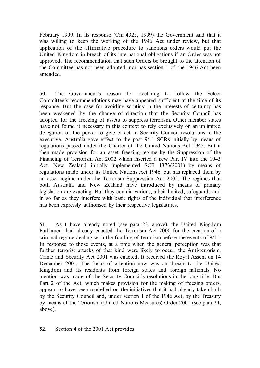February 1999. In its response (Cm 4325, 1999) the Government said that it was willing to keep the working of the 1946 Act under review, but that application of the affirmative procedure to sanctions orders would put the United Kingdom in breach of its international obligations if an Order was not approved. The recommendation that such Orders be brought to the attention of the Committee has not been adopted, nor has section 1 of the 1946 Act been amended.

50. The Government's reason for declining to follow the Select Committee's recommendations may have appeared sufficient at the time of its response. But the case for avoiding scrutiny in the interests of certainty has been weakened by the change of direction that the Security Council has adopted for the freezing of assets to suppress terrorism. Other member states have not found it necessary in this context to rely exclusively on an unlimited delegation of the power to give effect to Security Council resolutions to the executive. Australia gave effect to the post 9/11 SCRs initially by means of regulations passed under the Charter of the United Nations Act 1945. But it then made provision for an asset freezing regime by the Suppression of the Financing of Terrorism Act 2002 which inserted a new Part IV into the 1945 Act. New Zealand initially implemented SCR 1373(2001) by means of regulations made under its United Nations Act 1946, but has replaced them by an asset regime under the Terrorism Suppression Act 2002. The regimes that both Australia and New Zealand have introduced by means of primary legislation are exacting. But they contain various, albeit limited, safeguards and in so far as they interfere with basic rights of the individual that interference has been expressly authorised by their respective legislatures.

51. As I have already noted (see para 23, above), the United Kingdom Parliament had already enacted the Terrorism Act 2000 for the creation of a criminal regime dealing with the funding of terrorism before the events of 9/11. In response to those events, at a time when the general perception was that further terrorist attacks of that kind were likely to occur, the Anti-terrorism, Crime and Security Act 2001 was enacted. It received the Royal Assent on 14 December 2001. The focus of attention now was on threats to the United Kingdom and its residents from foreign states and foreign nationals. No mention was made of the Security Council's resolutions in the long title. But Part 2 of the Act, which makes provision for the making of freezing orders, appears to have been modelled on the initiatives that it had already taken both by the Security Council and, under section 1 of the 1946 Act, by the Treasury by means of the Terrorism (United Nations Measures) Order 2001 (see para 24, above).

52. Section 4 of the 2001 Act provides: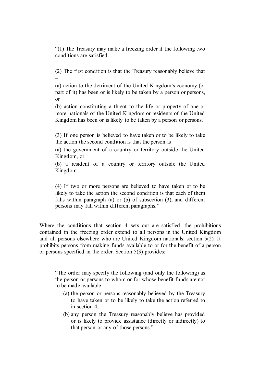"(1) The Treasury may make a freezing order if the following two conditions are satisfied.

(2) The first condition is that the Treasury reasonably believe that –

(a) action to the detriment of the United Kingdom's economy (or part of it) has been or is likely to be taken by a person or persons, or

(b) action constituting a threat to the life or property of one or more nationals of the United Kingdom or residents of the United Kingdom has been or is likely to be taken by a person or persons.

(3) If one person is believed to have taken or to be likely to take the action the second condition is that the person is  $-$ 

(a) the government of a country or territory outside the United Kingdom, or

(b) a resident of a country or territory outside the United Kingdom.

(4) If two or more persons are believed to have taken or to be likely to take the action the second condition is that each of them falls within paragraph (a) or (b) of subsection (3); and different persons may fall within different paragraphs."

Where the conditions that section 4 sets out are satisfied, the prohibitions contained in the freezing order extend to all persons in the United Kingdom and all persons elsewhere who are United Kingdom nationals: section 5(2). It prohibits persons from making funds available to or for the benefit of a person or persons specified in the order. Section 5(3) provides:

"The order may specify the following (and only the following) as the person or persons to whom or for whose benefit funds are not to be made available –

- (a) the person or persons reasonably believed by the Treasury to have taken or to be likely to take the action referred to in section 4;
- (b) any person the Treasury reasonably believe has provided or is likely to provide assistance (directly or indirectly) to that person or any of those persons."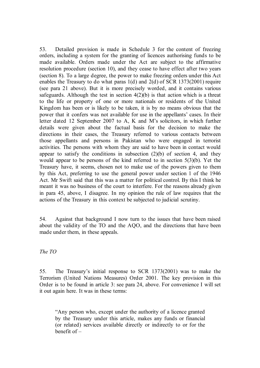53. Detailed provision is made in Schedule 3 for the content of freezing orders, including a system for the granting of licences authorising funds to be made available. Orders made under the Act are subject to the affirmative resolution procedure (section 10), and they cease to have effect after two years (section 8). To a large degree, the power to make freezing orders under this Act enables the Treasury to do what paras 1(d) and 2(d) of SCR 1373(2001) require (see para 21 above). But it is more precisely worded, and it contains various safeguards. Although the test in section  $4(2)(b)$  is that action which is a threat to the life or property of one or more nationals or residents of the United Kingdom has been or is likely to be taken, it is by no means obvious that the power that it confers was not available for use in the appellants' cases. In their letter dated 12 September 2007 to A, K and M's solicitors, in which further details were given about the factual basis for the decision to make the directions in their cases, the Treasury referred to various contacts between those appellants and persons in Pakistan who were engaged in terrorist activities. The persons with whom they are said to have been in contact would appear to satisfy the conditions in subsection  $(2)(b)$  of section 4, and they would appear to be persons of the kind referred to in section 5(3)(b). Yet the Treasury have, it seems, chosen not to make use of the powers given to them by this Act, preferring to use the general power under section 1 of the 1946 Act. Mr Swift said that this was a matter for political control. By this I think he meant it was no business of the court to interfere. For the reasons already given in para 45, above, I disagree. In my opinion the rule of law requires that the actions of the Treasury in this context be subjected to judicial scrutiny.

54. Against that background I now turn to the issues that have been raised about the validity of the TO and the AQO, and the directions that have been made under them, in these appeals.

*The TO*

55. The Treasury's initial response to SCR 1373(2001) was to make the Terrorism (United Nations Measures) Order 2001. The key provision in this Order is to be found in article 3: see para 24, above. For convenience I will set it out again here. It was in these terms:

"Any person who, except under the authority of a licence granted by the Treasury under this article, makes any funds or financial (or related) services available directly or indirectly to or for the benefit of –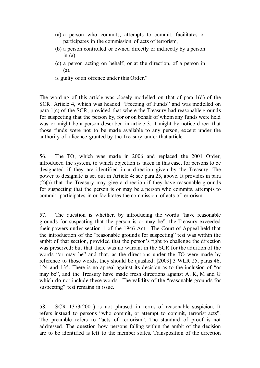- (a) a person who commits, attempts to commit, facilitates or participates in the commission of acts of terrorism,
- (b) a person controlled or owned directly or indirectly by a person in  $(a)$ ,
- (c) a person acting on behalf, or at the direction, of a person in (a),

is guilty of an offence under this Order."

The wording of this article was closely modelled on that of para 1(d) of the SCR. Article 4, which was headed "Freezing of Funds" and was modelled on para 1(c) of the SCR, provided that where the Treasury had reasonable grounds for suspecting that the person by, for or on behalf of whom any funds were held was or might be a person described in article 3, it might by notice direct that those funds were not to be made available to any person, except under the authority of a licence granted by the Treasury under that article.

56. The TO, which was made in 2006 and replaced the 2001 Order, introduced the system, to which objection is taken in this case, for persons to be designated if they are identified in a direction given by the Treasury. The power to designate is set out in Article 4: see para 25, above. It provides in para (2)(a) that the Treasury may give a direction if they have reasonable grounds for suspecting that the person is or may be a person who commits, attempts to commit, participates in or facilitates the commission of acts of terrorism.

57. The question is whether, by introducing the words "have reasonable grounds for suspecting that the person is or may be", the Treasury exceeded their powers under section 1 of the 1946 Act. The Court of Appeal held that the introduction of the "reasonable grounds for suspecting" test was within the ambit of that section, provided that the person's right to challenge the direction was preserved: but that there was no warrant in the SCR for the addition of the words "or may be" and that, as the directions under the TO were made by reference to those words, they should be quashed: [2009] 3 WLR 25, paras 46, 124 and 135. There is no appeal against its decision as to the inclusion of "or may be", and the Treasury have made fresh directions against A, K, M and G which do not include these words. The validity of the "reasonable grounds for suspecting" test remains in issue.

58. SCR 1373(2001) is not phrased in terms of reasonable suspicion. It refers instead to persons "who commit, or attempt to commit, terrorist acts". The preamble refers to "acts of terrorism". The standard of proof is not addressed. The question how persons falling within the ambit of the decision are to be identified is left to the member states. Transposition of the direction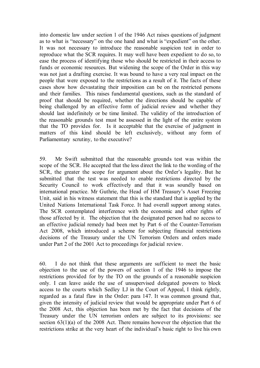into domestic law under section 1 of the 1946 Act raises questions of judgment as to what is "necessary" on the one hand and what is "expedient" on the other. It was not necessary to introduce the reasonable suspicion test in order to reproduce what the SCR requires. It may well have been expedient to do so, to ease the process of identifying those who should be restricted in their access to funds or economic resources. But widening the scope of the Order in this way was not just a drafting exercise. It was bound to have a very real impact on the people that were exposed to the restrictions as a result of it. The facts of these cases show how devastating their imposition can be on the restricted persons and their families. This raises fundamental questions, such as the standard of proof that should be required, whether the directions should be capable of being challenged by an effective form of judicial review and whether they should last indefinitely or be time limited. The validity of the introduction of the reasonable grounds test must be assessed in the light of the entire system that the TO provides for. Is it acceptable that the exercise of judgment in matters of this kind should be left exclusively, without any form of Parliamentary scrutiny, to the executive?

59. Mr Swift submitted that the reasonable grounds test was within the scope of the SCR. He accepted that the less direct the link to the wording of the SCR, the greater the scope for argument about the Order's legality. But he submitted that the test was needed to enable restrictions directed by the Security Council to work effectively and that it was soundly based on international practice. Mr Guthrie, the Head of HM Treasury's Asset Freezing Unit, said in his witness statement that this is the standard that is applied by the United Nations International Task Force. It had overall support among states. The SCR contemplated interference with the economic and other rights of those affected by it. The objection that the designated person had no access to an effective judicial remedy had been met by Part 6 of the Counter-Terrorism Act 2008, which introduced a scheme for subjecting financial restrictions decisions of the Treasury under the UN Terrorism Orders and orders made under Part 2 of the 2001 Act to proceedings for judicial review.

60. I do not think that these arguments are sufficient to meet the basic objection to the use of the powers of section 1 of the 1946 to impose the restrictions provided for by the TO on the grounds of a reasonable suspicion only. I can leave aside the use of unsupervised delegated powers to block access to the courts which Sedley LJ in the Court of Appeal, I think rightly, regarded as a fatal flaw in the Order: para 147. It was common ground that, given the intensity of judicial review that would be appropriate under Part 6 of the 2008 Act, this objection has been met by the fact that decisions of the Treasury under the UN terrorism orders are subject to its provisions: see section 63(1)(a) of the 2008 Act. There remains however the objection that the restrictions strike at the very heart of the individual's basic right to live his own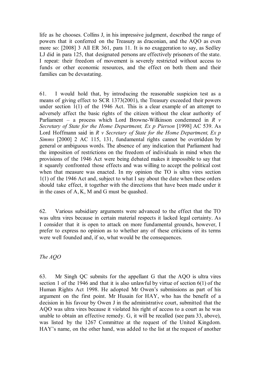life as he chooses. Collins J, in his impressive judgment, described the range of powers that it conferred on the Treasury as draconian, and the AQO as even more so: [2008] 3 All ER 361, para 11. It is no exaggeration to say, as Sedley LJ did in para 125, that designated persons are effectively prisoners of the state. I repeat: their freedom of movement is severely restricted without access to funds or other economic resources, and the effect on both them and their families can be devastating.

61. I would hold that, by introducing the reasonable suspicion test as a means of giving effect to SCR 1373(2001), the Treasury exceeded their powers under section 1(1) of the 1946 Act. This is a clear example of an attempt to adversely affect the basic rights of the citizen without the clear authority of Parliament – a process which Lord Browne-Wilkinson condemned in *R v Secretary of State for the Home Department, Ex p Pierson* [1998] AC 539. As Lord Hoffmann said in *R v Secretary of State for the Home Department, Ex p Simms* [2000] 2 AC 115, 131, fundamental rights cannot be overridden by general or ambiguous words. The absence of any indication that Parliament had the imposition of restrictions on the freedom of individuals in mind when the provisions of the 1946 Act were being debated makes it impossible to say that it squarely confronted those effects and was willing to accept the political cost when that measure was enacted. In my opinion the TO is ultra vires section 1(1) of the 1946 Act and, subject to what I say about the date when these orders should take effect, it together with the directions that have been made under it in the cases of A, K, M and G must be quashed.

62. Various subsidiary arguments were advanced to the effect that the TO was ultra vires because in certain material respects it lacked legal certainty. As I consider that it is open to attack on more fundamental grounds, however, I prefer to express no opinion as to whether any of these criticisms of its terms were well founded and, if so, what would be the consequences.

*The AQO*

63. Mr Singh QC submits for the appellant G that the AQO is ultra vires section 1 of the 1946 and that it is also unlawful by virtue of section 6(1) of the Human Rights Act 1998. He adopted Mr Owen's submissions as part of his argument on the first point. Mr Husain for HAY, who has the benefit of a decision in his favour by Owen J in the administrative court, submitted that the AQO was ultra vires because it violated his right of access to a court as he was unable to obtain an effective remedy. G, it will be recalled (see para 33, above), was listed by the 1267 Committee at the request of the United Kingdom. HAY's name, on the other hand, was added to the list at the request of another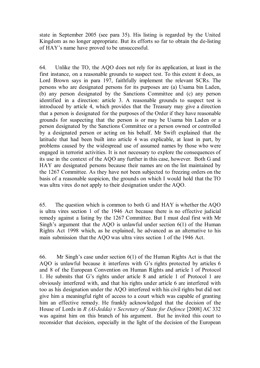state in September 2005 (see para 35). His listing is regarded by the United Kingdom as no longer appropriate. But its efforts so far to obtain the de-listing of HAY's name have proved to be unsuccessful.

64. Unlike the TO, the AQO does not rely for its application, at least in the first instance, on a reasonable grounds to suspect test. To this extent it does, as Lord Brown says in para 197, faithfully implement the relevant SCRs. The persons who are designated persons for its purposes are (a) Usama bin Laden, (b) any person designated by the Sanctions Committee and (c) any person identified in a direction: article 3. A reasonable grounds to suspect test is introduced by article 4, which provides that the Treasury may give a direction that a person is designated for the purposes of the Order if they have reasonable grounds for suspecting that the person is or may be Usama bin Laden or a person designated by the Sanctions Committee or a person owned or controlled by a designated person or acting on his behalf. Mr Swift explained that the latitude that had been built into article 4 was explicable, at least in part, by problems caused by the widespread use of assumed names by those who were engaged in terrorist activities. It is not necessary to explore the consequences of its use in the context of the AQO any further in this case, however. Both G and HAY are designated persons because their names are on the list maintained by the 1267 Committee. As they have not been subjected to freezing orders on the basis of a reasonable suspicion, the grounds on which I would hold that the TO was ultra vires do not apply to their designation under the AQO.

65. The question which is common to both G and HAY is whether the AQO is ultra vires section 1 of the 1946 Act because there is no effective judicial remedy against a listing by the 1267 Committee. But I must deal first with Mr Singh's argument that the AQO is unlawful under section 6(1) of the Human Rights Act 1998 which, as he explained, he advanced as an alternative to his main submission that the AQO was ultra vires section 1 of the 1946 Act.

66. Mr Singh's case under section 6(1) of the Human Rights Act is that the AQO is unlawful because it interferes with G's rights protected by articles 6 and 8 of the European Convention on Human Rights and article 1 of Protocol 1. He submits that G's rights under article 8 and article 1 of Protocol 1 are obviously interfered with, and that his rights under article 6 are interfered with too as his designation under the AQO interfered with his civil rights but did not give him a meaningful right of access to a court which was capable of granting him an effective remedy. He frankly acknowledged that the decision of the House of Lords in *R (Al-Jedda) v Secretary of State for Defence* [2008] AC 332 was against him on this branch of his argument. But he invited this court to reconsider that decision, especially in the light of the decision of the European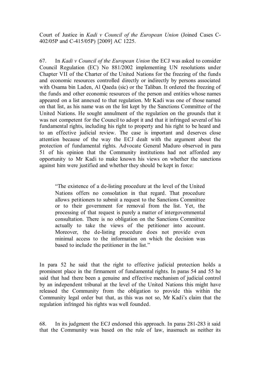Court of Justice in *Kadi v Council of the European Union* (Joined Cases C-402/05P and C-415/05P) [2009] AC 1225.

67. In *Kadi v Council of the European Union* the ECJ was asked to consider Council Regulation (EC) No 881/2002 implementing UN resolutions under Chapter VII of the Charter of the United Nations for the freezing of the funds and economic resources controlled directly or indirectly by persons associated with Osama bin Laden, Al Qaeda (sic) or the Taliban. It ordered the freezing of the funds and other economic resources of the person and entities whose names appeared on a list annexed to that regulation. Mr Kadi was one of those named on that list, as his name was on the list kept by the Sanctions Committee of the United Nations. He sought annulment of the regulation on the grounds that it was not competent for the Council to adopt it and that it infringed several of his fundamental rights, including his right to property and his right to be heard and to an effective judicial review. The case is important and deserves close attention because of the way the ECJ dealt with the argument about the protection of fundamental rights. Advocate General Maduro observed in para 51 of his opinion that the Community institutions had not afforded any opportunity to Mr Kadi to make known his views on whether the sanctions against him were justified and whether they should be kept in force:

"The existence of a de-listing procedure at the level of the United Nations offers no consolation in that regard. That procedure allows petitioners to submit a request to the Sanctions Committee or to their government for removal from the list. Yet, the processing of that request is purely a matter of intergovernmental consultation. There is no obligation on the Sanctions Committee actually to take the views of the petitioner into account. Moreover, the de-listing procedure does not provide even minimal access to the information on which the decision was based to include the petitioner in the list."

In para 52 he said that the right to effective judicial protection holds a prominent place in the firmament of fundamental rights. In paras 54 and 55 he said that had there been a genuine and effective mechanism of judicial control by an independent tribunal at the level of the United Nations this might have released the Community from the obligation to provide this within the Community legal order but that, as this was not so, Mr Kadi's claim that the regulation infringed his rights was well founded.

68. In its judgment the ECJ endorsed this approach. In paras 281-283 it said that the Community was based on the rule of law, inasmuch as neither its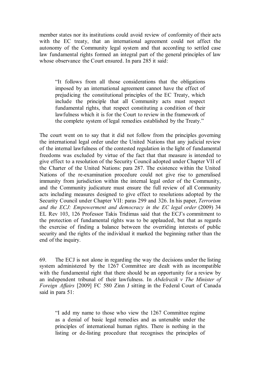member states nor its institutions could avoid review of conformity of their acts with the EC treaty, that an international agreement could not affect the autonomy of the Community legal system and that according to settled case law fundamental rights formed an integral part of the general principles of law whose observance the Court ensured. In para 285 it said:

"It follows from all those considerations that the obligations imposed by an international agreement cannot have the effect of prejudicing the constitutional principles of the EC Treaty, which include the principle that all Community acts must respect fundamental rights, that respect constituting a condition of their lawfulness which it is for the Court to review in the framework of the complete system of legal remedies established by the Treaty."

The court went on to say that it did not follow from the principles governing the international legal order under the United Nations that any judicial review of the internal lawfulness of the contested regulation in the light of fundamental freedoms was excluded by virtue of the fact that that measure is intended to give effect to a resolution of the Security Council adopted under Chapter VII of the Charter of the United Nations: para 287. The existence within the United Nations of the re-examination procedure could not give rise to generalised immunity from jurisdiction within the internal legal order of the Community, and the Community judicature must ensure the full review of all Community acts including measures designed to give effect to resolutions adopted by the Security Council under Chapter VII: paras 299 and 326. In his paper, *Terrorism and the ECJ: Empowerment and democracy in the EC legal order* (2009) 34 EL Rev 103, 126 Professor Takis Tridimas said that the ECJ's commitment to the protection of fundamental rights was to be applauded, but that as regards the exercise of finding a balance between the overriding interests of public security and the rights of the individual it marked the beginning rather than the end of the inquiry.

69. The ECJ is not alone in regarding the way the decisions under the listing system administered by the 1267 Committee are dealt with as incompatible with the fundamental right that there should be an opportunity for a review by an independent tribunal of their lawfulness. In *Abdelrazik v The Minister of Foreign Affairs* [2009] FC 580 Zinn J sitting in the Federal Court of Canada said in para 51:

"I add my name to those who view the 1267 Committee regime as a denial of basic legal remedies and as untenable under the principles of international human rights. There is nothing in the listing or de-listing procedure that recognises the principles of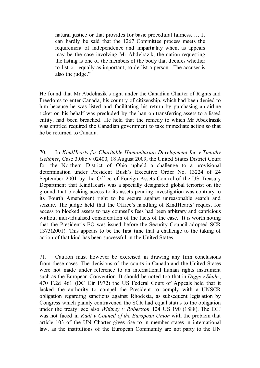natural justice or that provides for basic procedural fairness. … It can hardly be said that the 1267 Committee process meets the requirement of independence and impartiality when, as appears may be the case involving Mr Abdelrazik, the nation requesting the listing is one of the members of the body that decides whether to list or, equally as important, to de-list a person. The accuser is also the judge."

He found that Mr Abdelrazik's right under the Canadian Charter of Rights and Freedoms to enter Canada, his country of citizenship, which had been denied to him because he was listed and facilitating his return by purchasing an airline ticket on his behalf was precluded by the ban on transferring assets to a listed entity, had been breached. He held that the remedy to which Mr Abdelrazik was entitled required the Canadian government to take immediate action so that he be returned to Canada.

70. In *KindHearts for Charitable Humanitarian Development Inc v Timothy Geithner*, Case 3.08c v 02400, 18 August 2009, the United States District Court for the Northern District of Ohio upheld a challenge to a provisional determination under President Bush's Executive Order No. 13224 of 24 September 2001 by the Office of Foreign Assets Control of the US Treasury Department that KindHearts was a specially designated global terrorist on the ground that blocking access to its assets pending investigation was contrary to its Fourth Amendment right to be secure against unreasonable search and seizure. The judge held that the Office's handling of KindHearts' request for access to blocked assets to pay counsel's fees had been arbitrary and capricious without individualised consideration of the facts of the case. It is worth noting that the President's EO was issued before the Security Council adopted SCR 1373(2001). This appears to be the first time that a challenge to the taking of action of that kind has been successful in the United States.

71. Caution must however be exercised in drawing any firm conclusions from these cases. The decisions of the courts in Canada and the United States were not made under reference to an international human rights instrument such as the European Convention. It should be noted too that in *Diggs v Shultz*, 470 F.2d 461 (DC Cir 1972) the US Federal Court of Appeals held that it lacked the authority to compel the President to comply with a UNSCR obligation regarding sanctions against Rhodesia, as subsequent legislation by Congress which plainly contravened the SCR had equal status to the obligation under the treaty: see also *Whitney v Robertson* 124 US 190 (1888). The ECJ was not faced in *Kadi v Council of the European Union* with the problem that article 103 of the UN Charter gives rise to in member states in international law, as the institutions of the European Community are not party to the UN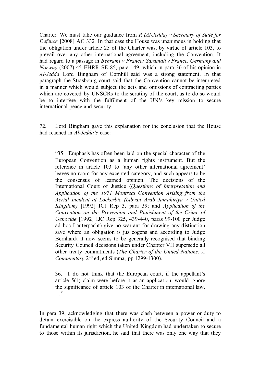Charter. We must take our guidance from *R (Al-Jedda) v Secretary of State for Defence* [2008] AC 332*.* In that case the House was unanimous in holding that the obligation under article 25 of the Charter was, by virtue of article 103, to prevail over any other international agreement, including the Convention. It had regard to a passage in *Behrami v France; Saramati v France, Germany and Norway* (2007) 45 EHRR SE 85, para 149, which in para 36 of his opinion in *Al-Jedda* Lord Bingham of Cornhill said was a strong statement. In that paragraph the Strasbourg court said that the Convention cannot be interpreted in a manner which would subject the acts and omissions of contracting parties which are covered by UNSCRs to the scrutiny of the court, as to do so would be to interfere with the fulfilment of the UN's key mission to secure international peace and security.

72. Lord Bingham gave this explanation for the conclusion that the House had reached in *Al-Jedda's* case:

"35. Emphasis has often been laid on the special character of the European Convention as a human rights instrument. But the reference in article 103 to 'any other international agreement' leaves no room for any excepted category, and such appears to be the consensus of learned opinion. The decisions of the International Court of Justice (*Questions of Interpretation and Application of the 1971 Montreal Convention Arising from the Aerial Incident at Lockerbie (Libyan Arab Jamahiriya v United Kingdom)* [1992] ICJ Rep 3, para 39; and *Application of the Convention on the Prevention and Punishment of the Crime of Genocide* [1992] IJC Rep 325, 439-440, paras 99-100 per Judge ad hoc Lauterpacht) give no warrant for drawing any distinction save where an obligation is jus cogens and according to Judge Bernhardt it now seems to be generally recognised that binding Security Council decisions taken under Chapter VII supersede all other treaty commitments (*The Charter of the United Nations: A Commentary* 2nd ed, ed Simma, pp 1299-1300).

36. I do not think that the European court, if the appellant's article 5(1) claim were before it as an application, would ignore the significance of article 103 of the Charter in international law. …"

In para 39, acknowledging that there was clash between a power or duty to detain exercisable on the express authority of the Security Council and a fundamental human right which the United Kingdom had undertaken to secure to those within its jurisdiction, he said that there was only one way that they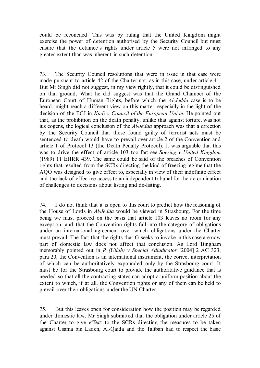could be reconciled. This was by ruling that the United Kingdom might exercise the power of detention authorised by the Security Council but must ensure that the detainee's rights under article 5 were not infringed to any greater extent than was inherent in such detention.

73. The Security Council resolutions that were in issue in that case were made pursuant to article 42 of the Charter not, as in this case, under article 41. But Mr Singh did not suggest, in my view rightly, that it could be distinguished on that ground. What he did suggest was that the Grand Chamber of the European Court of Human Rights, before which the *Al-Jedda* case is to be heard, might reach a different view on this matter, especially in the light of the decision of the ECJ in *Kadi v Council of the European Union*. He pointed out that, as the prohibition on the death penalty, unlike that against torture, was not ius cogens, the logical conclusion of the *Al-Jedda* approach was that a direction by the Security Council that those found guilty of terrorist acts must be sentenced to death would have to prevail over article 2 of the Convention and article 1 of Protocol 13 (the Death Penalty Protocol). It was arguable that this was to drive the effect of article 103 too far: see *Soering v United Kingdom*  (1989) 11 EHRR 439. The same could be said of the breaches of Convention rights that resulted from the SCRs directing the kind of freezing regime that the AQO was designed to give effect to, especially in view of their indefinite effect and the lack of effective access to an independent tribunal for the determination of challenges to decisions about listing and de-listing.

74. I do not think that it is open to this court to predict how the reasoning of the House of Lords in *Al-Jedda* would be viewed in Strasbourg. For the time being we must proceed on the basis that article 103 leaves no room for any exception, and that the Convention rights fall into the category of obligations under an international agreement over which obligations under the Charter must prevail. The fact that the rights that G seeks to invoke in this case are now part of domestic law does not affect that conclusion. As Lord Bingham memorably pointed out in *R (Ullah) v Special Adjudicator* [2004] 2 AC 323, para 20, the Convention is an international instrument, the correct interpretation of which can be authoritatively expounded only by the Strasbourg court. It must be for the Strasbourg court to provide the authoritative guidance that is needed so that all the contracting states can adopt a uniform position about the extent to which, if at all, the Convention rights or any of them can be held to prevail over their obligations under the UN Charter.

75. But this leaves open for consideration how the position may be regarded under domestic law. Mr Singh submitted that the obligation under article 25 of the Charter to give effect to the SCRs directing the measures to be taken against Usama bin Laden, Al-Qaida and the Taliban had to respect the basic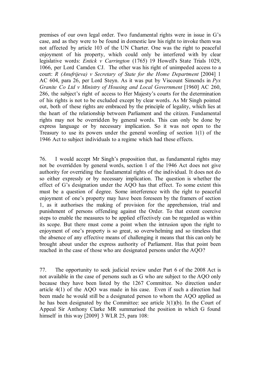premises of our own legal order. Two fundamental rights were in issue in G's case, and as they were to be found in domestic law his right to invoke them was not affected by article 103 of the UN Charter. One was the right to peaceful enjoyment of his property, which could only be interfered with by clear legislative words: *Entick v Carrington* (1765) 19 Howell's State Trials 1029, 1066, per Lord Camden CJ. The other was his right of unimpeded access to a court: *R (Anufrijeva) v Secretary of State for the Home Department* [2004] 1 AC 604, para 26, per Lord Steyn. As it was put by Viscount Simonds in *Pyx Granite Co Ltd v Ministry of Housing and Local Government* [1960] AC 260, 286, the subject's right of access to Her Majesty's courts for the determination of his rights is not to be excluded except by clear words. As Mr Singh pointed out, both of these rights are embraced by the principle of legality, which lies at the heart of the relationship between Parliament and the citizen. Fundamental rights may not be overridden by general words. This can only be done by express language or by necessary implication. So it was not open to the Treasury to use its powers under the general wording of section 1(1) of the 1946 Act to subject individuals to a regime which had these effects.

76. I would accept Mr Singh's proposition that, as fundamental rights may not be overridden by general words, section 1 of the 1946 Act does not give authority for overriding the fundamental rights of the individual. It does not do so either expressly or by necessary implication. The question is whether the effect of G's designation under the AQO has that effect. To some extent this must be a question of degree. Some interference with the right to peaceful enjoyment of one's property may have been foreseen by the framers of section 1, as it authorises the making of provision for the apprehension, trial and punishment of persons offending against the Order. To that extent coercive steps to enable the measures to be applied effectively can be regarded as within its scope. But there must come a point when the intrusion upon the right to enjoyment of one's property is so great, so overwhelming and so timeless that the absence of any effective means of challenging it means that this can only be brought about under the express authority of Parliament. Has that point been reached in the case of those who are designated persons under the AQO?

77. The opportunity to seek judicial review under Part 6 of the 2008 Act is not available in the case of persons such as G who are subject to the AQO only because they have been listed by the 1267 Committee. No direction under article 4(1) of the AQO was made in his case. Even if such a direction had been made he would still be a designated person to whom the AQO applied as he has been designated by the Committee: see article 3(1)(b). In the Court of Appeal Sir Anthony Clarke MR summarised the position in which G found himself in this way [2009] 3 WLR 25, para 108: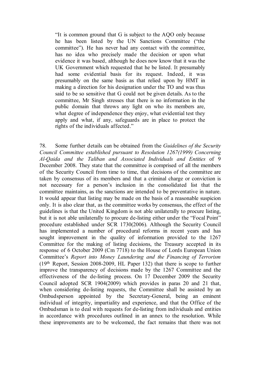"It is common ground that G is subject to the AQO only because he has been listed by the UN Sanctions Committee ("the committee"). He has never had any contact with the committee, has no idea who precisely made the decision or upon what evidence it was based, although he does now know that it was the UK Government which requested that he be listed. It presumably had some evidential basis for its request. Indeed, it was presumably on the same basis as that relied upon by HMT in making a direction for his designation under the TO and was thus said to be so sensitive that G could not be given details. As to the committee, Mr Singh stresses that there is no information in the public domain that throws any light on who its members are, what degree of independence they enjoy, what evidential test they apply and what, if any, safeguards are in place to protect the rights of the individuals affected."

78. Some further details can be obtained from the *Guidelines of the Security Council Committee established pursuant to Resolution 1267(1999) Concerning Al-Qaida and the Taliban and Associated Individuals and Entities* of 9 December 2008. They state that the committee is comprised of all the members of the Security Council from time to time, that decisions of the committee are taken by consensus of its members and that a criminal charge or conviction is not necessary for a person's inclusion in the consolidated list that the committee maintains, as the sanctions are intended to be preventative in nature. It would appear that listing may be made on the basis of a reasonable suspicion only. It is also clear that, as the committee works by consensus, the effect of the guidelines is that the United Kingdom is not able unilaterally to procure listing, but it is not able unilaterally to procure de-listing either under the "Focal Point" procedure established under SCR 1730(2006). Although the Security Council has implemented a number of procedural reforms in recent years and has sought improvement in the quality of information provided to the 1267 Committee for the making of listing decisions, the Treasury accepted in its response of 6 October 2009 (Cm 7718) to the House of Lords European Union Committee's *Report into Money Laundering and the Financing of Terrorism* (19th Report, Session 2008-2009, HL Paper 132) that there is scope to further improve the transparency of decisions made by the 1267 Committee and the effectiveness of the de-listing process. On 17 December 2009 the Security Council adopted SCR 1904(2009) which provides in paras 20 and 21 that, when considering de-listing requests, the Committee shall be assisted by an Ombudsperson appointed by the Secretary-General, being an eminent individual of integrity, impartiality and experience, and that the Office of the Ombudsman is to deal with requests for de-listing from individuals and entities in accordance with procedures outlined in an annex to the resolution. While these improvements are to be welcomed, the fact remains that there was not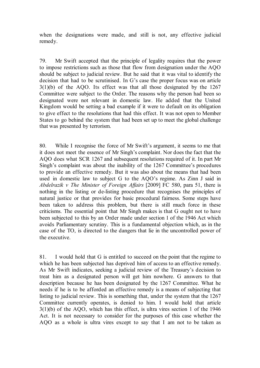when the designations were made, and still is not, any effective judicial remedy.

79. Mr Swift accepted that the principle of legality requires that the power to impose restrictions such as those that flow from designation under the AQO should be subject to judicial review. But he said that it was vital to identify the decision that had to be scrutinised. In G's case the proper focus was on article 3(1)(b) of the AQO. Its effect was that all those designated by the 1267 Committee were subject to the Order. The reasons why the person had been so designated were not relevant in domestic law. He added that the United Kingdom would be setting a bad example if it were to default on its obligation to give effect to the resolutions that had this effect. It was not open to Member States to go behind the system that had been set up to meet the global challenge that was presented by terrorism.

80. While I recognise the force of Mr Swift's argument, it seems to me that it does not meet the essence of Mr Singh's complaint. Nor does the fact that the AQO does what SCR 1267 and subsequent resolutions required of it. In part Mr Singh's complaint was about the inability of the 1267 Committee's procedures to provide an effective remedy. But it was also about the means that had been used in domestic law to subject G to the AQO's regime. As Zinn J said in *Abdelrazik v The Minister of Foreign Affairs* [2009] FC 580, para 51, there is nothing in the listing or de-listing procedure that recognises the principles of natural justice or that provides for basic procedural fairness. Some steps have been taken to address this problem, but there is still much force in these criticisms. The essential point that Mr Singh makes is that G ought not to have been subjected to this by an Order made under section 1 of the 1946 Act which avoids Parliamentary scrutiny. This is a fundamental objection which, as in the case of the TO, is directed to the dangers that lie in the uncontrolled power of the executive.

81. I would hold that G is entitled to succeed on the point that the regime to which he has been subjected has deprived him of access to an effective remedy. As Mr Swift indicates, seeking a judicial review of the Treasury's decision to treat him as a designated person will get him nowhere. G answers to that description because he has been designated by the 1267 Committee. What he needs if he is to be afforded an effective remedy is a means of subjecting that listing to judicial review. This is something that, under the system that the 1267 Committee currently operates, is denied to him. I would hold that article 3(1)(b) of the AQO, which has this effect, is ultra vires section 1 of the 1946 Act. It is not necessary to consider for the purposes of this case whether the AQO as a whole is ultra vires except to say that I am not to be taken as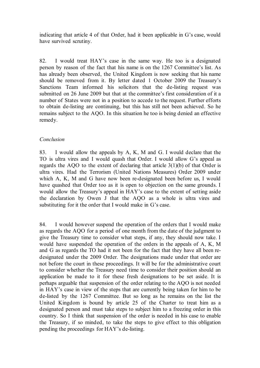indicating that article 4 of that Order, had it been applicable in G's case, would have survived scrutiny.

82. I would treat HAY's case in the same way. He too is a designated person by reason of the fact that his name is on the 1267 Committee's list. As has already been observed, the United Kingdom is now seeking that his name should be removed from it. By letter dated 1 October 2009 the Treasury's Sanctions Team informed his solicitors that the de-listing request was submitted on 26 June 2009 but that at the committee's first consideration of it a number of States were not in a position to accede to the request. Further efforts to obtain de-listing are continuing, but this has still not been achieved. So he remains subject to the AQO. In this situation he too is being denied an effective remedy.

# *Conclusion*

83. I would allow the appeals by A, K, M and G. I would declare that the TO is ultra vires and I would quash that Order. I would allow G's appeal as regards the AQO to the extent of declaring that article 3(1)(b) of that Order is ultra vires. Had the Terrorism (United Nations Measures) Order 2009 under which A, K, M and G have now been re-designated been before us, I would have quashed that Order too as it is open to objection on the same grounds. I would allow the Treasury's appeal in HAY's case to the extent of setting aside the declaration by Owen J that the AQO as a whole is ultra vires and substituting for it the order that I would make in G's case.

84. I would however suspend the operation of the orders that I would make as regards the AQO for a period of one month from the date of the judgment to give the Treasury time to consider what steps, if any, they should now take. I would have suspended the operation of the orders in the appeals of A, K, M and G as regards the TO had it not been for the fact that they have all been redesignated under the 2009 Order. The designations made under that order are not before the court in these proceedings. It will be for the administrative court to consider whether the Treasury need time to consider their position should an application be made to it for these fresh designations to be set aside. It is perhaps arguable that suspension of the order relating to the AQO is not needed in HAY's case in view of the steps that are currently being taken for him to be de-listed by the 1267 Committee. But so long as he remains on the list the United Kingdom is bound by article 25 of the Charter to treat him as a designated person and must take steps to subject him to a freezing order in this country. So I think that suspension of the order is needed in his case to enable the Treasury, if so minded, to take the steps to give effect to this obligation pending the proceedings for HAY's de-listing.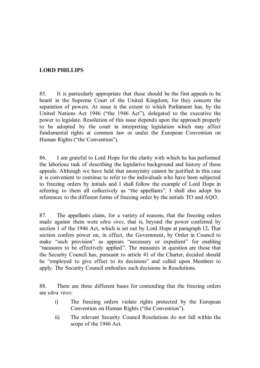# **LORD PHILLIPS**

85. It is particularly appropriate that these should be the first appeals to be heard in the Supreme Court of the United Kingdom, for they concern the separation of powers. At issue is the extent to which Parliament has, by the United Nations Act 1946 ("the 1946 Act"), delegated to the executive the power to legislate. Resolution of this issue depends upon the approach properly to be adopted by the court in interpreting legislation which may affect fundamental rights at common law or under the European Convention on Human Rights ("the Convention").

86. I am grateful to Lord Hope for the clarity with which he has performed the laborious task of describing the legislative background and history of these appeals. Although we have held that anonymity cannot be justified in this case it is convenient to continue to refer to the individuals who have been subjected to freezing orders by initials and I shall follow the example of Lord Hope in referring to them all collectively as "the appellants". I shall also adopt his references to the different forms of freezing order by the initials TO and AQO.

87. The appellants claim, for a variety of reasons, that the freezing orders made against them were *ultra vires,* that is, beyond the power conferred by section 1 of the 1946 Act, which is set out by Lord Hope at paragraph 12**.** That section confers power on, in effect, the Government, by Order in Council to make "such provision" as appears "necessary or expedient" for enabling "measures to be effectively applied". The measures in question are those that the Security Council has, pursuant to article 41 of the Charter, decided should be "employed to give effect to its decisions" and called upon Members to apply. The Security Council embodies such decisions in Resolutions.

88. There are three different bases for contending that the freezing orders are *ultra vires*:

- i) The freezing orders violate rights protected by the European Convention on Human Rights ("the Convention").
- ii) The relevant Security Council Resolutions do not fall within the scope of the 1946 Act.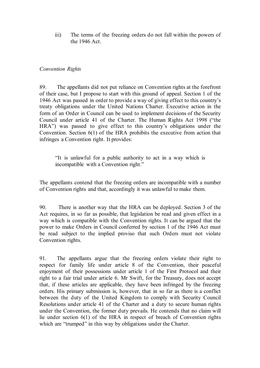iii) The terms of the freezing orders do not fall within the powers of the 1946 Act.

#### *Convention Rights*

89. The appellants did not put reliance on Convention rights at the forefront of their case, but I propose to start with this ground of appeal. Section 1 of the 1946 Act was passed in order to provide a way of giving effect to this country's treaty obligations under the United Nations Charter. Executive action in the form of an Order in Council can be used to implement decisions of the Security Council under article 41 of the Charter. The Human Rights Act 1998 ("the HRA") was passed to give effect to this country's obligations under the Convention. Section 6(1) of the HRA prohibits the executive from action that infringes a Convention right. It provides:

"It is unlawful for a public authority to act in a way which is incompatible with a Convention right."

The appellants contend that the freezing orders are incompatible with a number of Convention rights and that, accordingly it was unlawful to make them.

90. There is another way that the HRA can be deployed. Section 3 of the Act requires, in so far as possible, that legislation be read and given effect in a way which is compatible with the Convention rights. It can be argued that the power to make Orders in Council conferred by section 1 of the 1946 Act must be read subject to the implied proviso that such Orders must not violate Convention rights.

91. The appellants argue that the freezing orders violate their right to respect for family life under article 8 of the Convention, their peaceful enjoyment of their possessions under article 1 of the First Protocol and their right to a fair trial under article 6. Mr Swift, for the Treasury, does not accept that, if these articles are applicable, they have been infringed by the freezing orders. His primary submission is, however, that in so far as there is a conflict between the duty of the United Kingdom to comply with Security Council Resolutions under article 41 of the Charter and a duty to secure human rights under the Convention, the former duty prevails. He contends that no claim will lie under section 6(1) of the HRA in respect of breach of Convention rights which are "trumped" in this way by obligations under the Charter.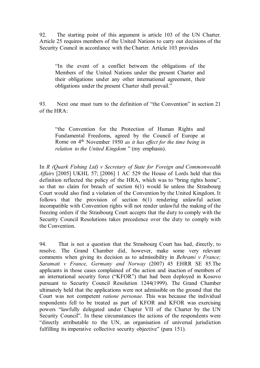92. The starting point of this argument is article 103 of the UN Charter. Article 25 requires members of the United Nations to carry out decisions of the Security Council in accordance with the Charter. Article 103 provides

"In the event of a conflict between the obligations of the Members of the United Nations under the present Charter and their obligations under any other international agreement, their obligations under the present Charter shall prevail."

93. Next one must turn to the definition of "the Convention" in section 21 of the HRA:

"the Convention for the Protection of Human Rights and Fundamental Freedoms, agreed by the Council of Europe at Rome on 4th November 1950 *as it has effect for the time being in relation to the United Kingdom* " (my emphasis).

In *R (Quark Fishing Ltd) v Secretary of State for Foreign and Commonwealth Affairs* [2005] UKHL 57; [2006] 1 AC 529 the House of Lords held that this definition reflected the policy of the HRA, which was to "bring rights home", so that no claim for breach of section  $6(1)$  would lie unless the Strasbourg Court would also find a violation of the Convention by the United Kingdom. It follows that the provision of section 6(1) rendering unlawful action incompatible with Convention rights will not render unlawful the making of the freezing orders if the Strasbourg Court accepts that the duty to comply with the Security Council Resolutions takes precedence over the duty to comply with the Convention.

94. That is not a question that the Strasbourg Court has had, directly, to resolve. The Grand Chamber did, however, make some very relevant comments when giving its decision as to admissibility in *Behrami v France; Saramati v France, Germany and Norway* (2007) 45 EHRR SE 85*.*The applicants in those cases complained of the action and inaction of members of an international security force ("KFOR") that had been deployed in Kosovo pursuant to Security Council Resolution 1244(1999). The Grand Chamber ultimately held that the applications were not admissible on the ground that the Court was not competent *ratione personae.* This was because the individual respondents fell to be treated as part of KFOR and KFOR was exercising powers "lawfully delegated under Chapter VII of the Charter by the UN Security Council". In these circumstances the actions of the respondents were "directly attributable to the UN, an organisation of universal jurisdiction fulfilling its imperative collective security objective" (para 151).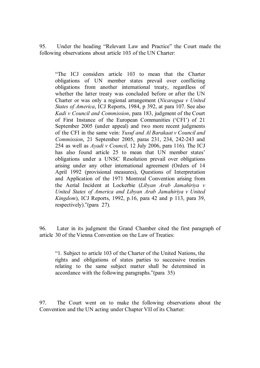95. Under the heading "Relevant Law and Practice" the Court made the following observations about article 103 of the UN Charter:

"The ICJ considers article 103 to mean that the Charter obligations of UN member states prevail over conflicting obligations from another international treaty, regardless of whether the latter treaty was concluded before or after the UN Charter or was only a regional arrangement (*Nicaragua v United States of America*, ICJ Reports, 1984, p 392, at para 107. See also *Kadi v Council and Commission*, para 183, judgment of the Court of First Instance of the European Communities ('CFI') of 21 September 2005 (under appeal) and two more recent judgments of the CFI in the same vein: *Yusuf and Al Barakaat v Council and Commission*, 21 September 2005, paras 231, 234, 242-243 and 254 as well as *Ayadi v Council*, 12 July 2006, para 116). The ICJ has also found article 25 to mean that UN member states' obligations under a UNSC Resolution prevail over obligations arising under any other international agreement (Orders of 14 April 1992 (provisional measures), Questions of Interpretation and Application of the 1971 Montreal Convention arising from the Aerial Incident at Lockerbie (*Libyan Arab Jamahiriya v United States of America and Libyan Arab Jamahiriya v United Kingdom*), ICJ Reports, 1992, p.16, para 42 and p 113, para 39, respectively)."(para 27).

96. Later in its judgment the Grand Chamber cited the first paragraph of article 30 of the Vienna Convention on the Law of Treaties:

"1. Subject to article 103 of the Charter of the United Nations, the rights and obligations of states parties to successive treaties relating to the same subject matter shall be determined in accordance with the following paragraphs."(para 35)

97. The Court went on to make the following observations about the Convention and the UN acting under Chapter VII of its Charter: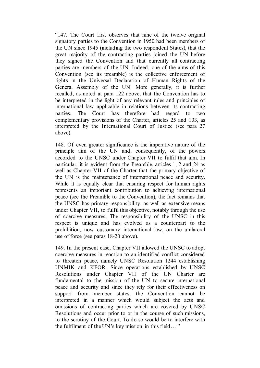"147. The Court first observes that nine of the twelve original signatory parties to the Convention in 1950 had been members of the UN since 1945 (including the two respondent States), that the great majority of the contracting parties joined the UN before they signed the Convention and that currently all contracting parties are members of the UN. Indeed, one of the aims of this Convention (see its preamble) is the collective enforcement of rights in the Universal Declaration of Human Rights of the General Assembly of the UN. More generally, it is further recalled, as noted at para 122 above, that the Convention has to be interpreted in the light of any relevant rules and principles of international law applicable in relations between its contracting parties. The Court has therefore had regard to two complementary provisions of the Charter, articles 25 and 103, as interpreted by the International Court of Justice (see para 27 above).

148. Of even greater significance is the imperative nature of the principle aim of the UN and, consequently, of the powers accorded to the UNSC under Chapter VII to fulfil that aim. In particular, it is evident from the Preamble, articles 1, 2 and 24 as well as Chapter VII of the Charter that the primary objective of the UN is the maintenance of international peace and security. While it is equally clear that ensuring respect for human rights represents an important contribution to achieving international peace (see the Preamble to the Convention), the fact remains that the UNSC has primary responsibility, as well as extensive means under Chapter VII, to fulfil this objective, notably through the use of coercive measures. The responsibility of the UNSC in this respect is unique and has evolved as a counterpart to the prohibition, now customary international law, on the unilateral use of force (see paras 18-20 above).

149. In the present case, Chapter VII allowed the UNSC to adopt coercive measures in reaction to an identified conflict considered to threaten peace, namely UNSC Resolution 1244 establishing UNMIK and KFOR. Since operations established by UNSC Resolutions under Chapter VII of the UN Charter are fundamental to the mission of the UN to secure international peace and security and since they rely for their effectiveness on support from member states, the Convention cannot be interpreted in a manner which would subject the acts and omissions of contracting parties which are covered by UNSC Resolutions and occur prior to or in the course of such missions, to the scrutiny of the Court. To do so would be to interfere with the fulfilment of the UN's key mission in this field… "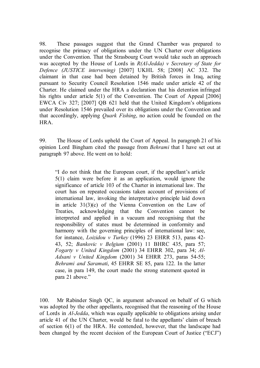98. These passages suggest that the Grand Chamber was prepared to recognise the primacy of obligations under the UN Charter over obligations under the Convention. That the Strasbourg Court would take such an approach was accepted by the House of Lords in *R(Al-Jedda) v Secretary of State for Defence (JUSTICE intervening)* [2007] UKHL 58; [2008] AC 332. The claimant in that case had been detained by British forces in Iraq, acting pursuant to Security Council Resolution 1546 made under article 42 of the Charter. He claimed under the HRA a declaration that his detention infringed his rights under article 5(1) of the Convention. The Court of Appeal [2006] EWCA Civ 327; [2007] QB 621 held that the United Kingdom's obligations under Resolution 1546 prevailed over its obligations under the Convention and that accordingly, applying *Quark Fishing*, no action could be founded on the HRA.

99. The House of Lords upheld the Court of Appeal. In paragraph 21 of his opinion Lord Bingham cited the passage from *Behrami* that I have set out at paragraph 97 above. He went on to hold:

"I do not think that the European court, if the appellant's article 5(1) claim were before it as an application, would ignore the significance of article 103 of the Charter in international law. The court has on repeated occasions taken account of provisions of international law, invoking the interpretative principle laid down in article 31(3)(c) of the Vienna Convention on the Law of Treaties, acknowledging that the Convention cannot be interpreted and applied in a vacuum and recognising that the responsibility of states must be determined in conformity and harmony with the governing principles of international law: see, for instance, *Loizidou v Turkey* (1996) 23 EHRR 513, paras 42- 43, 52; *Bankovic v Belgium* (2001) 11 BHRC 435, para 57; *Fogarty v United Kingdom* (2001) 34 EHRR 302, para 34; *Al-Adsani v United Kingdom* (2001) 34 EHRR 273, paras 54-55; *Behrami and Saramati*, 45 EHRR SE 85, para 122. In the latter case, in para 149, the court made the strong statement quoted in para 21 above."

100. Mr Rabinder Singh QC, in argument advanced on behalf of G which was adopted by the other appellants, recognised that the reasoning of the House of Lords in *Al-Jedda*, which was equally applicable to obligations arising under article 41 of the UN Charter, would be fatal to the appellants' claim of breach of section 6(1) of the HRA. He contended, however, that the landscape had been changed by the recent decision of the European Court of Justice ("ECJ")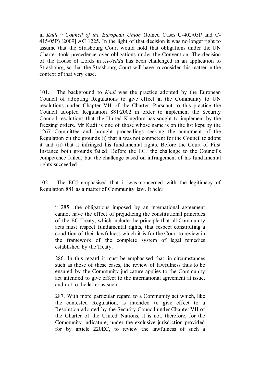in *Kadi v Council of the European Union* (Joined Cases C-402/05P and C-415/05P) [2009] AC 1225. In the light of that decision it was no longer right to assume that the Strasbourg Court would hold that obligations under the UN Charter took precedence over obligations under the Convention. The decision of the House of Lords in *Al-Jedda* has been challenged in an application to Strasbourg, so that the Strasbourg Court will have to consider this matter in the context of that very case.

101. The background to *Kadi* was the practice adopted by the European Council of adopting Regulations to give effect in the Community to UN resolutions under Chapter VII of the Charter. Pursuant to this practice the Council adopted Regulation 881/2002 in order to implement the Security Council resolutions that the United Kingdom has sought to implement by the freezing orders. Mr Kadi is one of those whose name is on the list kept by the 1267 Committee and brought proceedings seeking the annulment of the Regulation on the grounds (i) that it was not competent for the Council to adopt it and (ii) that it infringed his fundamental rights. Before the Court of First Instance both grounds failed. Before the ECJ the challenge to the Council's competence failed, but the challenge based on infringement of his fundamental rights succeeded.

102. The ECJ emphasised that it was concerned with the legitimacy of Regulation 881 as a matter of Community law. It held:

" 285…the obligations imposed by an international agreement cannot have the effect of prejudicing the constitutional principles of the EC Treaty, which include the principle that all Community acts must respect fundamental rights, that respect constituting a condition of their lawfulness which it is for the Court to review in the framework of the complete system of legal remedies established by the Treaty.

286. In this regard it must be emphasised that, in circumstances such as those of these cases, the review of lawfulness thus to be ensured by the Community judicature applies to the Community act intended to give effect to the international agreement at issue, and not to the latter as such.

287. With more particular regard to a Community act which, like the contested Regulation, is intended to give effect to a Resolution adopted by the Security Council under Chapter VII of the Charter of the United Nations, it is not, therefore, for the Community judicature, under the exclusive jurisdiction provided for by article 220EC, to review the lawfulness of such a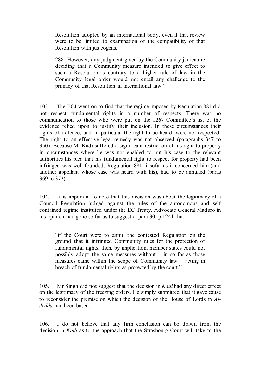Resolution adopted by an international body, even if that review were to be limited to examination of the compatibility of that Resolution with jus cogens.

288. However, any judgment given by the Community judicature deciding that a Community measure intended to give effect to such a Resolution is contrary to a higher rule of law in the Community legal order would not entail any challenge to the primacy of that Resolution in international law."

103. The ECJ went on to find that the regime imposed by Regulation 881 did not respect fundamental rights in a number of respects. There was no communication to those who were put on the 1267 Committee's list of the evidence relied upon to justify their inclusion. In these circumstances their rights of defence, and in particular the right to be heard, were not respected. The right to an effective legal remedy was not observed (paragraphs 347 to 350). Because Mr Kadi suffered a significant restriction of his right to property in circumstances where he was not enabled to put his case to the relevant authorities his plea that his fundamental right to respect for property had been infringed was well founded. Regulation 881, insofar as it concerned him (and another appellant whose case was heard with his), had to be annulled (paras 369 to 372).

104. It is important to note that this decision was about the legitimacy of a Council Regulation judged against the rules of the autonomous and self contained regime instituted under the EC Treaty. Advocate General Maduro in his opinion had gone so far as to suggest at para 30, p 1241 that:

"if the Court were to annul the contested Regulation on the ground that it infringed Community rules for the protection of fundamental rights, then, by implication, member states could not possibly adopt the same measures without  $-$  in so far as those measures came within the scope of Community law – acting in breach of fundamental rights as protected by the court."

105. Mr Singh did not suggest that the decision in *Kadi* had any direct effect on the legitimacy of the freezing orders. He simply submitted that it gave cause to reconsider the premise on which the decision of the House of Lords in *Al-Jedda* had been based.

106. I do not believe that any firm conclusion can be drawn from the decision in *Kadi* as to the approach that the Strasbourg Court will take to the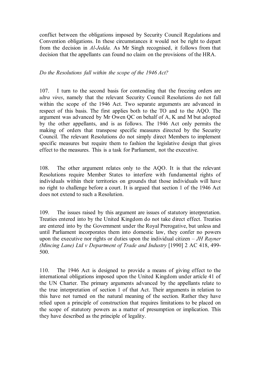conflict between the obligations imposed by Security Council Regulations and Convention obligations. In these circumstances it would not be right to depart from the decision in *Al-Jedda.* As Mr Singh recognised, it follows from that decision that the appellants can found no claim on the provisions of the HRA.

## *Do the Resolutions fall within the scope of the 1946 Act?*

107. I turn to the second basis for contending that the freezing orders are *ultra vires*, namely that the relevant Security Council Resolutions do not fall within the scope of the 1946 Act. Two separate arguments are advanced in respect of this basis. The first applies both to the TO and to the AQO. The argument was advanced by Mr Owen QC on behalf of A, K and M but adopted by the other appellants, and is as follows. The 1946 Act only permits the making of orders that transpose specific measures directed by the Security Council. The relevant Resolutions do not simply direct Members to implement specific measures but require them to fashion the legislative design that gives effect to the measures. This is a task for Parliament, not the executive.

108. The other argument relates only to the AQO. It is that the relevant Resolutions require Member States to interfere with fundamental rights of individuals within their territories on grounds that those individuals will have no right to challenge before a court. It is argued that section 1 of the 1946 Act does not extend to such a Resolution.

109. The issues raised by this argument are issues of statutory interpretation. Treaties entered into by the United Kingdom do not take direct effect. Treaties are entered into by the Government under the Royal Prerogative, but unless and until Parliament incorporates them into domestic law, they confer no powers upon the executive nor rights or duties upon the individual citizen – *JH Rayner (Mincing Lane) Ltd v Department of Trade and Industry* [1990] 2 AC 418, 499- 500.

110. The 1946 Act is designed to provide a means of giving effect to the international obligations imposed upon the United Kingdom under article 41 of the UN Charter. The primary arguments advanced by the appellants relate to the true interpretation of section 1 of that Act. Their arguments in relation to this have not turned on the natural meaning of the section. Rather they have relied upon a principle of construction that requires limitations to be placed on the scope of statutory powers as a matter of presumption or implication. This they have described as the principle of legality.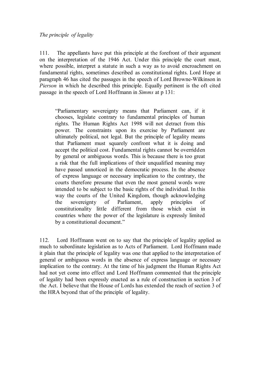## *The principle of legality*

111. The appellants have put this principle at the forefront of their argument on the interpretation of the 1946 Act. Under this principle the court must, where possible, interpret a statute in such a way as to avoid encroachment on fundamental rights, sometimes described as constitutional rights. Lord Hope at paragraph 46 has cited the passages in the speech of Lord Browne-Wilkinson in *Pierson* in which he described this principle. Equally pertinent is the oft cited passage in the speech of Lord Hoffmann in *Simms* at p 131:

"Parliamentary sovereignty means that Parliament can, if it chooses, legislate contrary to fundamental principles of human rights. The Human Rights Act 1998 will not detract from this power. The constraints upon its exercise by Parliament are ultimately political, not legal. But the principle of legality means that Parliament must squarely confront what it is doing and accept the political cost. Fundamental rights cannot be overridden by general or ambiguous words. This is because there is too great a risk that the full implications of their unqualified meaning may have passed unnoticed in the democratic process. In the absence of express language or necessary implication to the contrary, the courts therefore presume that even the most general words were intended to be subject to the basic rights of the individual. In this way the courts of the United Kingdom, though acknowledging the sovereignty of Parliament, apply principles of constitutionality little different from those which exist in countries where the power of the legislature is expressly limited by a constitutional document."

112. Lord Hoffmann went on to say that the principle of legality applied as much to subordinate legislation as to Acts of Parliament. Lord Hoffmann made it plain that the principle of legality was one that applied to the interpretation of general or ambiguous words in the absence of express language or necessary implication to the contrary. At the time of his judgment the Human Rights Act had not yet come into effect and Lord Hoffmann commented that the principle of legality had been expressly enacted as a rule of construction in section 3 of the Act. I believe that the House of Lords has extended the reach of section 3 of the HRA beyond that of the principle of legality.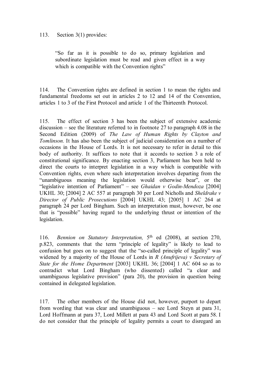## 113. Section 3(1) provides:

"So far as it is possible to do so, primary legislation and subordinate legislation must be read and given effect in a way which is compatible with the Convention rights"

114. The Convention rights are defined in section 1 to mean the rights and fundamental freedoms set out in articles 2 to 12 and 14 of the Convention, articles 1 to 3 of the First Protocol and article 1 of the Thirteenth Protocol.

115. The effect of section 3 has been the subject of extensive academic discussion – see the literature referred to in footnote 27 to paragraph 4.08 in the Second Edition (2009) of *The Law of Human Rights by Clayton and Tomlinson.* It has also been the subject of judicial consideration on a number of occasions in the House of Lords. It is not necessary to refer in detail to this body of authority. It suffices to note that it accords to section 3 a role of constitutional significance. By enacting section 3, Parliament has been held to direct the courts to interpret legislation in a way which is compatible with Convention rights, even where such interpretation involves departing from the "unambiguous meaning the legislation would otherwise bear", or the "legislative intention of Parliament" – see *Ghaidan v Godin-Mendoza* [2004] UKHL 30; [2004] 2 AC 557 at paragraph 30 per Lord Nicholls and *Sheldrake v Director of Public Prosecutions* [2004] UKHL 43; [2005] 1 AC 264 at paragraph 24 per Lord Bingham. Such an interpretation must, however, be one that is "possible" having regard to the underlying thrust or intention of the legislation.

116. *Bennion on Statutory Interpretation,* 5th ed (2008), at section 270, p.823, comments that the term "principle of legality" is likely to lead to confusion but goes on to suggest that the "so-called principle of legality" was widened by a majority of the House of Lords in *R (Anufrijeva) v Secretary of State for the Home Department* [2003] UKHL 36; [2004] 1 AC 604 so as to contradict what Lord Bingham (who dissented) called "a clear and unambiguous legislative provision" (para 20), the provision in question being contained in delegated legislation.

117. The other members of the House did not, however, purport to depart from wording that was clear and unambiguous – see Lord Steyn at para 31, Lord Hoffmann at para 37, Lord Millett at para 43 and Lord Scott at para 58. I do not consider that the principle of legality permits a court to disregard an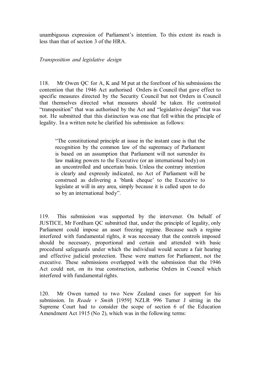unambiguous expression of Parliament's intention. To this extent its reach is less than that of section 3 of the HRA.

*Transposition and legislative design*

118. Mr Owen QC for A, K and M put at the forefront of his submissions the contention that the 1946 Act authorised Orders in Council that gave effect to specific measures directed by the Security Council but not Orders in Council that themselves directed what measures should be taken. He contrasted "transposition" that was authorised by the Act and "legislative design" that was not. He submitted that this distinction was one that fell within the principle of legality. In a written note he clarified his submission as follows:

"The constitutional principle at issue in the instant case is that the recognition by the common law of the supremacy of Parliament is based on an assumption that Parliament will not surrender its law making powers to the Executive (or an international body) on an uncontrolled and uncertain basis. Unless the contrary intention is clearly and expressly indicated, no Act of Parliament will be construed as delivering a 'blank cheque' to the Executive to legislate at will in any area, simply because it is called upon to do so by an international body".

119. This submission was supported by the intervener. On behalf of JUSTICE, Mr Fordham QC submitted that, under the principle of legality, only Parliament could impose an asset freezing regime. Because such a regime interfered with fundamental rights, it was necessary that the controls imposed should be necessary, proportional and certain and attended with basic procedural safeguards under which the individual would secure a fair hearing and effective judicial protection. These were matters for Parliament, not the executive. These submissions overlapped with the submission that the 1946 Act could not, on its true construction, authorise Orders in Council which interfered with fundamental rights.

120. Mr Owen turned to two New Zealand cases for support for his submission. In *Reade v Smith* [1959] NZLR 996 Turner J sitting in the Supreme Court had to consider the scope of section 6 of the Education Amendment Act 1915 (No 2), which was in the following terms: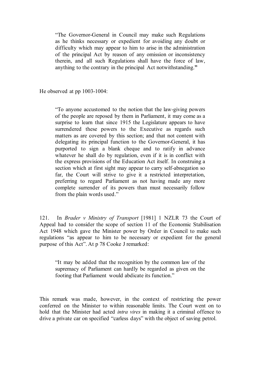"The Governor-General in Council may make such Regulations as he thinks necessary or expedient for avoiding any doubt or difficulty which may appear to him to arise in the administration of the principal Act by reason of any omission or inconsistency therein, and all such Regulations shall have the force of law, anything to the contrary in the principal Act notwithstanding.**"**

He observed at pp 1003-1004:

"To anyone accustomed to the notion that the law-giving powers of the people are reposed by them in Parliament, it may come as a surprise to learn that since 1915 the Legislature appears to have surrendered these powers to the Executive as regards such matters as are covered by this section; and that not content with delegating its principal function to the Governor-General, it has purported to sign a blank cheque and to ratify in advance whatever he shall do by regulation, even if it is in conflict with the express provisions of the Education Act itself. In construing a section which at first sight may appear to carry self-abnegation so far, the Court will strive to give it a restricted interpretation, preferring to regard Parliament as not having made any more complete surrender of its powers than must necessarily follow from the plain words used."

121. In *Brader v Ministry of Transport* [1981] 1 NZLR 73 the Court of Appeal had to consider the scope of section 11 of the Economic Stabilisation Act 1948 which gave the Minister power by Order in Council to make such regulations "as appear to him to be necessary or expedient for the general purpose of this Act". At p 78 Cooke J remarked:

"It may be added that the recognition by the common law of the supremacy of Parliament can hardly be regarded as given on the footing that Parliament would abdicate its function."

This remark was made, however, in the context of restricting the power conferred on the Minister to within reasonable limits. The Court went on to hold that the Minister had acted *intra vires* in making it a criminal offence to drive a private car on specified "carless days" with the object of saving petrol.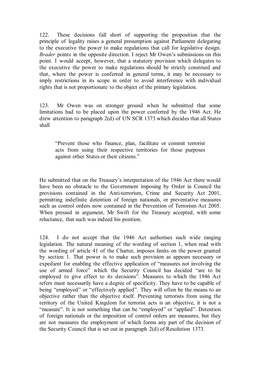122. These decisions fall short of supporting the proposition that the principle of legality raises a general presumption against Parliament delegating to the executive the power to make regulations that call for legislative design. *Brader* points in the opposite direction. I reject Mr Owen's submissions on this point. I would accept, however, that a statutory provision which delegates to the executive the power to make regulations should be strictly construed and that, where the power is conferred in general terms, it may be necessary to imply restrictions in its scope in order to avoid interference with individual rights that is not proportionate to the object of the primary legislation.

123. Mr Owen was on stronger ground when he submitted that some limitations had to be placed upon the power conferred by the 1946 Act. He drew attention to paragraph 2(d) of UN SCR 1373 which decides that all States shall

"Prevent those who finance, plan, facilitate or commit terrorist acts from using their respective territories for those purposes against other States or their citizens."

He submitted that on the Treasury's interpretation of the 1946 Act there would have been no obstacle to the Government imposing by Order in Council the provisions contained in the Anti-terrorism, Crime and Security Act 2001, permitting indefinite detention of foreign nationals, or preventative measures such as control orders now contained in the Prevention of Terrorism Act 2005. When pressed in argument, Mr Swift for the Treasury accepted, with some reluctance, that such was indeed his position.

124. I do not accept that the 1946 Act authorises such wide ranging legislation. The natural meaning of the wording of section 1, when read with the wording of article 41 of the Charter, imposes limits on the power granted by section 1. That power is to make such provision as appears necessary or expedient for enabling the effective application of "measures not involving the use of armed force" which the Security Council has decided "are to be employed to give effect to its decisions". Measures to which the 1946 Act refers must necessarily have a degree of specificity. They have to be capable of being "employed" or "effectively applied". They will often be the means to an objective rather than the objective itself. Preventing terrorists from using the territory of the United Kingdom for terrorist acts is an objective, it is not a "measure". It is not something that can be "employed" or "applied". Detention of foreign nationals or the imposition of control orders are measures, but they are not measures the employment of which forms any part of the decision of the Security Council that is set out in paragraph 2(d) of Resolution 1373.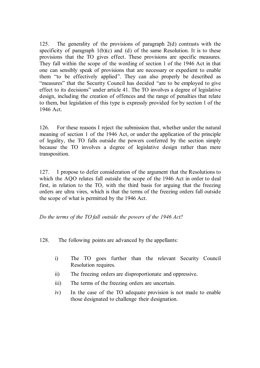125. The generality of the provisions of paragraph 2(d) contrasts with the specificity of paragraph  $1(b)(c)$  and (d) of the same Resolution. It is to these provisions that the TO gives effect. These provisions are specific measures. They fall within the scope of the wording of section 1 of the 1946 Act in that one can sensibly speak of provisions that are necessary or expedient to enable them "to be effectively applied". They can also properly be described as "measures" that the Security Council has decided "are to be employed to give effect to its decisions" under article 41. The TO involves a degree of legislative design, including the creation of offences and the range of penalties that relate to them, but legislation of this type is expressly provided for by section 1 of the 1946 Act.

126. For these reasons I reject the submission that, whether under the natural meaning of section 1 of the 1946 Act, or under the application of the principle of legality, the TO falls outside the powers conferred by the section simply because the TO involves a degree of legislative design rather than mere transposition.

127. I propose to defer consideration of the argument that the Resolutions to which the AQO relates fall outside the scope of the 1946 Act in order to deal first, in relation to the TO, with the third basis for arguing that the freezing orders are ultra vires, which is that the terms of the freezing orders fall outside the scope of what is permitted by the 1946 Act.

*Do the terms of the TO fall outside the powers of the 1946 Act?*

128. The following points are advanced by the appellants:

- i) The TO goes further than the relevant Security Council Resolution requires.
- ii) The freezing orders are disproportionate and oppressive.
- iii) The terms of the freezing orders are uncertain.
- iv) In the case of the TO adequate provision is not made to enable those designated to challenge their designation.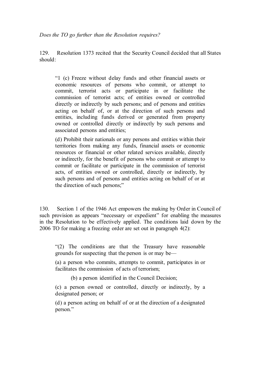*Does the TO go further than the Resolution requires?*

129. Resolution 1373 recited that the Security Council decided that all States should:

"1 (c) Freeze without delay funds and other financial assets or economic resources of persons who commit, or attempt to commit, terrorist acts or participate in or facilitate the commission of terrorist acts; of entities owned or controlled directly or indirectly by such persons; and of persons and entities acting on behalf of, or at the direction of such persons and entities, including funds derived or generated from property owned or controlled directly or indirectly by such persons and associated persons and entities;

(d) Prohibit their nationals or any persons and entities within their territories from making any funds, financial assets or economic resources or financial or other related services available, directly or indirectly, for the benefit of persons who commit or attempt to commit or facilitate or participate in the commission of terrorist acts, of entities owned or controlled, directly or indirectly, by such persons and of persons and entities acting on behalf of or at the direction of such persons;"

130. Section 1 of the 1946 Act empowers the making by Order in Council of such provision as appears "necessary or expedient" for enabling the measures in the Resolution to be effectively applied. The conditions laid down by the 2006 TO for making a freezing order are set out in paragraph 4(2):

"(2) The conditions are that the Treasury have reasonable grounds for suspecting that the person is or may be—

(a) a person who commits, attempts to commit, participates in or facilitates the commission of acts of terrorism;

(b) a person identified in the Council Decision;

(c) a person owned or controlled, directly or indirectly, by a designated person; or

(d) a person acting on behalf of or at the direction of a designated person."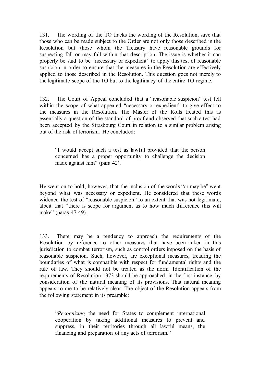131. The wording of the TO tracks the wording of the Resolution, save that those who can be made subject to the Order are not only those described in the Resolution but those whom the Treasury have reasonable grounds for suspecting fall or may fall within that description. The issue is whether it can properly be said to be "necessary or expedient" to apply this test of reasonable suspicion in order to ensure that the measures in the Resolution are effectively applied to those described in the Resolution. This question goes not merely to the legitimate scope of the TO but to the legitimacy of the entire TO regime.

132. The Court of Appeal concluded that a "reasonable suspicion" test fell within the scope of what appeared "necessary or expedient" to give effect to the measures in the Resolution. The Master of the Rolls treated this as essentially a question of the standard of proof and observed that such a test had been accepted by the Strasbourg Court in relation to a similar problem arising out of the risk of terrorism. He concluded:

"I would accept such a test as lawful provided that the person concerned has a proper opportunity to challenge the decision made against him" (para 42).

He went on to hold, however, that the inclusion of the words "or may be" went beyond what was necessary or expedient. He considered that these words widened the test of "reasonable suspicion" to an extent that was not legitimate, albeit that "there is scope for argument as to how much difference this will make" (paras 47-49).

133. There may be a tendency to approach the requirements of the Resolution by reference to other measures that have been taken in this jurisdiction to combat terrorism, such as control orders imposed on the basis of reasonable suspicion. Such, however, are exceptional measures, treading the boundaries of what is compatible with respect for fundamental rights and the rule of law. They should not be treated as the norm. Identification of the requirements of Resolution 1373 should be approached, in the first instance, by consideration of the natural meaning of its provisions. That natural meaning appears to me to be relatively clear. The object of the Resolution appears from the following statement in its preamble:

"*Recognizing* the need for States to complement international cooperation by taking additional measures to prevent and suppress, in their territories through all lawful means, the financing and preparation of any acts of terrorism."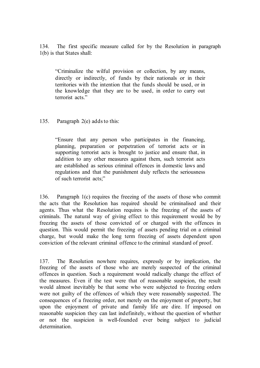134. The first specific measure called for by the Resolution in paragraph 1(b) is that States shall:

"Criminalize the wilful provision or collection, by any means, directly or indirectly, of funds by their nationals or in their territories with the intention that the funds should be used, or in the knowledge that they are to be used, in order to carry out terrorist acts."

135. Paragraph 2(e) adds to this:

"Ensure that any person who participates in the financing, planning, preparation or perpetration of terrorist acts or in supporting terrorist acts is brought to justice and ensure that, in addition to any other measures against them, such terrorist acts are established as serious criminal offences in domestic laws and regulations and that the punishment duly reflects the seriousness of such terrorist acts;"

136. Paragraph 1(c) requires the freezing of the assets of those who commit the acts that the Resolution has required should be criminalised and their agents. Thus what the Resolution requires is the freezing of the assets of criminals. The natural way of giving effect to this requirement would be by freezing the assets of those convicted of or charged with the offences in question. This would permit the freezing of assets pending trial on a criminal charge, but would make the long term freezing of assets dependent upon conviction of the relevant criminal offence to the criminal standard of proof.

137. The Resolution nowhere requires, expressly or by implication, the freezing of the assets of those who are merely suspected of the criminal offences in question. Such a requirement would radically change the effect of the measures. Even if the test were that of reasonable suspicion, the result would almost inevitably be that some who were subjected to freezing orders were not guilty of the offences of which they were reasonably suspected. The consequences of a freezing order, not merely on the enjoyment of property, but upon the enjoyment of private and family life are dire. If imposed on reasonable suspicion they can last indefinitely, without the question of whether or not the suspicion is well-founded ever being subject to judicial determination.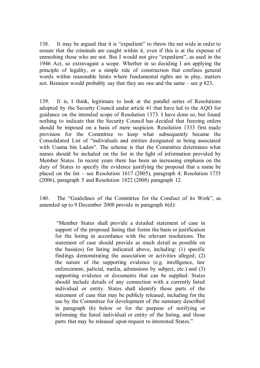138. It may be argued that it is "expedient" to throw the net wide in order to ensure that the criminals are caught within it, even if this is at the expense of enmeshing those who are not. But I would not give "expedient", as used in the 1946 Act, so extravagant a scope. Whether in so deciding I am applying the principle of legality, or a simple rule of construction that confines general words within reasonable limits where fundamental rights are in play, matters not. Bennion would probably say that they are one and the same – see p 823.

139. It is, I think, legitimate to look at the parallel series of Resolutions adopted by the Security Council under article 41 that have led to the AQO for guidance on the intended scope of Resolution 1373. I have done so, but found nothing to indicate that the Security Council has decided that freezing orders should be imposed on a basis of mere suspicion. Resolution 1333 first made provision for the Committee to keep what subsequently became the Consolidated List of "individuals and entities designated as being associated with Usama bin Laden". The scheme is that the Committee determines what names should be included on the list in the light of information provided by Member States. In recent years there has been an increasing emphasis on the duty of States to specify the evidence justifying the proposal that a name be placed on the list – see Resolution 1617 (2005), paragraph 4; Resolution 1735 (2006), paragraph 5 and Resolution 1822 (2008) paragraph 12.

140. The "Guidelines of the Committee for the Conduct of its Work", as amended up to 9 December 2008 provide in paragraph 6(d):

"Member States shall provide a detailed statement of case in support of the proposed listing that forms the basis or justification for the listing in accordance with the relevant resolutions. The statement of case should provide as much detail as possible on the basis(es) for listing indicated above, including: (1) specific findings demonstrating the association or activities alleged; (2) the nature of the supporting evidence (e.g. intelligence, law enforcement, judicial, media, admissions by subject, etc.) and (3) supporting evidence or documents that can be supplied. States should include details of any connection with a currently listed individual or entity. States shall identify those parts of the statement of case that may be publicly released, including for the use by the Committee for development of the summary described in paragraph (h) below or for the purpose of notifying or informing the listed individual or entity of the listing, and those parts that may be released upon request to interested States."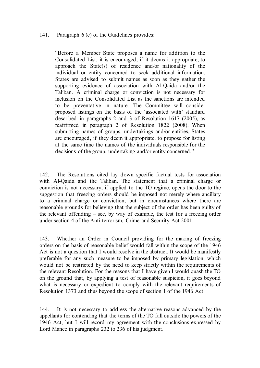#### 141. Paragraph 6 (c) of the Guidelines provides:

"Before a Member State proposes a name for addition to the Consolidated List, it is encouraged, if it deems it appropriate, to approach the State(s) of residence and/or nationality of the individual or entity concerned to seek additional information. States are advised to submit names as soon as they gather the supporting evidence of association with Al-Qaida and/or the Taliban. A criminal charge or conviction is not necessary for inclusion on the Consolidated List as the sanctions are intended to be preventative in nature. The Committee will consider proposed listings on the basis of the 'associated with' standard described in paragraphs 2 and 3 of Resolution 1617 (2005), as reaffirmed in paragraph 2 of Resolution 1822 (2008). When submitting names of groups, undertakings and/or entities, States are encouraged, if they deem it appropriate, to propose for listing at the same time the names of the individuals responsible for the decisions of the group, undertaking and/or entity concerned."

142. The Resolutions cited lay down specific factual tests for association with Al-Qaida and the Taliban. The statement that a criminal charge or conviction is not necessary, if applied to the TO regime, opens the door to the suggestion that freezing orders should be imposed not merely where ancillary to a criminal charge or conviction, but in circumstances where there are reasonable grounds for believing that the subject of the order has been guilty of the relevant offending – see, by way of example, the test for a freezing order under section 4 of the Anti-terrorism, Crime and Security Act 2001.

143. Whether an Order in Council providing for the making of freezing orders on the basis of reasonable belief would fall within the scope of the 1946 Act is not a question that I would resolve in the abstract. It would be manifestly preferable for any such measure to be imposed by primary legislation, which would not be restricted by the need to keep strictly within the requirements of the relevant Resolution. For the reasons that I have given I would quash the TO on the ground that, by applying a test of reasonable suspicion, it goes beyond what is necessary or expedient to comply with the relevant requirements of Resolution 1373 and thus beyond the scope of section 1 of the 1946 Act.

144. It is not necessary to address the alternative reasons advanced by the appellants for contending that the terms of the TO fall outside the powers of the 1946 Act, but I will record my agreement with the conclusions expressed by Lord Mance in paragraphs 232 to 236 of his judgment.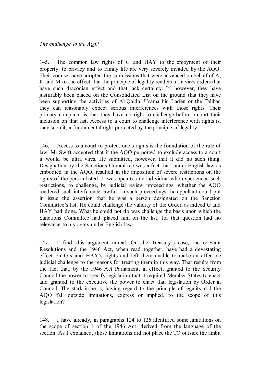145. The common law rights of G and HAY to the enjoyment of their property, to privacy and to family life are very severely invaded by the AQO. Their counsel have adopted the submissions that were advanced on behalf of A, K and M to the effect that the principle of legality renders ultra vires orders that have such draconian effect and that lack certainty. If, however, they have justifiably been placed on the Consolidated List on the ground that they have been supporting the activities of Al-Qaida, Usama bin Laden or the Taliban they can reasonably expect serious interferences with those rights. Their primary complaint is that they have no right to challenge before a court their inclusion on that list. Access to a court to challenge interference with rights is, they submit, a fundamental right protected by the principle of legality.

146. Access to a court to protect one's rights is the foundation of the rule of law. Mr Swift accepted that if the AQO purported to exclude access to a court it would be ultra vires. He submitted, however, that it did no such thing. Designation by the Sanctions Committee was a fact that, under English law as embodied in the AQO, resulted in the imposition of severe restrictions on the rights of the person listed. It was open to any individual who experienced such restrictions, to challenge, by judicial review proceedings, whether the AQO rendered such interference lawful. In such proceedings the appellant could put in issue the assertion that he was a person designated on the Sanction Committee's list. He could challenge the validity of the Order, as indeed G and HAY had done. What he could not do was challenge the basis upon which the Sanctions Committee had placed him on the list, for that question had no relevance to his rights under English law.

147. I find this argument unreal. On the Treasury's case, the relevant Resolutions and the 1946 Act, when read together, have had a devastating effect on G's and HAY's rights and left them unable to make an effective judicial challenge to the reasons for treating them in this way. That results from the fact that, by the 1946 Act Parliament, in effect, granted to the Security Council the power to specify legislation that it required Member States to enact and granted to the executive the power to enact that legislation by Order in Council. The stark issue is, having regard to the principle of legality did the AQO fall outside limitations, express or implied, to the scope of this legislation?

148. I have already, in paragraphs 124 to 126 identified some limitations on the scope of section 1 of the 1946 Act, derived from the language of the section. As I explained, those limitations did not place the TO outside the ambit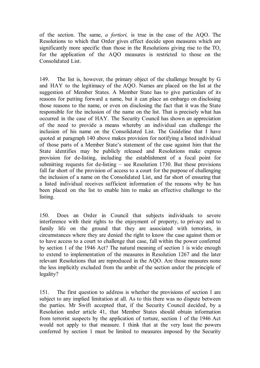of the section. The same, *a fortiori,* is true in the case of the AQO. The Resolutions to which that Order gives effect decide upon measures which are significantly more specific than those in the Resolutions giving rise to the TO, for the application of the AQO measures is restricted to those on the Consolidated List.

149. The list is, however, the primary object of the challenge brought by G and HAY to the legitimacy of the AQO. Names are placed on the list at the suggestion of Member States. A Member State has to give particulars of its reasons for putting forward a name, but it can place an embargo on disclosing those reasons to the name, or even on disclosing the fact that it was the State responsible for the inclusion of the name on the list. That is precisely what has occurred in the case of HAY. The Security Council has shown an appreciation of the need to provide a means whereby an individual can challenge the inclusion of his name on the Consolidated List. The Guideline that I have quoted at paragraph 140 above makes provision for notifying a listed individual of those parts of a Member State's statement of the case against him that the State identifies may be publicly released and Resolutions make express provision for de-listing, including the establishment of a focal point for submitting requests for de-listing – see Resolution 1730. But these provisions fall far short of the provision of access to a court for the purpose of challenging the inclusion of a name on the Consolidated List, and far short of ensuring that a listed individual receives sufficient information of the reasons why he has been placed on the list to enable him to make an effective challenge to the listing.

150. Does an Order in Council that subjects individuals to severe interference with their rights to the enjoyment of property, to privacy and to family life on the ground that they are associated with terrorists, in circumstances where they are denied the right to know the case against them or to have access to a court to challenge that case, fall within the power conferred by section 1 of the 1946 Act? The natural meaning of section 1 is wide enough to extend to implementation of the measures in Resolution 1267 and the later relevant Resolutions that are reproduced in the AQO. Are those measures none the less implicitly excluded from the ambit of the section under the principle of legality?

151. The first question to address is whether the provisions of section 1 are subject to any implied limitation at all. As to this there was no dispute between the parties. Mr Swift accepted that, if the Security Council decided, by a Resolution under article 41, that Member States should obtain information from terrorist suspects by the application of torture, section 1 of the 1946 Act would not apply to that measure. I think that at the very least the powers conferred by section 1 must be limited to measures imposed by the Security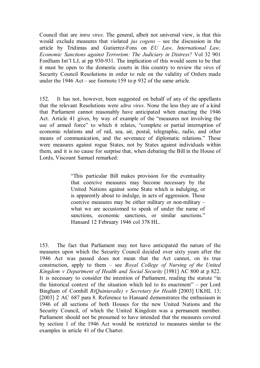Council that are *intra vires*. The general, albeit not universal view, is that this would exclude measures that violated *jus cogens* – see the discussion in the article by Tridimas and Gutierrez-Fons on *EU Law, International Law, Economic Sanctions against Terrorism: The Judiciary in Distress?* Vol 32 901 Fordham Int'l LJ, at pp 930-931. The implication of this would seem to be that it must be open to the domestic courts in this country to review the *vires* of Security Council Resolutions in order to rule on the validity of Orders made under the 1946 Act – see footnote 159 to p 932 of the same article.

152. It has not, however, been suggested on behalf of any of the appellants that the relevant Resolutions were *ultra vires*. None the less they are of a kind that Parliament cannot reasonably have anticipated when enacting the 1946 Act. Article 41 gives, by way of example of the "measures not involving the use of armed force" to which it relates, "complete or partial interruption of economic relations and of rail, sea, air, postal, telegraphic, radio, and other means of communication, and the severance of diplomatic relations." These were measures against rogue States, not by States against individuals within them, and it is no cause for surprise that, when debating the Bill in the House of Lords, Viscount Samuel remarked:

> "This particular Bill makes provision for the eventuality that coercive measures may become necessary by the United Nations against some State which is indulging, or is apparently about to indulge, in acts of aggression. Those coercive measures may be either military or non-military – what we are accustomed to speak of under the name of sanctions, economic sanctions, or similar sanctions." Hansard 12 February 1946 col 378 HL.

153. The fact that Parliament may not have anticipated the nature of the measures upon which the Security Council decided over sixty years after the 1946 Act was passed does not mean that the Act cannot, on its true construction, apply to them – see *Royal College of Nursing of the United Kingdom v Department of Health and Social Security* [1981] AC 800 at p 822. It is necessary to consider the intention of Parliament, reading the statute "in the historical context of the situation which led to its enactment" – per Lord Bingham of Cornhill *R(Quintavalle) v Secretary for Health* [2003] UKHL 13; [2003] 2 AC 687 para 8. Reference to Hansard demonstrates the enthusiasm in 1946 of all sections of both Houses for the new United Nations and the Security Council, of which the United Kingdom was a permanent member. Parliament should not be presumed to have intended that the measures covered by section 1 of the 1946 Act would be restricted to measures similar to the examples in article 41 of the Charter.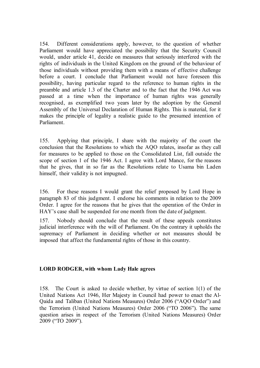154. Different considerations apply, however, to the question of whether Parliament would have appreciated the possibility that the Security Council would, under article 41, decide on measures that seriously interfered with the rights of individuals in the United Kingdom on the ground of the behaviour of those individuals without providing them with a means of effective challenge before a court. I conclude that Parliament would not have foreseen this possibility, having particular regard to the reference to human rights in the preamble and article 1.3 of the Charter and to the fact that the 1946 Act was passed at a time when the importance of human rights was generally recognised, as exemplified two years later by the adoption by the General Assembly of the Universal Declaration of Human Rights. This is material, for it makes the principle of legality a realistic guide to the presumed intention of Parliament.

155. Applying that principle, I share with the majority of the court the conclusion that the Resolutions to which the AQO relates, insofar as they call for measures to be applied to those on the Consolidated List, fall outside the scope of section 1 of the 1946 Act. I agree with Lord Mance, for the reasons that he gives, that in so far as the Resolutions relate to Usama bin Laden himself, their validity is not impugned.

156. For these reasons I would grant the relief proposed by Lord Hope in paragraph 83 of this judgment. I endorse his comments in relation to the 2009 Order. I agree for the reasons that he gives that the operation of the Order in HAY's case shall be suspended for one month from the date of judgment.

157. Nobody should conclude that the result of these appeals constitutes judicial interference with the will of Parliament. On the contrary it upholds the supremacy of Parliament in deciding whether or not measures should be imposed that affect the fundamental rights of those in this country.

# **LORD RODGER, with whom Lady Hale agrees**

158. The Court is asked to decide whether, by virtue of section 1(1) of the United Nations Act 1946, Her Majesty in Council had power to enact the Al-Qaida and Taliban (United Nations Measures) Order 2006 ("AQO Order") and the Terrorism (United Nations Measures) Order 2006 ("TO 2006"). The same question arises in respect of the Terrorism (United Nations Measures) Order 2009 ("TO 2009").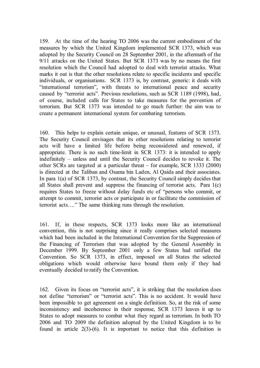159. At the time of the hearing TO 2006 was the current embodiment of the measures by which the United Kingdom implemented SCR 1373, which was adopted by the Security Council on 28 September 2001, in the aftermath of the 9/11 attacks on the United States. But SCR 1373 was by no means the first resolution which the Council had adopted to deal with terrorist attacks. What marks it out is that the other resolutions relate to specific incidents and specific individuals, or organisations. SCR 1373 is, by contrast, generic: it deals with "international terrorism", with threats to international peace and security caused by "terrorist acts". Previous resolutions, such as SCR 1189 (1998), had, of course, included calls for States to take measures for the prevention of terrorism. But SCR 1373 was intended to go much further: the aim was to create a permanent international system for combating terrorism.

160. This helps to explain certain unique, or unusual, features of SCR 1373. The Security Council envisages that its other resolutions relating to terrorist acts will have a limited life before being reconsidered and renewed, if appropriate. There is no such time-limit in SCR 1373: it is intended to apply indefinitely – unless and until the Security Council decides to revoke it. The other SCRs are targeted at a particular threat – for example, SCR 1333 (2000) is directed at the Taliban and Osama bin Laden, Al Qaida and their associates. In para 1(a) of SCR 1373, by contrast, the Security Council simply decides that all States shall prevent and suppress the financing of terrorist acts. Para 1(c) requires States to freeze without delay funds etc of "persons who commit, or attempt to commit, terrorist acts or participate in or facilitate the commission of terrorist acts…." The same thinking runs through the resolution.

161. If, in these respects, SCR 1373 looks more like an international convention, this is not surprising since it really comprises selected measures which had been included in the International Convention for the Suppression of the Financing of Terrorism that was adopted by the General Assembly in December 1999. By September 2001 only a few States had ratified the Convention. So SCR 1373, in effect, imposed on all States the selected obligations which would otherwise have bound them only if they had eventually decided to ratify the Convention.

162. Given its focus on "terrorist acts", it is striking that the resolution does not define "terrorism" or "terrorist acts". This is no accident. It would have been impossible to get agreement on a single definition. So, at the risk of some inconsistency and incoherence in their response, SCR 1373 leaves it up to States to adopt measures to combat what they regard as terrorism. In both TO 2006 and TO 2009 the definition adopted by the United Kingdom is to be found in article  $2(3)-(6)$ . It is important to notice that this definition is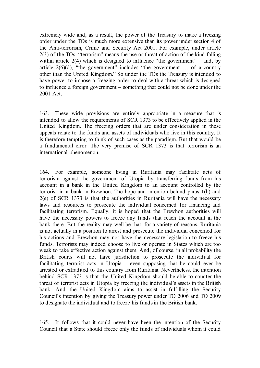extremely wide and, as a result, the power of the Treasury to make a freezing order under the TOs is much more extensive than its power under section 4 of the Anti-terrorism, Crime and Security Act 2001. For example, under article 2(3) of the TOs, "terrorism" means the use or threat of action of the kind falling within article  $2(4)$  which is designed to influence "the government" – and, by article  $2(6)(d)$ , "the government" includes "the government ... of a country other than the United Kingdom." So under the TOs the Treasury is intended to have power to impose a freezing order to deal with a threat which is designed to influence a foreign government – something that could not be done under the 2001 Act.

163. These wide provisions are entirely appropriate in a measure that is intended to allow the requirements of SCR 1373 to be effectively applied in the United Kingdom. The freezing orders that are under consideration in these appeals relate to the funds and assets of individuals who live in this country. It is therefore tempting to think of such cases as the paradigm. But that would be a fundamental error. The very premise of SCR 1373 is that terrorism is an international phenomenon.

164. For example, someone living in Ruritania may facilitate acts of terrorism against the government of Utopia by transferring funds from his account in a bank in the United Kingdom to an account controlled by the terrorist in a bank in Erewhon. The hope and intention behind paras 1(b) and 2(e) of SCR 1373 is that the authorities in Ruritania will have the necessary laws and resources to prosecute the individual concerned for financing and facilitating terrorism. Equally, it is hoped that the Erewhon authorities will have the necessary powers to freeze any funds that reach the account in the bank there. But the reality may well be that, for a variety of reasons, Ruritania is not actually in a position to arrest and prosecute the individual concerned for his actions and Erewhon may not have the necessary legislation to freeze his funds. Terrorists may indeed choose to live or operate in States which are too weak to take effective action against them. And, of course, in all probability the British courts will not have jurisdiction to prosecute the individual for facilitating terrorist acts in Utopia – even supposing that he could ever be arrested or extradited to this country from Ruritania. Nevertheless, the intention behind SCR 1373 is that the United Kingdom should be able to counter the threat of terrorist acts in Utopia by freezing the individual's assets in the British bank. And the United Kingdom aims to assist in fulfilling the Security Council's intention by giving the Treasury power under TO 2006 and TO 2009 to designate the individual and to freeze his funds in the British bank.

165. It follows that it could never have been the intention of the Security Council that a State should freeze only the funds of individuals whom it could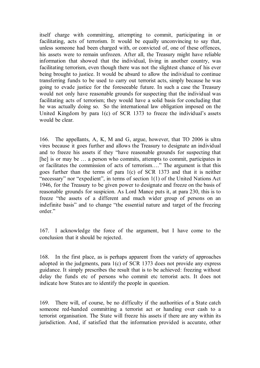itself charge with committing, attempting to commit, participating in or facilitating, acts of terrorism. It would be equally unconvincing to say that, unless someone had been charged with, or convicted of, one of these offences, his assets were to remain unfrozen. After all, the Treasury might have reliable information that showed that the individual, living in another country, was facilitating terrorism, even though there was not the slightest chance of his ever being brought to justice. It would be absurd to allow the individual to continue transferring funds to be used to carry out terrorist acts, simply because he was going to evade justice for the foreseeable future. In such a case the Treasury would not only have reasonable grounds for suspecting that the individual was facilitating acts of terrorism; they would have a solid basis for concluding that he was actually doing so. So the international law obligation imposed on the United Kingdom by para 1(c) of SCR 1373 to freeze the individual's assets would be clear.

166. The appellants, A, K, M and G, argue, however, that TO 2006 is ultra vires because it goes further and allows the Treasury to designate an individual and to freeze his assets if they "have reasonable grounds for suspecting that [he] is or may be ... a person who commits, attempts to commit, participates in or facilitates the commission of acts of terrorism…." The argument is that this goes further than the terms of para 1(c) of SCR 1373 and that it is neither "necessary" nor "expedient", in terms of section 1(1) of the United Nations Act 1946, for the Treasury to be given power to designate and freeze on the basis of reasonable grounds for suspicion. As Lord Mance puts it, at para 230, this is to freeze "the assets of a different and much wider group of persons on an indefinite basis" and to change "the essential nature and target of the freezing order."

167. I acknowledge the force of the argument, but I have come to the conclusion that it should be rejected.

168. In the first place, as is perhaps apparent from the variety of approaches adopted in the judgments, para 1(c) of SCR 1373 does not provide any express guidance. It simply prescribes the result that is to be achieved: freezing without delay the funds etc of persons who commit etc terrorist acts. It does not indicate how States are to identify the people in question.

169. There will, of course, be no difficulty if the authorities of a State catch someone red-handed committing a terrorist act or handing over cash to a terrorist organisation. The State will freeze his assets if there are any within its jurisdiction. And, if satisfied that the information provided is accurate, other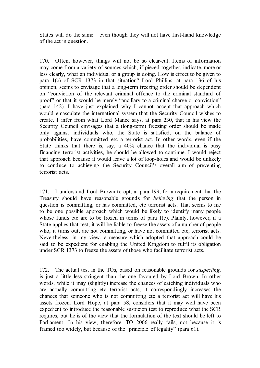States will do the same – even though they will not have first-hand knowledge of the act in question.

170. Often, however, things will not be so clear-cut. Items of information may come from a variety of sources which, if pieced together, indicate, more or less clearly, what an individual or a group is doing. How is effect to be given to para 1(c) of SCR 1373 in that situation? Lord Phillips, at para 136 of his opinion, seems to envisage that a long-term freezing order should be dependent on "conviction of the relevant criminal offence to the criminal standard of proof" or that it would be merely "ancillary to a criminal charge or conviction" (para 142). I have just explained why I cannot accept that approach which would emasculate the international system that the Security Council wishes to create. I infer from what Lord Mance says, at para 230, that in his view the Security Council envisages that a (long-term) freezing order should be made only against individuals who, the State is satisfied, on the balance of probabilities, have committed etc a terrorist act. In other words, even if the State thinks that there is, say, a 40% chance that the individual is busy financing terrorist activities, he should be allowed to continue. I would reject that approach because it would leave a lot of loop-holes and would be unlikely to conduce to achieving the Security Council's overall aim of preventing terrorist acts.

171. I understand Lord Brown to opt, at para 199, for a requirement that the Treasury should have reasonable grounds for *believing* that the person in question is committing, or has committed, etc terrorist acts. That seems to me to be one possible approach which would be likely to identify many people whose funds etc are to be frozen in terms of para 1(c). Plainly, however, if a State applies that test, it will be liable to freeze the assets of a number of people who, it turns out, are not committing, or have not committed etc, terrorist acts. Nevertheless, in my view, a measure which adopted that approach could be said to be expedient for enabling the United Kingdom to fulfil its obligation under SCR 1373 to freeze the assets of those who facilitate terrorist acts.

172. The actual test in the TOs, based on reasonable grounds for *suspecting*, is just a little less stringent than the one favoured by Lord Brown. In other words, while it may (slightly) increase the chances of catching individuals who are actually committing etc terrorist acts, it correspondingly increases the chances that someone who is not committing etc a terrorist act will have his assets frozen. Lord Hope, at para 58, considers that it may well have been expedient to introduce the reasonable suspicion test to reproduce what the SCR requires, but he is of the view that the formulation of the text should be left to Parliament. In his view, therefore, TO 2006 really fails, not because it is framed too widely, but because of the "principle of legality" (para 61).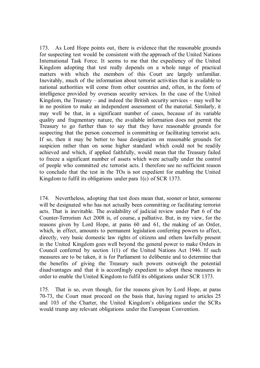173. As Lord Hope points out, there is evidence that the reasonable grounds for suspecting test would be consistent with the approach of the United Nations International Task Force. It seems to me that the expediency of the United Kingdom adopting that test really depends on a whole range of practical matters with which the members of this Court are largely unfamiliar. Inevitably, much of the information about terrorist activities that is available to national authorities will come from other countries and, often, in the form of intelligence provided by overseas security services. In the case of the United Kingdom, the Treasury – and indeed the British security services – may well be in no position to make an independent assessment of the material. Similarly, it may well be that, in a significant number of cases, because of its variable quality and fragmentary nature, the available information does not permit the Treasury to go further than to say that they have reasonable grounds for suspecting that the person concerned is committing or facilitating terrorist acts. If so, then it may be better to base designation on reasonable grounds for suspicion rather than on some higher standard which could not be readily achieved and which, if applied faithfully, would mean that the Treasury failed to freeze a significant number of assets which were actually under the control of people who committed etc terrorist acts. I therefore see no sufficient reason to conclude that the test in the TOs is not expedient for enabling the United Kingdom to fulfil its obligations under para 1(c) of SCR 1373.

174. Nevertheless, adopting that test does mean that, sooner or later, someone will be designated who has not actually been committing or facilitating terrorist acts. That is inevitable. The availability of judicial review under Part 6 of the Counter-Terrorism Act 2008 is, of course, a palliative. But, in my view, for the reasons given by Lord Hope, at paras 60 and 61, the making of an Order, which, in effect, amounts to permanent legislation conferring powers to affect, directly, very basic domestic law rights of citizens and others lawfully present in the United Kingdom goes well beyond the general power to make Orders in Council conferred by section 1(1) of the United Nations Act 1946. If such measures are to be taken, it is for Parliament to deliberate and to determine that the benefits of giving the Treasury such powers outweigh the potential disadvantages and that it is accordingly expedient to adopt these measures in order to enable the United Kingdom to fulfil its obligations under SCR 1373.

175. That is so, even though, for the reasons given by Lord Hope, at paras 70-73, the Court must proceed on the basis that, having regard to articles 25 and 103 of the Charter, the United Kingdom's obligations under the SCRs would trump any relevant obligations under the European Convention.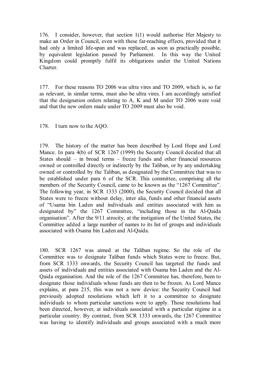176. I consider, however, that section 1(1) would authorise Her Majesty to make an Order in Council, even with these far-reaching effects, provided that it had only a limited life-span and was replaced, as soon as practically possible, by equivalent legislation passed by Parliament. In this way the United Kingdom could promptly fulfil its obligations under the United Nations Charter.

177. For these reasons TO 2006 was ultra vires and TO 2009, which is, so far as relevant, in similar terms, must also be ultra vires. I am accordingly satisfied that the designation orders relating to A, K and M under TO 2006 were void and that the new orders made under TO 2009 must also be void.

## 178. I turn now to the AQO.

179. The history of the matter has been described by Lord Hope and Lord Mance. In para 4(b) of SCR 1267 (1999) the Security Council decided that all States should – in broad terms – freeze funds and other financial resources owned or controlled directly or indirectly by the Taliban, or by any undertaking owned or controlled by the Taliban, as designated by the Committee that was to be established under para 6 of the SCR. This committee, comprising all the members of the Security Council, came to be known as the "1267 Committee". The following year, in SCR 1333 (2000), the Security Council decided that all States were to freeze without delay, inter alia, funds and other financial assets of "Usama bin Laden and individuals and entities associated with him as designated by" the 1267 Committee, "including those in the Al-Qaida organisation". After the 9/11 atrocity, at the instigation of the United States, the Committee added a large number of names to its list of groups and individuals associated with Osama bin Laden and Al-Qaida.

180. SCR 1267 was aimed at the Taliban regime. So the role of the Committee was to designate Taliban funds which States were to freeze. But, from SCR 1333 onwards, the Security Council has targeted the funds and assets of individuals and entities associated with Osama bin Laden and the Al-Qaida organisation. And the role of the 1267 Committee has, therefore, been to designate those individuals whose funds are then to be frozen. As Lord Mance explains, at para 215, this was not a new device: the Security Council had previously adopted resolutions which left it to a committee to designate individuals to whom particular sanctions were to apply. Those resolutions had been directed, however, at individuals associated with a particular régime in a particular country. By contrast, from SCR 1333 onwards, the 1267 Committee was having to identify individuals and groups associated with a much more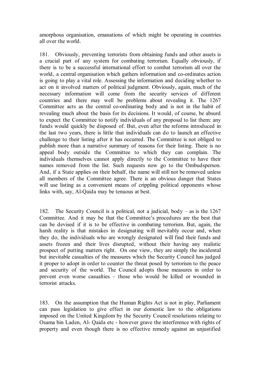amorphous organisation, emanations of which might be operating in countries all over the world.

181. Obviously, preventing terrorists from obtaining funds and other assets is a crucial part of any system for combating terrorism. Equally obviously, if there is to be a successful international effort to combat terrorism all over the world, a central organisation which gathers information and co-ordinates action is going to play a vital role. Assessing the information and deciding whether to act on it involved matters of political judgment. Obviously, again, much of the necessary information will come from the security services of different countries and there may well be problems about revealing it. The 1267 Committee acts as the central co-ordinating body and is not in the habit of revealing much about the basis for its decisions. It would, of course, be absurd to expect the Committee to notify individuals of any proposal to list them: any funds would quickly be disposed of. But, even after the reforms introduced in the last two years, there is little that individuals can do to launch an effective challenge to their listing after it has occurred. The Committee is not obliged to publish more than a narrative summary of reasons for their listing. There is no appeal body outside the Committee to which they can complain. The individuals themselves cannot apply directly to the Committee to have their names removed from the list. Such requests now go to the Ombudsperson. And, if a State applies on their behalf, the name will still not be removed unless all members of the Committee agree. There is an obvious danger that States will use listing as a convenient means of crippling political opponents whose links with, say, Al-Qaida may be tenuous at best.

182. The Security Council is a political, not a judicial, body – as is the 1267 Committee. And it may be that the Committee's procedures are the best that can be devised if it is to be effective in combating terrorism. But, again, the harsh reality is that mistakes in designating will inevitably occur and, when they do, the individuals who are wrongly designated will find their funds and assets frozen and their lives disrupted, without their having any realistic prospect of putting matters right. On one view, they are simply the incidental but inevitable casualties of the measures which the Security Council has judged it proper to adopt in order to counter the threat posed by terrorism to the peace and security of the world. The Council adopts those measures in order to prevent even worse casualties – those who would be killed or wounded in terrorist attacks.

183. On the assumption that the Human Rights Act is not in play, Parliament can pass legislation to give effect in our domestic law to the obligations imposed on the United Kingdom by the Security Council resolutions relating to Osama bin Laden, Al- Qaida etc - however grave the interference with rights of property and even though there is no effective remedy against an unjustified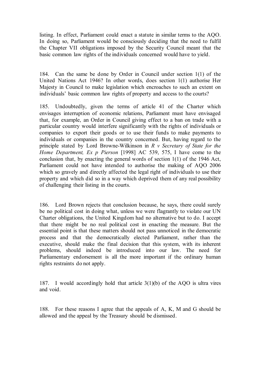listing. In effect, Parliament could enact a statute in similar terms to the AQO. In doing so, Parliament would be consciously deciding that the need to fulfil the Chapter VII obligations imposed by the Security Council meant that the basic common law rights of the individuals concerned would have to yield.

184. Can the same be done by Order in Council under section 1(1) of the United Nations Act 1946? In other words, does section 1(1) authorise Her Majesty in Council to make legislation which encroaches to such an extent on individuals' basic common law rights of property and access to the courts?

185. Undoubtedly, given the terms of article 41 of the Charter which envisages interruption of economic relations, Parliament must have envisaged that, for example, an Order in Council giving effect to a ban on trade with a particular country would interfere significantly with the rights of individuals or companies to export their goods or to use their funds to make payments to individuals or companies in the country concerned. But, having regard to the principle stated by Lord Browne-Wilkinson in *R v Secretary of State for the Home Department, Ex p Pierson* [1998] AC 539, 575, I have come to the conclusion that, by enacting the general words of section 1(1) of the 1946 Act, Parliament could not have intended to authorise the making of AQO 2006 which so gravely and directly affected the legal right of individuals to use their property and which did so in a way which deprived them of any real possibility of challenging their listing in the courts.

186. Lord Brown rejects that conclusion because, he says, there could surely be no political cost in doing what, unless we were flagrantly to violate our UN Charter obligations, the United Kingdom had no alternative but to do. I accept that there might be no real political cost in enacting the measure. But the essential point is that these matters should not pass unnoticed in the democratic process and that the democratically elected Parliament, rather than the executive, should make the final decision that this system, with its inherent problems, should indeed be introduced into our law. The need for Parliamentary endorsement is all the more important if the ordinary human rights restraints do not apply.

187. I would accordingly hold that article  $3(1)(b)$  of the AQO is ultra vires and void.

188. For these reasons I agree that the appeals of A, K, M and G should be allowed and the appeal by the Treasury should be dismissed.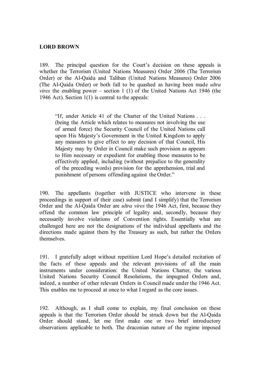## **LORD BROWN**

189. The principal question for the Court's decision on these appeals is whether the Terrorism (United Nations Measures) Order 2006 (The Terrorism Order) or the Al-Qaida and Taliban (United Nations Measures) Order 2006 (The Al-Qaida Order) or both fall to be quashed as having been made *ultra vires* the enabling power – section 1 (1) of the United Nations Act 1946 (the 1946 Act). Section  $1(1)$  is central to the appeals:

"If, under Article 41 of the Charter of the United Nations . . . (being the Article which relates to measures not involving the use of armed force) the Security Council of the United Nations call upon His Majesty's Government in the United Kingdom to apply any measures to give effect to any decision of that Council, His Majesty may by Order in Council make such provision as appears to Him necessary or expedient for enabling those measures to be effectively applied, including (without prejudice to the generality of the preceding words) provision for the apprehension, trial and punishment of persons offending against the Order."

190. The appellants (together with JUSTICE who intervene in these proceedings in support of their case) submit (and I simplify) that the Terrorism Order and the Al-Qaida Order are *ultra vires* the 1946 Act, first, because they offend the common law principle of legality and, secondly, because they necessarily involve violations of Convention rights. Essentially what are challenged here are not the designations of the individual appellants and the directions made against them by the Treasury as such, but rather the Orders themselves.

191. I gratefully adopt without repetition Lord Hope's detailed recitation of the facts of these appeals and the relevant provisions of all the main instruments under consideration: the United Nations Charter, the various United Nations Security Council Resolutions, the impugned Orders and, indeed, a number of other relevant Orders in Council made under the 1946 Act. This enables me to proceed at once to what I regard as the core issues.

192. Although, as I shall come to explain, my final conclusion on these appeals is that the Terrorism Order should be struck down but the Al-Qaida Order should stand, let me first make one or two brief introductory observations applicable to both. The draconian nature of the regime imposed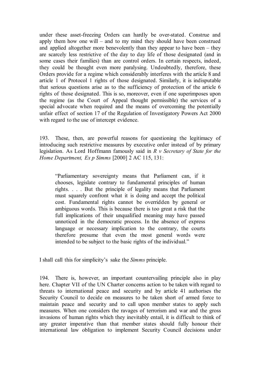under these asset-freezing Orders can hardly be over-stated. Construe and apply them how one will – and to my mind they should have been construed and applied altogether more benevolently than they appear to have been – they are scarcely less restrictive of the day to day life of those designated (and in some cases their families) than are control orders. In certain respects, indeed, they could be thought even more paralysing. Undoubtedly, therefore, these Orders provide for a regime which considerably interferes with the article 8 and article 1 of Protocol 1 rights of those designated. Similarly, it is indisputable that serious questions arise as to the sufficiency of protection of the article 6 rights of those designated. This is so, moreover, even if one superimposes upon the regime (as the Court of Appeal thought permissible) the services of a special advocate when required and the means of overcoming the potentially unfair effect of section 17 of the Regulation of Investigatory Powers Act 2000 with regard to the use of intercept evidence.

193. These, then, are powerful reasons for questioning the legitimacy of introducing such restrictive measures by executive order instead of by primary legislation. As Lord Hoffmann famously said in *R v Secretary of State for the Home Department, Ex p Simms* [2000] 2 AC 115, 131:

"Parliamentary sovereignty means that Parliament can, if it chooses, legislate contrary to fundamental principles of human rights. . . . But the principle of legality means that Parliament must squarely confront what it is doing and accept the political cost. Fundamental rights cannot be overridden by general or ambiguous words. This is because there is too great a risk that the full implications of their unqualified meaning may have passed unnoticed in the democratic process. In the absence of express language or necessary implication to the contrary, the courts therefore presume that even the most general words were intended to be subject to the basic rights of the individual."

I shall call this for simplicity's sake the *Simms* principle.

194. There is, however, an important countervailing principle also in play here. Chapter VII of the UN Charter concerns action to be taken with regard to threats to international peace and security and by article 41 authorises the Security Council to decide on measures to be taken short of armed force to maintain peace and security and to call upon member states to apply such measures. When one considers the ravages of terrorism and war and the gross invasions of human rights which they inevitably entail, it is difficult to think of any greater imperative than that member states should fully honour their international law obligation to implement Security Council decisions under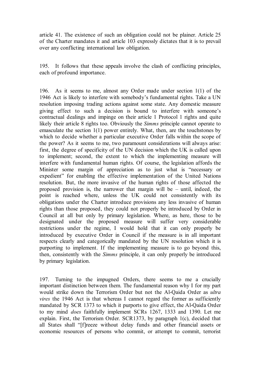article 41. The existence of such an obligation could not be plainer. Article 25 of the Charter mandates it and article 103 expressly dictates that it is to prevail over any conflicting international law obligation.

195. It follows that these appeals involve the clash of conflicting principles, each of profound importance.

196. As it seems to me, almost any Order made under section 1(1) of the 1946 Act is likely to interfere with somebody's fundamental rights. Take a UN resolution imposing trading actions against some state. Any domestic measure giving effect to such a decision is bound to interfere with someone's contractual dealings and impinge on their article 1 Protocol 1 rights and quite likely their article 8 rights too. Obviously the *Simms* principle cannot operate to emasculate the section 1(1) power entirely. What, then, are the touchstones by which to decide whether a particular executive Order falls within the scope of the power? As it seems to me, two paramount considerations will always arise: first, the degree of specificity of the UN decision which the UK is called upon to implement; second, the extent to which the implementing measure will interfere with fundamental human rights. Of course, the legislation affords the Minister some margin of appreciation as to just what is "necessary or expedient" for enabling the effective implementation of the United Nations resolution. But, the more invasive of the human rights of those affected the proposed provision is, the narrower that margin will be – until, indeed, the point is reached where, unless the UK could not consistently with its obligations under the Charter introduce provisions any less invasive of human rights than those proposed, they could not properly be introduced by Order in Council at all but only by primary legislation. Where, as here, those to be designated under the proposed measure will suffer very considerable restrictions under the regime, I would hold that it can only properly be introduced by executive Order in Council if the measure is in all important respects clearly and categorically mandated by the UN resolution which it is purporting to implement. If the implementing measure is to go beyond this, then, consistently with the *Simms* principle, it can only properly be introduced by primary legislation.

197. Turning to the impugned Orders, there seems to me a crucially important distinction between them. The fundamental reason why I for my part would strike down the Terrorism Order but not the Al-Qaida Order as *ultra vires* the 1946 Act is that whereas I cannot regard the former as sufficiently mandated by SCR 1373 to which it purports to give effect, the Al-Qaida Order to my mind *does* faithfully implement SCRs 1267, 1333 and 1390. Let me explain. First, the Terrorism Order. SCR1373, by paragraph 1(c), decided that all States shall "[f]reeze without delay funds and other financial assets or economic resources of persons who commit, or attempt to commit, terrorist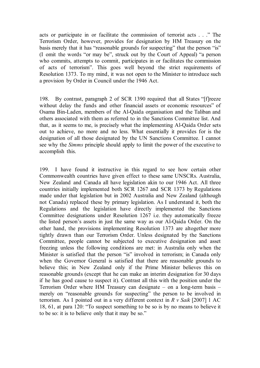acts or participate in or facilitate the commission of terrorist acts . . ." The Terrorism Order, however, provides for designation by HM Treasury on the basis merely that it has "reasonable grounds for suspecting" that the person "is" (I omit the words "or may be", struck out by the Court of Appeal) "a person who commits, attempts to commit, participates in or facilitates the commission of acts of terrorism". This goes well beyond the strict requirements of Resolution 1373. To my mind, it was not open to the Minister to introduce such a provision by Order in Council under the 1946 Act.

198. By contrast, paragraph 2 of SCR 1390 required that all States "[f]reeze without delay the funds and other financial assets or economic resources" of Osama Bin-Laden, members of the Al-Qaida organisation and the Taliban and others associated with them as referred to in the Sanctions Committee list. And that, as it seems to me, is precisely what the implementing Al-Qaida Order sets out to achieve, no more and no less. What essentially it provides for is the designation of all those designated by the UN Sanctions Committee. I cannot see why the *Simms* principle should apply to limit the power of the executive to accomplish this.

199. I have found it instructive in this regard to see how certain other Commonwealth countries have given effect to these same UNSCRs. Australia, New Zealand and Canada all have legislation akin to our 1946 Act. All three countries initially implemented both SCR 1267 and SCR 1373 by Regulations made under that legislation but in 2002 Australia and New Zealand (although not Canada) replaced these by primary legislation. As I understand it, both the Regulations and the legislation have directly implemented the Sanctions Committee designations under Resolution 1267 i.e. they automatically freeze the listed person's assets in just the same way as our Al-Qaida Order. On the other hand, the provisions implementing Resolution 1373 are altogether more tightly drawn than our Terrorism Order. Unless designated by the Sanctions Committee, people cannot be subjected to executive designation and asset freezing unless the following conditions are met: in Australia only when the Minister is satisfied that the person "is" involved in terrorism; in Canada only when the Governor General is satisfied that there are reasonable grounds to believe this; in New Zealand only if the Prime Minister believes this on reasonable grounds (except that he can make an interim designation for 30 days if he has good cause to suspect it). Contrast all this with the position under the Terrorism Order where HM Treasury can designate – on a long-term basis – merely on "reasonable grounds for suspecting" the person to be involved in terrorism. As I pointed out in a very different context in *R v Saik* [2007] 1 AC 18, 61, at para 120: "To suspect something to be so is by no means to believe it to be so: it is to believe only that it may be so."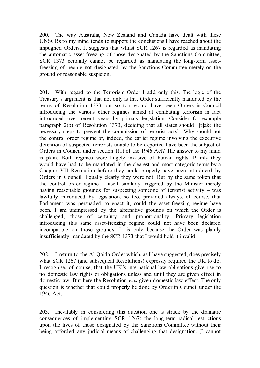200. The way Australia, New Zealand and Canada have dealt with these UNSCRs to my mind tends to support the conclusions I have reached about the impugned Orders. It suggests that whilst SCR 1267 is regarded as mandating the automatic asset-freezing of those designated by the Sanctions Committee, SCR 1373 certainly cannot be regarded as mandating the long-term assetfreezing of people not designated by the Sanctions Committee merely on the ground of reasonable suspicion.

201. With regard to the Terrorism Order I add only this. The logic of the Treasury's argument is that not only is that Order sufficiently mandated by the terms of Resolution 1373 but so too would have been Orders in Council introducing the various other regimes aimed at combating terrorism in fact introduced over recent years by primary legislation. Consider for example paragraph 2(b) of Resolution 1373, deciding that all states should "[t]ake the necessary steps to prevent the commission of terrorist acts". Why should not the control order regime or, indeed, the earlier regime involving the executive detention of suspected terrorists unable to be deported have been the subject of Orders in Council under section 1(1) of the 1946 Act? The answer to my mind is plain. Both regimes were hugely invasive of human rights. Plainly they would have had to be mandated in the clearest and most categoric terms by a Chapter VII Resolution before they could properly have been introduced by Orders in Council. Equally clearly they were not. But by the same token that the control order regime – itself similarly triggered by the Minister merely having reasonable grounds for suspecting someone of terrorist activity – was lawfully introduced by legislation, so too, provided always, of course, that Parliament was persuaded to enact it, could the asset-freezing regime have been. I am unimpressed by the alternative grounds on which the Order is challenged, those of certainty and proportionality. Primary legislation introducing this same asset-freezing regime could not have been declared incompatible on those grounds. It is only because the Order was plainly insufficiently mandated by the SCR 1373 that I would hold it invalid.

202. I return to the Al-Qaida Order which, as I have suggested, does precisely what SCR 1267 (and subsequent Resolutions) expressly required the UK to do. I recognise, of course, that the UK's international law obligations give rise to no domestic law rights or obligations unless and until they are given effect in domestic law. But here the Resolution *was* given domestic law effect. The only question is whether that could properly be done by Order in Council under the 1946 Act.

203. Inevitably in considering this question one is struck by the dramatic consequences of implementing SCR 1267: the long-term radical restrictions upon the lives of those designated by the Sanctions Committee without their being afforded any judicial means of challenging that designation. (I cannot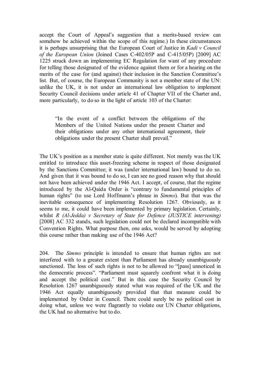accept the Court of Appeal's suggestion that a merits-based review can somehow be achieved within the scope of this regime.) In these circumstances it is perhaps unsurprising that the European Court of Justice in *Kadi v Council of the European Union* (Joined Cases C-402/05P and C-415/05P) [2009] AC 1225 struck down an implementing EC Regulation for want of any procedure for telling those designated of the evidence against them or for a hearing on the merits of the case for (and against) their inclusion in the Sanction Committee's list. But, of course, the European Community is not a member state of the UN: unlike the UK, it is not under an international law obligation to implement Security Council decisions under article 41 of Chapter VII of the Charter and, more particularly, to do so in the light of article 103 of the Charter:

"In the event of a conflict between the obligations of the Members of the United Nations under the present Charter and their obligations under any other international agreement, their obligations under the present Charter shall prevail."

The UK's position as a member state is quite different. Not merely was the UK entitled to introduce this asset-freezing scheme in respect of those designated by the Sanctions Committee; it was (under international law) bound to do so. And given that it was bound to do so, I can see no good reason why that should not have been achieved under the 1946 Act. I accept, of course, that the regime introduced by the Al-Qaida Order is "contrary to fundamental principles of human rights" (to use Lord Hoffmann's phrase in *Simms*). But that was the inevitable consequence of implementing Resolution 1267. Obviously, as it seems to me, it could have been implemented by primary legislation. Certainly, whilst *R (Al-Jedda) v Secretary of State for Defence (JUSTICE intervening)* [2008] AC 332 stands, such legislation could not be declared incompatible with Convention Rights. What purpose then, one asks, would be served by adopting this course rather than making use of the 1946 Act?

204. The *Simms* principle is intended to ensure that human rights are not interfered with to a greater extent than Parliament has already unambiguously sanctioned. The loss of such rights is not to be allowed to "[pass] unnoticed in the democratic process". "Parliament must squarely confront what it is doing and accept the political cost." But in this case the Security Council by Resolution 1267 unambiguously stated what was required of the UK and the 1946 Act equally unambiguously provided that that measure could be implemented by Order in Council. There could surely be no political cost in doing what, unless we were flagrantly to violate our UN Charter obligations, the UK had no alternative but to do.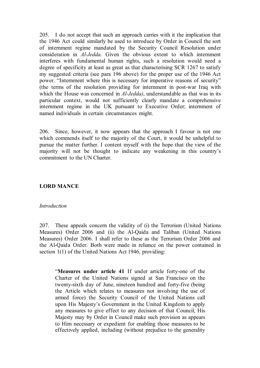205. I do not accept that such an approach carries with it the implication that the 1946 Act could similarly be used to introduce by Order in Council the sort of internment regime mandated by the Security Council Resolution under consideration in *Al-Jedda.* Given the obvious extent to which internment interferes with fundamental human rights, such a resolution would need a degree of specificity at least as great as that characterising SCR 1267 to satisfy my suggested criteria (see para 196 above) for the proper use of the 1946 Act power. "Internment where this is necessary for imperative reasons of security" (the terms of the resolution providing for internment in post-war Iraq with which the House was concerned in *Al-Jedda)*, understandable as that was in its particular context, would not sufficiently clearly mandate a comprehensive internment regime in the UK pursuant to Executive Order; internment of named individuals in certain circumstances might.

206. Since, however, it now appears that the approach I favour is not one which commends itself to the majority of the Court, it would be unhelpful to pursue the matter further. I content myself with the hope that the view of the majority will not be thought to indicate any weakening in this country's commitment to the UN Charter.

## **LORD MANCE**

#### *Introduction*

207. These appeals concern the validity of (i) the Terrorism (United Nations Measures) Order 2006 and (ii) the Al-Qaida and Taliban (United Nations Measures) Order 2006. I shall refer to these as the Terrorism Order 2006 and the Al-Qaida Order. Both were made in reliance on the power contained in section 1(1) of the United Nations Act 1946, providing:

"**Measures under article 41** If under article forty-one of the Charter of the United Nations signed at San Francisco on the twenty-sixth day of June, nineteen hundred and forty-five (being the Article which relates to measures not involving the use of armed force) the Security Council of the United Nations call upon His Majesty's Government in the United Kingdom to apply any measures to give effect to any decision of that Council, His Majesty may by Order in Council make such provision as appears to Him necessary or expedient for enabling those measures to be effectively applied, including (without prejudice to the generality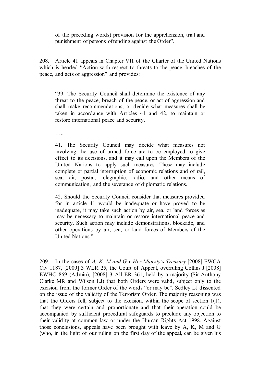of the preceding words) provision for the apprehension, trial and punishment of persons offending against the Order".

208. Article 41 appears in Chapter VII of the Charter of the United Nations which is headed "Action with respect to threats to the peace, breaches of the peace, and acts of aggression" and provides:

"39. The Security Council shall determine the existence of any threat to the peace, breach of the peace, or act of aggression and shall make recommendations, or decide what measures shall be taken in accordance with Articles 41 and 42, to maintain or restore international peace and security.

…..

41. The Security Council may decide what measures not involving the use of armed force are to be employed to give effect to its decisions, and it may call upon the Members of the United Nations to apply such measures. These may include complete or partial interruption of economic relations and of rail, sea, air, postal, telegraphic, radio, and other means of communication, and the severance of diplomatic relations.

42. Should the Security Council consider that measures provided for in article 41 would be inadequate or have proved to be inadequate, it may take such action by air, sea, or land forces as may be necessary to maintain or restore international peace and security. Such action may include demonstrations, blockade, and other operations by air, sea, or land forces of Members of the United Nations."

209. In the cases of *A, K, M and G v Her Majesty's Treasury* [2008] EWCA Civ 1187, [2009] 3 WLR 25, the Court of Appeal, overruling Collins J [2008] EWHC 869 (Admin), [2008] 3 All ER 361, held by a majority (Sir Anthony Clarke MR and Wilson LJ) that both Orders were valid, subject only to the excision from the former Order of the words "or may be". Sedley LJ dissented on the issue of the validity of the Terrorism Order. The majority reasoning was that the Orders fell, subject to the excision, within the scope of section 1(1), that they were certain and proportionate and that their operation could be accompanied by sufficient procedural safeguards to preclude any objection to their validity at common law or under the Human Rights Act 1998. Against those conclusions, appeals have been brought with leave by A, K, M and G (who, in the light of our ruling on the first day of the appeal, can be given his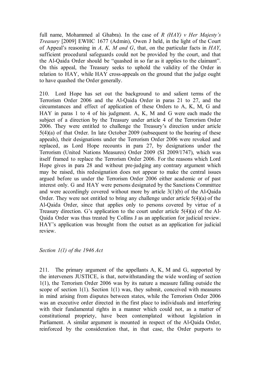full name, Mohammed al Ghabra). In the case of *R (HAY) v Her Majesty's Treasury* [2009] EWHC 1677 (Admin), Owen J held, in the light of the Court of Appeal's reasoning in *A, K, M and G*, that, on the particular facts in *HAY*, sufficient procedural safeguards could not be provided by the court, and that the Al-Qaida Order should be "quashed in so far as it applies to the claimant". On this appeal, the Treasury seeks to uphold the validity of the Order in relation to HAY, while HAY cross-appeals on the ground that the judge ought to have quashed the Order generally.

210. Lord Hope has set out the background to and salient terms of the Terrorism Order 2006 and the Al-Qaida Order in paras 21 to 27, and the circumstances and effect of application of these Orders to A, K, M, G and HAY in paras 1 to 4 of his judgment. A, K, M and G were each made the subject of a direction by the Treasury under article 4 of the Terrorism Order 2006. They were entitled to challenge the Treasury's direction under article 5(4)(a) of that Order. In late October 2009 (subsequent to the hearing of these appeals), their designations under the Terrorism Order 2006 were revoked and replaced, as Lord Hope recounts in para 27, by designations under the Terrorism (United Nations Measures) Order 2009 (SI 2009/1747), which was itself framed to replace the Terrorism Order 2006. For the reasons which Lord Hope gives in para 28 and without pre-judging any contrary argument which may be raised, this redesignation does not appear to make the central issues argued before us under the Terrorism Order 2006 either academic or of past interest only. G and HAY were persons designated by the Sanctions Committee and were accordingly covered without more by article 3(1)(b) of the Al-Qaida Order. They were not entitled to bring any challenge under article 5(4)(a) of the Al-Qaida Order, since that applies only to persons covered by virtue of a Treasury direction. G's application to the court under article 5(4)(a) of the Al-Qaida Order was thus treated by Collins J as an application for judicial review. HAY's application was brought from the outset as an application for judicial review.

#### *Section 1(1) of the 1946 Act*

211. The primary argument of the appellants A, K, M and G, supported by the interveners JUSTICE, is that, notwithstanding the wide wording of section 1(1), the Terrorism Order 2006 was by its nature a measure falling outside the scope of section 1(1). Section 1(1) was, they submit, conceived with measures in mind arising from disputes between states, while the Terrorism Order 2006 was an executive order directed in the first place to individuals and interfering with their fundamental rights in a manner which could not, as a matter of constitutional propriety, have been contemplated without legislation in Parliament. A similar argument is mounted in respect of the Al-Qaida Order, reinforced by the consideration that, in that case, the Order purports to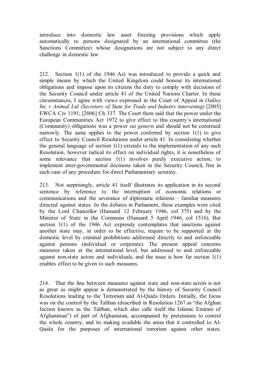introduce into domestic law asset freezing provisions which apply automatically to persons designated by an international committee (the Sanctions Committee) whose designations are not subject to any direct challenge in domestic law.

212. Section 1(1) of the 1946 Act was introduced to provide a quick and simple means by which the United Kingdom could honour its international obligations and impose upon its citizens the duty to comply with decisions of the Security Council under article 41 of the United Nations Charter. In these circumstances, I agree with views expressed in the Court of Appeal in *Oakley Inc v Animal Ltd (Secretary of State for Trade and Industry intervening)* [2005] EWCA Civ 1191; [2006] Ch 337. The Court there said that the power under the European Communities Act 1972 to give effect to this country's international (Community) obligations was a power *sui generis* and should not be construed narrowly. The same applies to the power conferred by section 1(1) to give effect to Security Council Resolutions under article 41. In considering whether the general language of section 1(1) extends to the implementation of any such Resolution, however radical its effect on individual rights, it is nonetheless of some relevance that section 1(1) involves purely executive action, to implement inter-governmental decisions taken in the Security Council, free in each case of any procedure for direct Parliamentary scrutiny.

213. Not surprisingly, article 41 itself illustrates its application in its second sentence by reference to the interruption of economic relations or communications and the severance of diplomatic relations – familiar measures directed against states. In the debates in Parliament, these examples were cited by the Lord Chancellor (Hansard 12 February 1946, col 375) and by the Minister of State in the Commons (Hansard 5 April 1946, col 1516). But section 1(1) of the 1946 Act expressly contemplates that sanctions against another state may, in order to be effective, require to be supported at the domestic level by criminal prohibitions addressed directly to and enforceable against persons (individual or corporate). The present appeal concerns measures taken at the international level, but addressed to and enforceable against non-state actors and individuals, and the issue is how far section 1(1) enables effect to be given to such measures.

214. That the line between measures against state and non-state actors is not as great as might appear is demonstrated by the history of Security Council Resolutions leading to the Terrorism and Al-Qaida Orders. Initially, the focus was on the control by the Taliban (described in Resolution 1267 as "the Afghan faction known as the Taliban, which also calls itself the Islamic Emirate of Afghanistan") of part of Afghanistan, accompanied by pretensions to control the whole country, and its making available the areas that it controlled to Al-Qaida for the purposes of international terrorism against other states.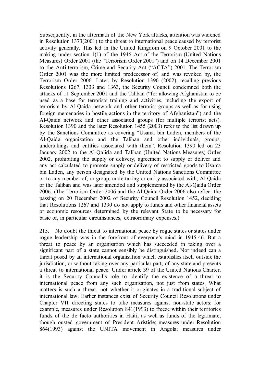Subsequently, in the aftermath of the New York attacks, attention was widened in Resolution 1373(2001) to the threat to international peace caused by terrorist activity generally. This led in the United Kingdom on 9 October 2001 to the making under section 1(1) of the 1946 Act of the Terrorism (United Nations Measures) Order 2001 (the "Terrorism Order 2001") and on 14 December 2001 to the Anti-terrorism, Crime and Security Act ("ACTA") 2001. The Terrorism Order 2001 was the more limited predecessor of, and was revoked by, the Terrorism Order 2006. Later, by Resolution 1390 (2002), recalling previous Resolutions 1267, 1333 and 1363, the Security Council condemned both the attacks of 11 September 2001 and the Taliban ("for allowing Afghanistan to be used as a base for terrorists training and activities, including the export of terrorism by Al-Qaida network and other terrorist groups as well as for using foreign mercenaries in hostile actions in the territory of Afghanistan") and the Al-Qaida network and other associated groups (for multiple terrorist acts). Resolution 1390 and the later Resolution 1455 (2003) refer to the list drawn up by the Sanctions Committee as covering "Usama bin Laden, members of the Al-Qaida organization and the Taliban and other individuals, groups, undertakings and entities associated with them". Resolution 1390 led on 23 January 2002 to the Al-Qa'ida and Taliban (United Nations Measures) Order 2002, prohibiting the supply or delivery, agreement to supply or deliver and any act calculated to promote supply or delivery of restricted goods to Usama bin Laden, any person designated by the United Nations Sanctions Committee or to any member of, or group, undertaking or entity associated with, Al-Qaida or the Taliban and was later amended and supplemented by the Al-Qaida Order 2006. (The Terrorism Order 2006 and the Al-Qaida Order 2006 also reflect the passing on 20 December 2002 of Security Council Resolution 1452, deciding that Resolutions 1267 and 1390 do not apply to funds and other financial assets or economic resources determined by the relevant State to be necessary for basic or, in particular circumstances, extraordinary expenses.)

215. No doubt the threat to international peace by rogue states or states under rogue leadership was in the forefront of everyone's mind in 1945-46. But a threat to peace by an organisation which has succeeded in taking over a significant part of a state cannot sensibly be distinguished. Nor indeed can a threat posed by an international organisation which establishes itself outside the jurisdiction, or without taking over any particular part, of any state and presents a threat to international peace. Under article 39 of the United Nations Charter, it is the Security Council's role to identify the existence of a threat to international peace from any such organisation, not just from states. What matters is such a threat, not whether it originates in a traditional subject of international law. Earlier instances exist of Security Council Resolutions under Chapter VII directing states to take measures against non-state actors: for example, measures under Resolution 841(1993) to freeze within their territories funds of the de facto authorities in Haiti, as well as funds of the legitimate, though ousted government of President Aristide; measures under Resolution 864(1993) against the UNITA movement in Angola; measures under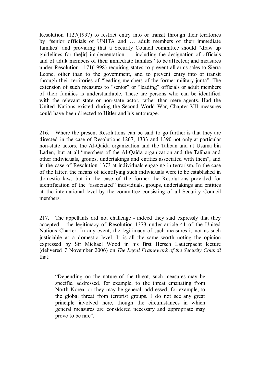Resolution 1127(1997) to restrict entry into or transit through their territories by "senior officials of UNITA and … adult members of their immediate families" and providing that a Security Council committee should "draw up guidelines for the[ir] implementation …, including the designation of officials and of adult members of their immediate families" to be affected; and measures under Resolution 1171(1998) requiring states to prevent all arms sales to Sierra Leone, other than to the government, and to prevent entry into or transit through their territories of "leading members of the former military junta". The extension of such measures to "senior" or "leading" officials or adult members of their families is understandable. These are persons who can be identified with the relevant state or non-state actor, rather than mere agents. Had the United Nations existed during the Second World War, Chapter VII measures could have been directed to Hitler and his entourage.

216. Where the present Resolutions can be said to go further is that they are directed in the case of Resolutions 1267, 1333 and 1390 not only at particular non-state actors, the Al-Qaida organization and the Taliban and at Usama bin Laden, but at all "members of the Al-Qaida organization and the Taliban and other individuals, groups, undertakings and entities associated with them", and in the case of Resolution 1373 at individuals engaging in terrorism. In the case of the latter, the means of identifying such individuals were to be established in domestic law, but in the case of the former the Resolutions provided for identification of the "associated" individuals, groups, undertakings and entities at the international level by the committee consisting of all Security Council members.

217. The appellants did not challenge - indeed they said expressly that they accepted - the legitimacy of Resolution 1373 under article 41 of the United Nations Charter. In any event, the legitimacy of such measures is not as such justiciable at a domestic level. It is all the same worth noting the opinion expressed by Sir Michael Wood in his first Hersch Lauterpacht lecture (delivered 7 November 2006) on *The Legal Framework of the Security Council* that:

"Depending on the nature of the threat, such measures may be specific, addressed, for example, to the threat emanating from North Korea, or they may be general, addressed, for example, to the global threat from terrorist groups. I do not see any great principle involved here, though the circumstances in which general measures are considered necessary and appropriate may prove to be rare".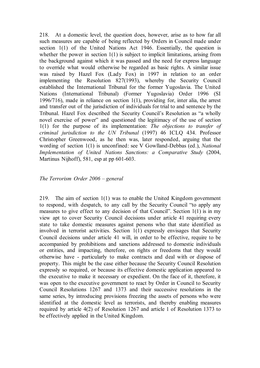218. At a domestic level, the question does, however, arise as to how far all such measures are capable of being reflected by Orders in Council made under section 1(1) of the United Nations Act 1946. Essentially, the question is whether the power in section 1(1) is subject to implicit limitations, arising from the background against which it was passed and the need for express language to override what would otherwise be regarded as basic rights. A similar issue was raised by Hazel Fox (Lady Fox) in 1997 in relation to an order implementing the Resolution 827(1993), whereby the Security Council established the International Tribunal for the former Yugoslavia. The United Nations (International Tribunal) (Former Yugoslavia) Order 1996 (SI 1996/716), made in reliance on section 1(1), providing for, inter alia, the arrest and transfer out of the jurisdiction of individuals for trial to and sentence by the Tribunal. Hazel Fox described the Security Council's Resolution as "a wholly novel exercise of power" and questioned the legitimacy of the use of section 1(1) for the purpose of its implementation: *The objections to transfer of criminal jurisdiction to the UN Tribunal* (1997) 46 ICLQ 434. Professor Christopher Greenwood, as he then was, later responded, arguing that the wording of section 1(1) is unconfined: see V Gowlland-Debbas (ed.), *National Implementation of United Nations Sanctions: a Comparative Study* (2004, Martinus Nijhoff), 581, esp at pp 601-603.

#### *The Terrorism Order 2006 – general*

219. The aim of section 1(1) was to enable the United Kingdom government to respond, with despatch, to any call by the Security Council "to apply any measures to give effect to any decision of that Council". Section  $1(1)$  is in my view apt to cover Security Council decisions under article 41 requiring every state to take domestic measures against persons who that state identified as involved in terrorist activities. Section 1(1) expressly envisages that Security Council decisions under article 41 will, in order to be effective, require to be accompanied by prohibitions and sanctions addressed to domestic individuals or entities, and impacting, therefore, on rights or freedoms that they would otherwise have - particularly to make contracts and deal with or dispose of property. This might be the case either because the Security Council Resolution expressly so required, or because its effective domestic application appeared to the executive to make it necessary or expedient. On the face of it, therefore, it was open to the executive government to react by Order in Council to Security Council Resolutions 1267 and 1373 and their successive resolutions in the same series, by introducing provisions freezing the assets of persons who were identified at the domestic level as terrorists, and thereby enabling measures required by article 4(2) of Resolution 1267 and article 1 of Resolution 1373 to be effectively applied in the United Kingdom.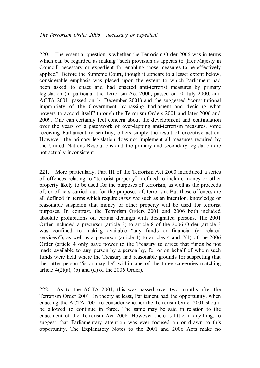220. The essential question is whether the Terrorism Order 2006 was in terms which can be regarded as making "such provision as appears to [Her Majesty in Council] necessary or expedient for enabling those measures to be effectively applied". Before the Supreme Court, though it appears to a lesser extent below, considerable emphasis was placed upon the extent to which Parliament had been asked to enact and had enacted anti-terrorist measures by primary legislation (in particular the Terrorism Act 2000, passed on 20 July 2000, and ACTA 2001, passed on 14 December 2001) and the suggested "constitutional impropriety of the Government by-passing Parliament and deciding what powers to accord itself" through the Terrorism Orders 2001 and later 2006 and 2009. One can certainly feel concern about the development and continuation over the years of a patchwork of over-lapping anti-terrorism measures, some receiving Parliamentary scrutiny, others simply the result of executive action. However, the primary legislation does not implement all measures required by the United Nations Resolutions and the primary and secondary legislation are not actually inconsistent.

221. More particularly, Part III of the Terrorism Act 2000 introduced a series of offences relating to "terrorist property", defined to include money or other property likely to be used for the purposes of terrorism, as well as the proceeds of, or of acts carried out for the purposes of, terrorism. But these offences are all defined in terms which require *mens rea* such as an intention, knowledge or reasonable suspicion that money or other property will be used for terrorist purposes. In contrast, the Terrorism Orders 2001 and 2006 both included absolute prohibitions on certain dealings with designated persons. The 2001 Order included a precursor (article 3) to article 8 of the 2006 Order (article 3 was confined to making available "any funds or financial (or related services)"), as well as a precursor (article 4) to articles 4 and 7(1) of the 2006 Order (article 4 only gave power to the Treasury to direct that funds be not made available to any person by a person by, for or on behalf of whom such funds were held where the Treasury had reasonable grounds for suspecting that the latter person "is or may be" within one of the three categories matching article  $4(2)(a)$ , (b) and (d) of the 2006 Order).

222. As to the ACTA 2001, this was passed over two months after the Terrorism Order 2001. In theory at least, Parliament had the opportunity, when enacting the ACTA 2001 to consider whether the Terrorism Order 2001 should be allowed to continue in force. The same may be said in relation to the enactment of the Terrorism Act 2006. However there is little, if anything, to suggest that Parliamentary attention was ever focused on or drawn to this opportunity. The Explanatory Notes to the 2001 and 2006 Acts make no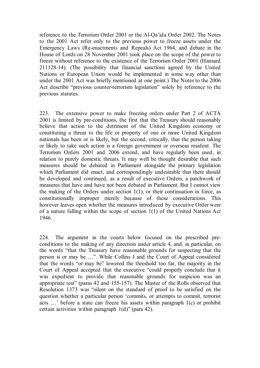reference to the Terrorism Order 2001 or the Al-Qa'ida Order 2002. The Notes to the 2001 Act refer only to the previous power to freeze assets under the Emergency Laws (Re-enactments and Repeals) Act 1964, and debate in the House of Lords on 28 November 2001 took place on the scope of the power to freeze without reference to the existence of the Terrorism Order 2001 (Hansard 211128-14). (The possibility that financial sanctions agreed by the United Nations or European Union would be implemented in some way other than under the 2001 Act was briefly mentioned at one point.) The Notes to the 2006 Act describe "previous counter-terrorism legislation" solely by reference to the previous statutes.

223. The extensive power to make freezing orders under Part 2 of ACTA 2001 is limited by pre-conditions, the first that the Treasury should reasonably believe that action to the detriment of the United Kingdom economy or constituting a threat to the life or property of one or more United Kingdom nationals has been or is likely, but the second, critically, that the person taking or likely to take such action is a foreign government or overseas resident. The Terrorism Orders 2001 and 2006 extend, and have regularly been used, in relation to purely domestic threats. It may well be thought desirable that such measures should be debated in Parliament alongside the primary legislation which Parliament did enact, and correspondingly undesirable that there should be developed and continued, as a result of executive Orders, a patchwork of measures that have and have not been debated in Parliament. But I cannot view the making of the Orders under section 1(1), or their continuation in force, as constitutionally improper merely because of these considerations. This however leaves open whether the measures introduced by executive Order were of a nature falling within the scope of section 1(1) of the United Nations Act 1946.

224. The argument in the courts below focused on the prescribed preconditions to the making of any direction under article 4, and, in particular, on the words "that the Treasury have reasonable grounds for suspecting that the person is or may be …". While Collins J and the Court of Appeal considered that the words "or may be" lowered the threshold too far, the majority in the Court of Appeal accepted that the executive "could properly conclude that it was expedient to provide that reasonable grounds for suspicion was an appropriate test" (paras 42 and 155-157). The Master of the Rolls observed that Resolution 1373 was "silent on the standard of proof to be satisfied on the question whether a particular person 'commits, or attempts to commit, terrorist acts …' before a state can freeze his assets within paragraph 1(c) or prohibit certain activities within paragraph 1(d)" (para 42).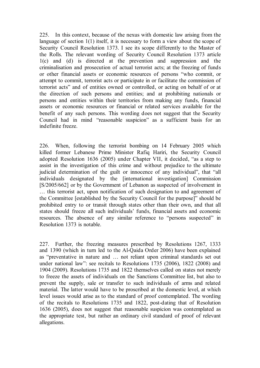225. In this context, because of the nexus with domestic law arising from the language of section 1(1) itself, it is necessary to form a view about the scope of Security Council Resolution 1373. I see its scope differently to the Master of the Rolls. The relevant wording of Security Council Resolution 1373 article 1(c) and (d) is directed at the prevention and suppression and the criminalisation and prosecution of actual terrorist acts; at the freezing of funds or other financial assets or economic resources of persons "who commit, or attempt to commit, terrorist acts or participate in or facilitate the commission of terrorist acts" and of entities owned or controlled, or acting on behalf of or at the direction of such persons and entities; and at prohibiting nationals or persons and entities within their territories from making any funds, financial assets or economic resources or financial or related services available for the benefit of any such persons. This wording does not suggest that the Security Council had in mind "reasonable suspicion" as a sufficient basis for an indefinite freeze.

226. When, following the terrorist bombing on 14 February 2005 which killed former Lebanese Prime Minister Rafiq Hariri, the Security Council adopted Resolution 1636 (2005) under Chapter VII, it decided, "as a step to assist in the investigation of this crime and without prejudice to the ultimate judicial determination of the guilt or innocence of any individual", that "all individuals designated by the [international investigation] Commission [S/2005/662] or by the Government of Lebanon as suspected of involvement in … this terrorist act, upon notification of such designation to and agreement of the Committee [established by the Security Council for the purpose]" should be prohibited entry to or transit through states other than their own, and that all states should freeze all such individuals' funds, financial assets and economic resources. The absence of any similar reference to "persons suspected" in Resolution 1373 is notable.

227. Further, the freezing measures prescribed by Resolutions 1267, 1333 and 1390 (which in turn led to the Al-Qaida Order 2006) have been explained as "preventative in nature and … not reliant upon criminal standards set out under national law": see recitals to Resolutions 1735 (2006), 1822 (2008) and 1904 (2009). Resolutions 1735 and 1822 themselves called on states not merely to freeze the assets of individuals on the Sanctions Committee list, but also to prevent the supply, sale or transfer to such individuals of arms and related material. The latter would have to be proscribed at the domestic level, at which level issues would arise as to the standard of proof contemplated. The wording of the recitals to Resolutions 1735 and 1822, post-dating that of Resolution 1636 (2005), does not suggest that reasonable suspicion was contemplated as the appropriate test, but rather an ordinary civil standard of proof of relevant allegations.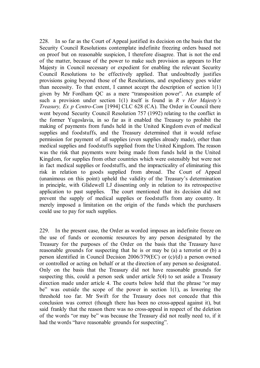228. In so far as the Court of Appeal justified its decision on the basis that the Security Council Resolutions contemplate indefinite freezing orders based not on proof but on reasonable suspicion, I therefore disagree. That is not the end of the matter, because of the power to make such provision as appears to Her Majesty in Council necessary or expedient for enabling the relevant Security Council Resolutions to be effectively applied. That undoubtedly justifies provisions going beyond those of the Resolutions, and expediency goes wider than necessity. To that extent, I cannot accept the description of section  $1(1)$ given by Mr Fordham QC as a mere "transposition power". An example of such a provision under section 1(1) itself is found in *R v Her Majesty's Treasury, Ex p Centro-Com* [1994] CLC 628 (CA). The Order in Council there went beyond Security Council Resolution 757 (1992) relating to the conflict in the former Yugoslavia, in so far as it enabled the Treasury to prohibit the making of payments from funds held in the United Kingdom even of medical supplies and foodstuffs, and the Treasury determined that it would refuse permission for payment of all supplies (even supplies already made), other than medical supplies and foodstuffs supplied from the United Kingdom. The reason was the risk that payments were being made from funds held in the United Kingdom, for supplies from other countries which were ostensibly but were not in fact medical supplies or foodstuffs, and the impracticality of eliminating this risk in relation to goods supplied from abroad. The Court of Appeal (unanimous on this point) upheld the validity of the Treasury's determination in principle, with Glidewell LJ dissenting only in relation to its retrospective application to past supplies. The court mentioned that its decision did not prevent the supply of medical supplies or foodstuffs from any country. It merely imposed a limitation on the origin of the funds which the purchasers could use to pay for such supplies.

229. In the present case, the Order as worded imposes an indefinite freeze on the use of funds or economic resources by any person designated by the Treasury for the purposes of the Order on the basis that the Treasury have reasonable grounds for suspecting that he is or may be (a) a terrorist or (b) a person identified in Council Decision 2006/379(EC) or (c)/(d) a person owned or controlled or acting on behalf or at the direction of any person so designated. Only on the basis that the Treasury did not have reasonable grounds for suspecting this, could a person seek under article 5(4) to set aside a Treasury direction made under article 4. The courts below held that the phrase "or may be" was outside the scope of the power in section 1(1), as lowering the threshold too far. Mr Swift for the Treasury does not concede that this conclusion was correct (though there has been no cross-appeal against it), but said frankly that the reason there was no cross-appeal in respect of the deletion of the words "or may be" was because the Treasury did not really need to, if it had the words "have reasonable grounds for suspecting".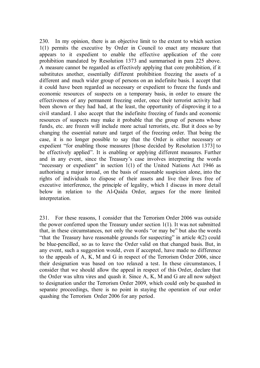230. In my opinion, there is an objective limit to the extent to which section 1(1) permits the executive by Order in Council to enact any measure that appears to it expedient to enable the effective application of the core prohibition mandated by Resolution 1373 and summarised in para 225 above. A measure cannot be regarded as effectively applying that core prohibition, if it substitutes another, essentially different prohibition freezing the assets of a different and much wider group of persons on an indefinite basis. I accept that it could have been regarded as necessary or expedient to freeze the funds and economic resources of suspects on a temporary basis, in order to ensure the effectiveness of any permanent freezing order, once their terrorist activity had been shown or they had had, at the least, the opportunity of disproving it to a civil standard. I also accept that the indefinite freezing of funds and economic resources of suspects may make it probable that the group of persons whose funds, etc. are frozen will include more actual terrorists, etc. But it does so by changing the essential nature and target of the freezing order. That being the case, it is no longer possible to say that the Order is either necessary or expedient "for enabling those measures [those decided by Resolution 1373] to be effectively applied". It is enabling or applying different measures. Further and in any event, since the Treasury's case involves interpreting the words "necessary or expedient" in section 1(1) of the United Nations Act 1946 as authorising a major inroad, on the basis of reasonable suspicion alone, into the rights of individuals to dispose of their assets and live their lives free of executive interference, the principle of legality, which I discuss in more detail below in relation to the Al-Qaida Order, argues for the more limited interpretation.

231. For these reasons, I consider that the Terrorism Order 2006 was outside the power conferred upon the Treasury under section 1(1). It was not submitted that, in these circumstances, not only the words "or may be" but also the words "that the Treasury have reasonable grounds for suspecting" in article 4(2) could be blue-pencilled, so as to leave the Order valid on that changed basis. But, in any event, such a suggestion would, even if accepted, have made no difference to the appeals of A, K, M and G in respect of the Terrorism Order 2006, since their designation was based on too relaxed a test. In these circumstances, I consider that we should allow the appeal in respect of this Order, declare that the Order was ultra vires and quash it. Since A, K, M and G are all now subject to designation under the Terrorism Order 2009, which could only be quashed in separate proceedings, there is no point in staying the operation of our order quashing the Terrorism Order 2006 for any period.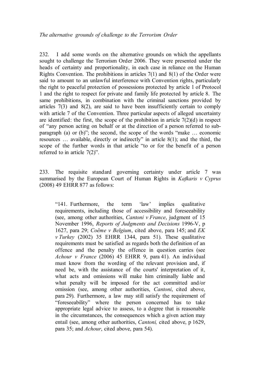232. I add some words on the alternative grounds on which the appellants sought to challenge the Terrorism Order 2006. They were presented under the heads of certainty and proportionality, in each case in reliance on the Human Rights Convention. The prohibitions in articles 7(1) and 8(1) of the Order were said to amount to an unlawful interference with Convention rights, particularly the right to peaceful protection of possessions protected by article 1 of Protocol 1 and the right to respect for private and family life protected by article 8. The same prohibitions, in combination with the criminal sanctions provided by articles  $7(3)$  and  $8(2)$ , are said to have been insufficiently certain to comply with article 7 of the Convention. Three particular aspects of alleged uncertainty are identified: the first, the scope of the prohibition in article  $7(2)(d)$  in respect of "any person acting on behalf or at the direction of a person referred to subparagraph (a) or (b)"; the second, the scope of the words "make … economic resources … available, directly or indirectly" in article 8(1); and the third, the scope of the further words in that article "to or for the benefit of a person referred to in article 7(2)".

233. The requisite standard governing certainty under article 7 was summarised by the European Court of Human Rights in *Kafkaris v Cyprus*  (2008) 49 EHRR 877 as follows:

"141. Furthermore, the term 'law' implies qualitative requirements, including those of accessibility and foreseeability (see, among other authorities, *Cantoni v France*, judgment of 15 November 1996, *Reports of Judgments and Decisions* 1996-V, p 1627, para 29; *Coëme v Belgium*, cited above, para 145; and *EK v Turkey* (2002) 35 EHRR 1344, para 51). These qualitative requirements must be satisfied as regards both the definition of an offence and the penalty the offence in question carries (see *Achour v France* (2006) 45 EHRR 9, para 41). An individual must know from the wording of the relevant provision and, if need be, with the assistance of the courts' interpretation of it, what acts and omissions will make him criminally liable and what penalty will be imposed for the act committed and/or omission (see, among other authorities, *Cantoni*, cited above, para 29). Furthermore, a law may still satisfy the requirement of "foreseeability" where the person concerned has to take appropriate legal advice to assess, to a degree that is reasonable in the circumstances, the consequences which a given action may entail (see, among other authorities, *Cantoni,* cited above, p 1629, para 35; and *Achour*, cited above, para 54).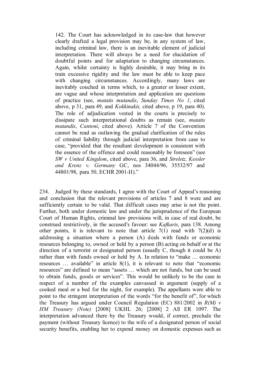142. The Court has acknowledged in its case-law that however clearly drafted a legal provision may be, in any system of law, including criminal law, there is an inevitable element of judicial interpretation. There will always be a need for elucidation of doubtful points and for adaptation to changing circumstances. Again, whilst certainty is highly desirable, it may bring in its train excessive rigidity and the law must be able to keep pace with changing circumstances. Accordingly, many laws are inevitably couched in terms which, to a greater or lesser extent, are vague and whose interpretation and application are questions of practice (see, *mutatis mutandis*, *Sunday Times No 1*, cited above, p 31, para 49, and *Kokkinakis,* cited above, p 19, para 40). The role of adjudication vested in the courts is precisely to dissipate such interpretational doubts as remain (see, *mutatis mutandis*, *Cantoni*, cited above)*.* Article 7 of the Convention cannot be read as outlawing the gradual clarification of the rules of criminal liability through judicial interpretation from case to case, "provided that the resultant development is consistent with the essence of the offence and could reasonably be foreseen" (see *SW v United Kingdom*, cited above, para 36, and *Streletz, Kessler and Krenz v. Germany* GC, nos 34044/96, 35532/97 and 44801/98, para 50, ECHR 2001-II)."

234. Judged by these standards, I agree with the Court of Appeal's reasoning and conclusion that the relevant provisions of articles 7 and 8 were and are sufficiently certain to be valid. That difficult cases may arise is not the point. Further, both under domestic law and under the jurisprudence of the European Court of Human Rights, criminal law provisions will, in case of real doubt, be construed restrictively, in the accused's favour: see *Kafkaris*, para 138. Among other points, it is relevant to note that article  $7(1)$  read with  $7(2)(d)$  is addressing a situation where a person (A) deals with funds or economic resources belonging to, owned or held by a person (B) acting on behalf or at the direction of a terrorist or designated person (usually C, though it could be A) rather than with funds owned or held by A. In relation to "make … economic resources … available" in article 8(1), it is relevant to note that "economic resources" are defined to mean "assets … which are not funds, but can be used to obtain funds, goods or services". This would be unlikely to be the case in respect of a number of the examples canvassed in argument (supply of a cooked meal or a bed for the night, for example). The appellants were able to point to the stringent interpretation of the words "for the benefit of", for which the Treasury has argued under Council Regulation (EC) 881/2002 in *R(M) v HM Treasury (Note)* [2008] UKHL 26; [2008] 2 All ER 1097. The interpretation advanced there by the Treasury would, if correct, preclude the payment (without Treasury licence) to the wife of a designated person of social security benefits, enabling her to expend money on domestic expenses such as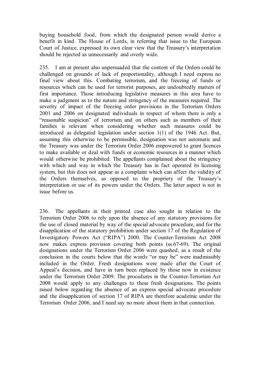buying household food, from which the designated person would derive a benefit in kind. The House of Lords, in referring that issue to the European Court of Justice, expressed its own clear view that the Treasury's interpretation should be rejected as unnecessarily and overly wide.

235. I am at present also unpersuaded that the content of the Orders could be challenged on grounds of lack of proportionality, although I need express no final view about this. Combating terrorism, and the freezing of funds or resources which can be used for terrorist purposes, are undoubtedly matters of first importance. Those introducing legislative measures in this area have to make a judgment as to the nature and stringency of the measures required. The severity of impact of the freezing order provisions in the Terrorism Orders 2001 and 2006 on designated individuals in respect of whom there is only a "reasonable suspicion" of terrorism and on others such as members of their families is relevant when considering whether such measures could be introduced as delegated legislation under section 1(1) of the 1946 Act. But, assuming this otherwise to be permissible, designation was not automatic and the Treasury was under the Terrorism Order 2006 empowered to grant licences to make available or deal with funds or economic resources in a manner which would otherwise be prohibited. The appellants complained about the stringency with which and way in which the Treasury has in fact operated its licensing system, but this does not appear as a complaint which can affect the validity of the Orders themselves, as opposed to the propriety of the Treasury's interpretation or use of its powers under the Orders. The latter aspect is not in issue before us.

236. The appellants in their printed case also sought in relation to the Terrorism Order 2006 to rely upon the absence of any statutory provisions for the use of closed material by way of the special advocate procedure, and for the disapplication of the statutory prohibition under section 17 of the Regulation of Investigatory Powers Act ("RIPA") 2000. The Counter-Terrorism Act 2008 now makes express provision covering both points (ss.67-69). The original designations under the Terrorism Order 2006 were quashed, as a result of the conclusion in the courts below that the words "or may be" were inadmissibly included in the Order. Fresh designations were made after the Court of Appeal's decision, and have in turn been replaced by those now in existence under the Terrorism Order 2009. The procedures in the Counter-Terrorism Act 2008 would apply to any challenges to these fresh designations. The points raised below regarding the absence of an express special advocate procedure and the disapplication of section 17 of RIPA are therefore academic under the Terrorism Order 2006, and I need say no more about them in that connection.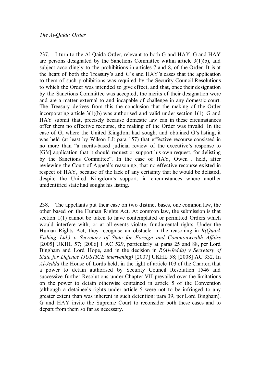237. I turn to the Al-Qaida Order, relevant to both G and HAY. G and HAY are persons designated by the Sanctions Committee within article  $3(1)(b)$ , and subject accordingly to the prohibitions in articles 7 and 8, of the Order. It is at the heart of both the Treasury's and G's and HAY's cases that the application to them of such prohibitions was required by the Security Council Resolutions to which the Order was intended to give effect, and that, once their designation by the Sanctions Committee was accepted, the merits of their designation were and are a matter external to and incapable of challenge in any domestic court. The Treasury derives from this the conclusion that the making of the Order incorporating article 3(1)(b) was authorised and valid under section 1(1). G and HAY submit that, precisely because domestic law can in these circumstances offer them no effective recourse, the making of the Order was invalid. In the case of G, where the United Kingdom had sought and obtained G's listing, it was held (at least by Wilson LJ: para 157) that effective recourse consisted in no more than "a merits-based judicial review of the executive's response to [G's] application that it should request or support his own request, for delisting by the Sanctions Committee". In the case of HAY, Owen J held, after reviewing the Court of Appeal's reasoning, that no effective recourse existed in respect of HAY, because of the lack of any certainty that he would be delisted, despite the United Kingdom's support, in circumstances where another unidentified state had sought his listing.

238. The appellants put their case on two distinct bases, one common law, the other based on the Human Rights Act. At common law, the submission is that section 1(1) cannot be taken to have contemplated or permitted Orders which would interfere with, or at all events violate, fundamental rights. Under the Human Rights Act, they recognise an obstacle in the reasoning in *R(Quark Fishing Ltd.) v Secretary of State for Foreign and Commonwealth Affairs* [2005] UKHL 57; [2006] 1 AC 529, particularly at paras 25 and 88, per Lord Bingham and Lord Hope, and in the decision in *R(Al-Jedda) v Secretary of State for Defence (JUSTICE intervening)* [2007] UKHL 58; [2008] AC 332. In *Al-Jedda* the House of Lords held, in the light of article 103 of the Charter, that a power to detain authorised by Security Council Resolution 1546 and successive further Resolutions under Chapter VII prevailed over the limitations on the power to detain otherwise contained in article 5 of the Convention (although a detainee's rights under article 5 were not to be infringed to any greater extent than was inherent in such detention: para 39, per Lord Bingham). G and HAY invite the Supreme Court to reconsider both these cases and to depart from them so far as necessary.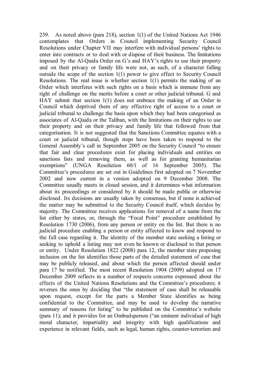239. As noted above (para 218), section 1(1) of the United Nations Act 1946 contemplates that Orders in Council implementing Security Council Resolutions under Chapter VII may interfere with individual persons' rights to enter into contracts or to deal with or dispose of their business. The limitations imposed by the Al-Qaida Order on G's and HAY's rights to use their property and on their privacy or family life were not, as such, of a character falling outside the scope of the section 1(1) power to give effect to Security Council Resolutions. The real issue is whether section 1(1) permits the making of an Order which interferes with such rights on a basis which is immune from any right of challenge on the merits before a court or other judicial tribunal. G and HAY submit that section 1(1) does not embrace the making of an Order in Council which deprived them of any effective right of access to a court or judicial tribunal to challenge the basis upon which they had been categorised as associates of Al-Qaida or the Taliban, with the limitations on their rights to use their property and on their privacy and family life that followed from that categorisation. It is not suggested that the Sanctions Committee equates with a court or judicial tribunal, though steps have been taken to respond to the General Assembly's call in September 2005 on the Security Council "to ensure that fair and clear procedures exist for placing individuals and entities on sanctions lists and removing them, as well as for granting humanitarian exemptions" (UNGA Resolution 60/1 of 16 September 2005). The Committee's procedures are set out in Guidelines first adopted on 7 November 2002 and now current in a version adopted on 9 December 2008. The Committee usually meets in closed session, and it determines what information about its proceedings or considered by it should be made public or otherwise disclosed. Its decisions are usually taken by consensus, but if none is achieved the matter may be submitted to the Security Council itself, which decides by majority. The Committee receives applications for removal of a name from the list either by states, or, through the "Focal Point" procedure established by Resolution 1730 (2006), from any person or entity on the list. But there is no judicial procedure enabling a person or entity affected to know and respond to the full case regarding it. The identity of the member state seeking a listing or seeking to uphold a listing may not even be known or disclosed to that person or entity. Under Resolution 1822 (2008) para 12, the member state proposing inclusion on the list identifies those parts of the detailed statement of case that may be publicly released, and about which the person affected should under para 17 be notified. The most recent Resolution 1904 (2009) adopted on 17 December 2009 reflects in a number of respects concerns expressed about the effects of the United Nations Resolutions and the Committee's procedures; it reverses the onus by deciding that "the statement of case shall be releasable upon request, except for the parts a Member State identifies as being confidential to the Committee, and may be used to develop the narrative summary of reasons for listing" to be published on the Committee's website (para 11); and it provides for an Ombudsperson ("an eminent individual of high moral character, impartiality and integrity with high qualifications and experience in relevant fields, such as legal, human rights, counter-terrorism and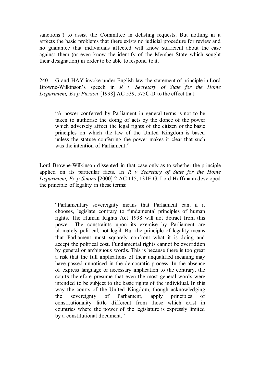sanctions") to assist the Committee in delisting requests. But nothing in it affects the basic problems that there exists no judicial procedure for review and no guarantee that individuals affected will know sufficient about the case against them (or even know the identify of the Member State which sought their designation) in order to be able to respond to it.

240. G and HAY invoke under English law the statement of principle in Lord Browne-Wilkinson's speech in *R v Secretary of State for the Home Department, Ex p Pierson* [1998] AC 539, 575C-D to the effect that:

"A power conferred by Parliament in general terms is not to be taken to authorise the doing of acts by the donee of the power which adversely affect the legal rights of the citizen or the basic principles on which the law of the United Kingdom is based unless the statute conferring the power makes it clear that such was the intention of Parliament."

Lord Browne-Wilkinson dissented in that case only as to whether the principle applied on its particular facts. In *R v Secretary of State for the Home Department, Ex p Simms* [2000] 2 AC 115, 131E-G, Lord Hoffmann developed the principle of legality in these terms:

"Parliamentary sovereignty means that Parliament can, if it chooses, legislate contrary to fundamental principles of human rights. The Human Rights Act 1998 will not detract from this power. The constraints upon its exercise by Parliament are ultimately political, not legal. But the principle of legality means that Parliament must squarely confront what it is doing and accept the political cost. Fundamental rights cannot be overridden by general or ambiguous words. This is because there is too great a risk that the full implications of their unqualified meaning may have passed unnoticed in the democratic process. In the absence of express language or necessary implication to the contrary, the courts therefore presume that even the most general words were intended to be subject to the basic rights of the individual. In this way the courts of the United Kingdom, though acknowledging the sovereignty of Parliament, apply principles of constitutionality little different from those which exist in countries where the power of the legislature is expressly limited by a constitutional document."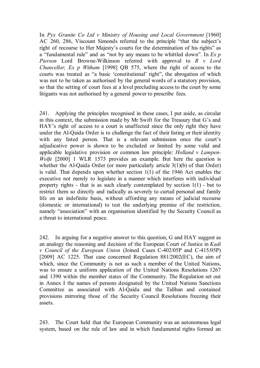In *Pyx Granite Co Ltd v Ministry of Housing and Local Government* [1960] AC 260, 286, Viscount Simonds referred to the principle "that the subject's right of recourse to Her Majesty's courts for the determination of his rights" as a "fundamental rule" and as "not by any means to be whittled down". In *Ex p Pierson* Lord Browne-Wilkinson referred with approval to *R v Lord Chancellor, Ex p Witham* [1998] QB 575, where the right of access to the courts was treated as "a basic 'constitutional' right", the abrogation of which was not to be taken as authorised by the general words of a statutory provision, so that the setting of court fees at a level precluding access to the court by some litigants was not authorised by a general power to prescribe fees.

241. Applying the principles recognised in these cases, I put aside, as circular in this context, the submission made by Mr Swift for the Treasury that G's and HAY's right of access to a court is unaffected since the only right they have under the Al-Qaida Order is to challenge the fact of their listing or their identity with any listed person. That is a relevant submission once the court's adjudicative power is shown to be excluded or limited by some valid and applicable legislative provision or common law principle: *Holland v Lampen-Wolfe* [2000] 1 WLR 1573 provides an example. But here the question is whether the Al-Qaida Order (or more particularly article 3(1)(b) of that Order) is valid. That depends upon whether section 1(1) of the 1946 Act enables the executive not merely to legislate in a manner which interferes with individual property rights - that is as such clearly contemplated by section 1(1) - but to restrict them so directly and radically as severely to curtail personal and family life on an indefinite basis, without affording any means of judicial recourse (domestic or international) to test the underlying premise of the restriction, namely "association" with an organisation identified by the Security Council as a threat to international peace.

242. In arguing for a negative answer to this question, G and HAY suggest as an analogy the reasoning and decision of the European Court of Justice in *Kadi v Council of the European Union* (Joined Cases C-402/05P and C-415/05P) [2009] AC 1225. That case concerned Regulation 881/2002(EC), the aim of which, since the Community is not as such a member of the United Nations, was to ensure a uniform application of the United Nations Resolutions 1267 and 1390 within the member states of the Community. The Regulation set out in Annex I the names of persons designated by the United Nations Sanctions Committee as associated with Al-Qaida and the Taliban and contained provisions mirroring those of the Security Council Resolutions freezing their assets.

243. The Court held that the European Community was an autonomous legal system, based on the rule of law and in which fundamental rights formed an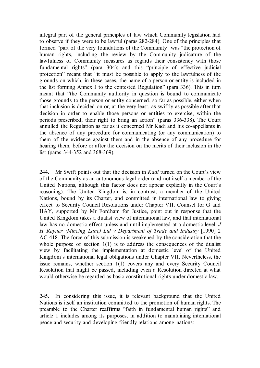integral part of the general principles of law which Community legislation had to observe if they were to be lawful (paras 282-284). One of the principles that formed "part of the very foundations of the Community" was "the protection of human rights, including the review by the Community judicature of the lawfulness of Community measures as regards their consistency with those fundamental rights" (para 304); and this "principle of effective judicial protection" meant that "it must be possible to apply to the lawfulness of the grounds on which, in these cases, the name of a person or entity is included in the list forming Annex I to the contested Regulation" (para 336). This in turn meant that "the Community authority in question is bound to communicate those grounds to the person or entity concerned, so far as possible, either when that inclusion is decided on or, at the very least, as swiftly as possible after that decision in order to enable those persons or entities to exercise, within the periods prescribed, their right to bring an action" (paras 336-338). The Court annulled the Regulation as far as it concerned Mr Kadi and his co-appellants in the absence of any procedure for communicating (or any communication) to them of the evidence against them and in the absence of any procedure for hearing them, before or after the decision on the merits of their inclusion in the list (paras 344-352 and 368-369).

244. Mr Swift points out that the decision in *Kadi* turned on the Court's view of the Community as an autonomous legal order (and not itself a member of the United Nations, although this factor does not appear explicitly in the Court's reasoning). The United Kingdom is, in contrast, a member of the United Nations, bound by its Charter, and committed in international law to giving effect to Security Council Resolutions under Chapter VII. Counsel for G and HAY, supported by Mr Fordham for Justice, point out in response that the United Kingdom takes a dualist view of international law, and that international law has no domestic effect unless and until implemented at a domestic level: *J H Rayner (Mincing Lane) Ltd v Department of Trade and Industry* [1990] 2 AC 418. The force of this submission is weakened by the consideration that the whole purpose of section  $1(1)$  is to address the consequences of the dualist view by facilitating the implementation at domestic level of the United Kingdom's international legal obligations under Chapter VII. Nevertheless, the issue remains, whether section 1(1) covers any and every Security Council Resolution that might be passed, including even a Resolution directed at what would otherwise be regarded as basic constitutional rights under domestic law.

245. In considering this issue, it is relevant background that the United Nations is itself an institution committed to the promotion of human rights. The preamble to the Charter reaffirms "faith in fundamental human rights" and article 1 includes among its purposes, in addition to maintaining international peace and security and developing friendly relations among nations: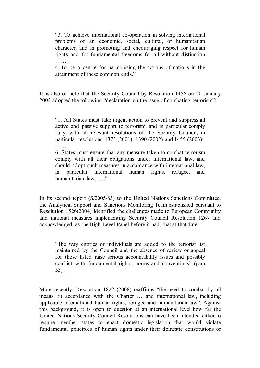"3. To achieve international co-operation in solving international problems of an economic, social, cultural, or humanitarian character, and in promoting and encouraging respect for human rights and for fundamental freedoms for all without distinction ……

4 To be a centre for harmonising the actions of nations in the attainment of these common ends."

It is also of note that the Security Council by Resolution 1456 on 20 January 2003 adopted the following "declaration on the issue of combating terrorism":

"1. All States must take urgent action to prevent and suppress all active and passive support to terrorism, and in particular comply fully with all relevant resolutions of the Security Council, in particular resolutions 1373 (2001), 1390 (2002) and 1455 (2003): ……

6. States must ensure that any measure taken to combat terrorism comply with all their obligations under international law, and should adopt such measures in accordance with international law, in particular international human rights, refugee, and humanitarian law; …."

In its second report (S/2005/83) to the United Nations Sanctions Committee, the Analytical Support and Sanctions Monitoring Team established pursuant to Resolution 1526(2004) identified the challenges made to European Community and national measures implementing Security Council Resolution 1267 and acknowledged, as the High Level Panel before it had, that at that date:

"The way entities or individuals are added to the terrorist list maintained by the Council and the absence of review or appeal for those listed raise serious accountability issues and possibly conflict with fundamental rights, norms and conventions" (para 53).

More recently, Resolution 1822 (2008) reaffirms "the need to combat by all means, in accordance with the Charter … and international law, including applicable international human rights, refugee and humanitarian law". Against this background, it is open to question at an international level how far the United Nations Security Council Resolutions can have been intended either to require member states to enact domestic legislation that would violate fundamental principles of human rights under their domestic constitutions or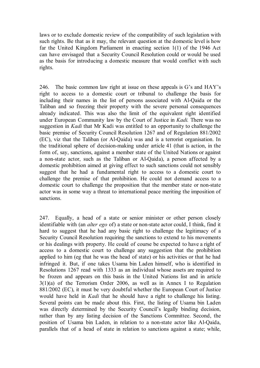laws or to exclude domestic review of the compatibility of such legislation with such rights. Be that as it may, the relevant question at the domestic level is how far the United Kingdom Parliament in enacting section 1(1) of the 1946 Act can have envisaged that a Security Council Resolution could or would be used as the basis for introducing a domestic measure that would conflict with such rights.

246. The basic common law right at issue on these appeals is G's and HAY's right to access to a domestic court or tribunal to challenge the basis for including their names in the list of persons associated with Al-Qaida or the Taliban and so freezing their property with the severe personal consequences already indicated. This was also the limit of the equivalent right identified under European Community law by the Court of Justice in *Kadi.* There was no suggestion in *Kadi* that Mr Kadi was entitled to an opportunity to challenge the basic premise of Security Council Resolution 1267 and of Regulation 881/2002 (EC), viz that the Taliban (or Al-Qaida) was and is a terrorist organisation. In the traditional sphere of decision-making under article 41 (that is action, in the form of, say, sanctions, against a member state of the United Nations or against a non-state actor, such as the Taliban or Al-Qaida), a person affected by a domestic prohibition aimed at giving effect to such sanctions could not sensibly suggest that he had a fundamental right to access to a domestic court to challenge the premise of that prohibition. He could not demand access to a domestic court to challenge the proposition that the member state or non-state actor was in some way a threat to international peace meriting the imposition of sanctions.

247. Equally, a head of a state or senior minister or other person closely identifiable with (an *alter ego* of) a state or non-state actor could, I think, find it hard to suggest that he had any basic right to challenge the legitimacy of a Security Council Resolution requiring the sanctions to extend to his movements or his dealings with property. He could of course be expected to have a right of access to a domestic court to challenge any suggestion that the prohibition applied to him (eg that he was the head of state) or his activities or that he had infringed it. But, if one takes Usama bin Laden himself, who is identified in Resolutions 1267 read with 1333 as an individual whose assets are required to be frozen and appears on this basis in the United Nations list and in article 3(1)(a) of the Terrorism Order 2006, as well as in Annex I to Regulation 881/2002 (EC), it must be very doubtful whether the European Court of Justice would have held in *Kadi* that he should have a right to challenge his listing. Several points can be made about this. First, the listing of Usama bin Laden was directly determined by the Security Council's legally binding decision, rather than by any listing decision of the Sanctions Committee. Second, the position of Usama bin Laden, in relation to a non-state actor like Al-Qaida, parallels that of a head of state in relation to sanctions against a state; while,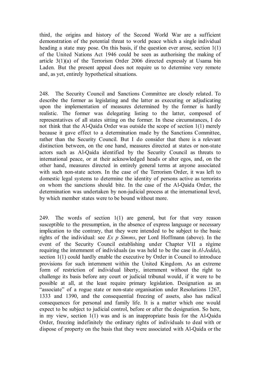third, the origins and history of the Second World War are a sufficient demonstration of the potential threat to world peace which a single individual heading a state may pose. On this basis, if the question ever arose, section 1(1) of the United Nations Act 1946 could be seen as authorising the making of article 3(1)(a) of the Terrorism Order 2006 directed expressly at Usama bin Laden. But the present appeal does not require us to determine very remote and, as yet, entirely hypothetical situations.

248. The Security Council and Sanctions Committee are closely related. To describe the former as legislating and the latter as executing or adjudicating upon the implementation of measures determined by the former is hardly realistic. The former was delegating listing to the latter, composed of representatives of all states sitting on the former. In these circumstances, I do not think that the Al-Qaida Order was outside the scope of section 1(1) merely because it gave effect to a determination made by the Sanctions Committee, rather than the Security Council. But I do consider that there is a relevant distinction between, on the one hand, measures directed at states or non-state actors such as Al-Qaida identified by the Security Council as threats to international peace, or at their acknowledged heads or alter egos, and, on the other hand, measures directed in entirely general terms at anyone associated with such non-state actors. In the case of the Terrorism Order, it was left to domestic legal systems to determine the identity of persons active as terrorists on whom the sanctions should bite. In the case of the Al-Qaida Order, the determination was undertaken by non-judicial process at the international level, by which member states were to be bound without more.

249. The words of section 1(1) are general, but for that very reason susceptible to the presumption, in the absence of express language or necessary implication to the contrary, that they were intended to be subject to the basic rights of the individual: see *Ex p Simms*, per Lord Hoffmann (above). In the event of the Security Council establishing under Chapter VII a régime requiring the internment of individuals (as was held to be the case in *Al-Jedda*), section 1(1) could hardly enable the executive by Order in Council to introduce provisions for such internment within the United Kingdom. As an extreme form of restriction of individual liberty, internment without the right to challenge its basis before any court or judicial tribunal would, if it were to be possible at all, at the least require primary legislation. Designation as an "associate" of a rogue state or non-state organisation under Resolutions 1267, 1333 and 1390, and the consequential freezing of assets, also has radical consequences for personal and family life. It is a matter which one would expect to be subject to judicial control, before or after the designation. So here, in my view, section 1(1) was and is an inappropriate basis for the Al-Qaida Order, freezing indefinitely the ordinary rights of individuals to deal with or dispose of property on the basis that they were associated with Al-Qaida or the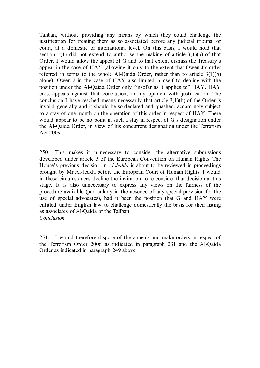Taliban, without providing any means by which they could challenge the justification for treating them as so associated before any judicial tribunal or court, at a domestic or international level. On this basis, I would hold that section 1(1) did not extend to authorise the making of article  $3(1)(b)$  of that Order. I would allow the appeal of G and to that extent dismiss the Treasury's appeal in the case of HAY (allowing it only to the extent that Owen J's order referred in terms to the whole Al-Qaida Order, rather than to article 3(1)(b) alone). Owen J in the case of HAY also limited himself to dealing with the position under the Al-Qaida Order only "insofar as it applies to" HAY. HAY cross-appeals against that conclusion, in my opinion with justification. The conclusion I have reached means necessarily that article 3(1)(b) of the Order is invalid generally and it should be so declared and quashed, accordingly subject to a stay of one month on the operation of this order in respect of HAY. There would appear to be no point in such a stay in respect of G's designation under the Al-Qaida Order, in view of his concurrent designation under the Terrorism Act 2009.

250. This makes it unnecessary to consider the alternative submissions developed under article 5 of the European Convention on Human Rights. The House's previous decision in *Al-Jedda* is about to be reviewed in proceedings brought by Mr Al-Jedda before the European Court of Human Rights. I would in these circumstances decline the invitation to re-consider that decision at this stage. It is also unnecessary to express any views on the fairness of the procedure available (particularly in the absence of any special provision for the use of special advocates), had it been the position that G and HAY were entitled under English law to challenge domestically the basis for their listing as associates of Al-Qaida or the Taliban.

*Conclusion*

251. I would therefore dispose of the appeals and make orders in respect of the Terrorism Order 2006 as indicated in paragraph 231 and the Al-Qaida Order as indicated in paragraph 249 above.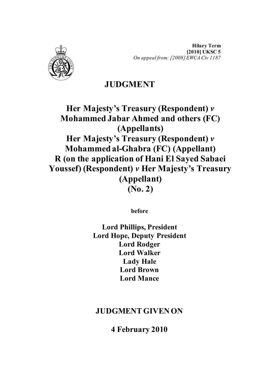

# **JUDGMENT**

**Her Majesty's Treasury (Respondent)** *v* **Mohammed Jabar Ahmed and others (FC) (Appellants) Her Majesty's Treasury (Respondent)** *v* **Mohammed al-Ghabra (FC) (Appellant) R (on the application of Hani El Sayed Sabaei Youssef) (Respondent)** *v* **Her Majesty's Treasury (Appellant) (No. 2)** 

**before** 

**Lord Phillips, President Lord Hope, Deputy President Lord Rodger Lord Walker Lady Hale Lord Brown Lord Mance**

## **JUDGMENT GIVEN ON**

**4 February 2010**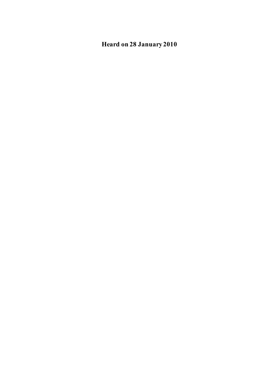**Heard on 28 January 2010**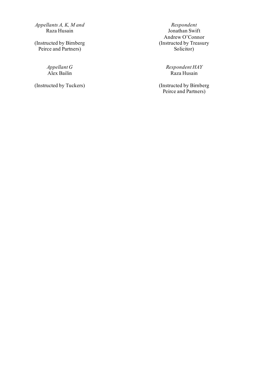*Appellants A, K, M and* Respondent<br>Raza Husain **Raza Busain** Jonathan Swif

(Instructed by Birnberg Peirce and Partners)

Appellant G<br>Alex Bailin

Jonathan Swift Andrew O'Connor (Instructed by Treasury Solicitor)

*Appellant G Respondent HAY*

(Instructed by Tuckers) (Instructed by Birnberg Peirce and Partners)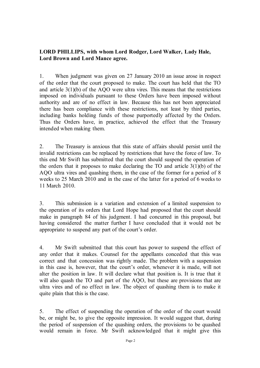## **LORD PHILLIPS, with whom Lord Rodger, Lord Walker, Lady Hale, Lord Brown and Lord Mance agree.**

1. When judgment was given on 27 January 2010 an issue arose in respect of the order that the court proposed to make. The court has held that the TO and article 3(1)(b) of the AQO were ultra vires*.* This means that the restrictions imposed on individuals pursuant to these Orders have been imposed without authority and are of no effect in law. Because this has not been appreciated there has been compliance with these restrictions, not least by third parties, including banks holding funds of those purportedly affected by the Orders. Thus the Orders have, in practice, achieved the effect that the Treasury intended when making them.

2. The Treasury is anxious that this state of affairs should persist until the invalid restrictions can be replaced by restrictions that have the force of law. To this end Mr Swift has submitted that the court should suspend the operation of the orders that it proposes to make declaring the TO and article  $3(1)(b)$  of the AQO ultra vires and quashing them, in the case of the former for a period of 8 weeks to 25 March 2010 and in the case of the latter for a period of 6 weeks to 11 March 2010.

3. This submission is a variation and extension of a limited suspension to the operation of its orders that Lord Hope had proposed that the court should make in paragraph 84 of his judgment. I had concurred in this proposal, but having considered the matter further I have concluded that it would not be appropriate to suspend any part of the court's order.

4. Mr Swift submitted that this court has power to suspend the effect of any order that it makes. Counsel for the appellants conceded that this was correct and that concession was rightly made. The problem with a suspension in this case is, however, that the court's order, whenever it is made, will not alter the position in law. It will declare what that position is. It is true that it will also quash the TO and part of the AQO, but these are provisions that are ultra vires and of no effect in law. The object of quashing them is to make it quite plain that this is the case.

5. The effect of suspending the operation of the order of the court would be, or might be, to give the opposite impression. It would suggest that, during the period of suspension of the quashing orders, the provisions to be quashed would remain in force. Mr Swift acknowledged that it might give this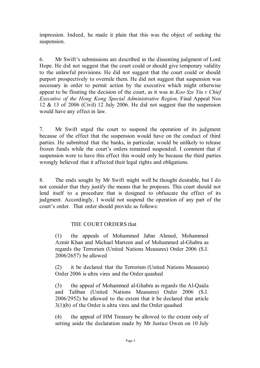impression. Indeed, he made it plain that this was the object of seeking the suspension.

6. Mr Swift's submissions are described in the dissenting judgment of Lord Hope. He did not suggest that the court could or should give temporary validity to the unlawful provisions. He did not suggest that the court could or should purport prospectively to overrule them. He did not suggest that suspension was necessary in order to permit action by the executive which might otherwise appear to be flouting the decision of the court, as it was in *Koo Sze Yiu v Chief Executive of the Hong Kong Special Administrative Region, Final Appeal Nos* 12 & 13 of 2006 (Civil) 12 July 2006. He did not suggest that the suspension would have any effect in law.

7. Mr Swift urged the court to suspend the operation of its judgment because of the effect that the suspension would have on the conduct of third parties. He submitted that the banks, in particular, would be unlikely to release frozen funds while the court's orders remained suspended. I comment that if suspension were to have this effect this would only be because the third parties wrongly believed that it affected their legal rights and obligations.

8. The ends sought by Mr Swift might well be thought desirable, but I do not consider that they justify the means that he proposes. This court should not lend itself to a procedure that is designed to obfuscate the effect of its judgment. Accordingly, I would not suspend the operation of any part of the court's order. That order should provide as follows:

## THE COURT ORDERS that

(1) the appeals of Mohammed Jabar Ahmed, Mohammed Azmir Khan and Michael Marteen and of Mohammed al-Ghabra as regards the Terrorism (United Nations Measures) Order 2006 (S.I. 2006/2657) be allowed

(2) it be declared that the Terrorism (United Nations Measures) Order 2006 is ultra vires and the Order quashed

(3) the appeal of Mohammed al-Ghabra as regards the Al-Qaida and Taliban (United Nations Measures) Order 2006 (S.I. 2006/2952) be allowed to the extent that it be declared that article 3(1)(b) of the Order is ultra vires and the Order quashed

(4) the appeal of HM Treasury be allowed to the extent only of setting aside the declaration made by Mr Justice Owen on 10 July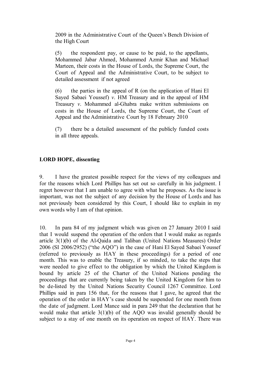2009 in the Administrative Court of the Queen's Bench Division of the High Court

(5) the respondent pay, or cause to be paid, to the appellants, Mohammed Jabar Ahmed, Mohammed Azmir Khan and Michael Marteen, their costs in the House of Lords, the Supreme Court, the Court of Appeal and the Administrative Court, to be subject to detailed assessment if not agreed

(6) the parties in the appeal of R (on the application of Hani El Sayed Sabaei Youssef) *v*. HM Treasury and in the appeal of HM Treasury *v*. Mohammed al-Ghabra make written submissions on costs in the House of Lords, the Supreme Court, the Court of Appeal and the Administrative Court by 18 February 2010

(7) there be a detailed assessment of the publicly funded costs in all three appeals.

## **LORD HOPE, dissenting**

9. I have the greatest possible respect for the views of my colleagues and for the reasons which Lord Phillips has set out so carefully in his judgment. I regret however that I am unable to agree with what he proposes. As the issue is important, was not the subject of any decision by the House of Lords and has not previously been considered by this Court, I should like to explain in my own words why I am of that opinion.

10. In para 84 of my judgment which was given on 27 January 2010 I said that I would suspend the operation of the orders that I would make as regards article 3(1)(b) of the Al-Qaida and Taliban (United Nations Measures) Order 2006 (SI 2006/2952) ("the AQO") in the case of Hani El Sayed Sabaei Youssef (referred to previously as HAY in these proceedings) for a period of one month. This was to enable the Treasury, if so minded, to take the steps that were needed to give effect to the obligation by which the United Kingdom is bound by article 25 of the Charter of the United Nations pending the proceedings that are currently being taken by the United Kingdom for him to be de-listed by the United Nations Security Council 1267 Committee. Lord Phillips said in para 156 that, for the reasons that I gave, he agreed that the operation of the order in HAY's case should be suspended for one month from the date of judgment. Lord Mance said in para 249 that the declaration that he would make that article 3(1)(b) of the AQO was invalid generally should be subject to a stay of one month on its operation on respect of HAY. There was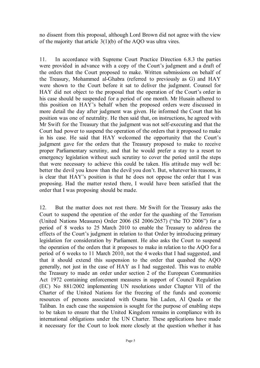no dissent from this proposal, although Lord Brown did not agree with the view of the majority that article 3(1)(b) of the AQO was ultra vires.

11. In accordance with Supreme Court Practice Direction 6.8.3 the parties were provided in advance with a copy of the Court's judgment and a draft of the orders that the Court proposed to make. Written submissions on behalf of the Treasury, Mohammed al-Ghabra (referred to previously as G) and HAY were shown to the Court before it sat to deliver the judgment. Counsel for HAY did not object to the proposal that the operation of the Court's order in his case should be suspended for a period of one month. Mr Husain adhered to this position on HAY's behalf when the proposed orders were discussed in more detail the day after judgment was given. He informed the Court that his position was one of neutrality. He then said that, on instructions, he agreed with Mr Swift for the Treasury that the judgment was not self-executing and that the Court had power to suspend the operation of the orders that it proposed to make in his case. He said that HAY welcomed the opportunity that the Court's judgment gave for the orders that the Treasury proposed to make to receive proper Parliamentary scrutiny, and that he would prefer a stay to a resort to emergency legislation without such scrutiny to cover the period until the steps that were necessary to achieve this could be taken. His attitude may well be: better the devil you know than the devil you don't. But, whatever his reasons, it is clear that HAY's position is that he does not oppose the order that I was proposing. Had the matter rested there, I would have been satisfied that the order that I was proposing should be made.

12. But the matter does not rest there. Mr Swift for the Treasury asks the Court to suspend the operation of the order for the quashing of the Terrorism (United Nations Measures) Order 2006 (SI 2006/2657) ("the TO 2006") for a period of 8 weeks to 25 March 2010 to enable the Treasury to address the effects of the Court's judgment in relation to that Order by introducing primary legislation for consideration by Parliament. He also asks the Court to suspend the operation of the orders that it proposes to make in relation to the AQO for a period of 6 weeks to 11 March 2010, not the 4 weeks that I had suggested, and that it should extend this suspension to the order that quashed the AQO generally, not just in the case of HAY as I had suggested. This was to enable the Treasury to made an order under section 2 of the European Communities Act 1972 containing enforcement measures in support of Council Regulation (EC) No 881/2002 implementing UN resolutions under Chapter VII of the Charter of the United Nations for the freezing of the funds and economic resources of persons associated with Osama bin Laden, Al Qaeda or the Taliban. In each case the suspension is sought for the purpose of enabling steps to be taken to ensure that the United Kingdom remains in compliance with its international obligations under the UN Charter. These applications have made it necessary for the Court to look more closely at the question whether it has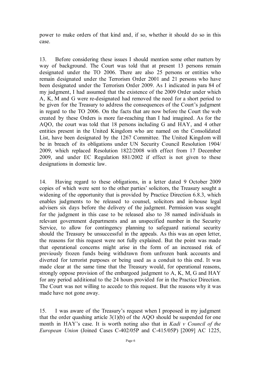power to make orders of that kind and, if so, whether it should do so in this case.

13. Before considering these issues I should mention some other matters by way of background. The Court was told that at present 13 persons remain designated under the TO 2006. There are also 25 persons or entities who remain designated under the Terrorism Order 2001 and 21 persons who have been designated under the Terrorism Order 2009. As I indicated in para 84 of my judgment, I had assumed that the existence of the 2009 Order under which A, K, M and G were re-designated had removed the need for a short period to be given for the Treasury to address the consequences of the Court's judgment in regard to the TO 2006. On the facts that are now before the Court the web created by these Orders is more far-reaching than I had imagined. As for the AQO, the court was told that 18 persons including G and HAY, and 4 other entities present in the United Kingdom who are named on the Consolidated List, have been designated by the 1267 Committee. The United Kingdom will be in breach of its obligations under UN Security Council Resolution 1904/ 2009, which replaced Resolution 1822/2008 with effect from 17 December 2009, and under EC Regulation 881/2002 if effect is not given to these designations in domestic law.

14. Having regard to these obligations, in a letter dated 9 October 2009 copies of which were sent to the other parties' solicitors, the Treasury sought a widening of the opportunity that is provided by Practice Direction 6.8.3, which enables judgments to be released to counsel, solicitors and in-house legal advisers six days before the delivery of the judgment. Permission was sought for the judgment in this case to be released also to 38 named individuals in relevant government departments and an unspecified number in the Security Service, to allow for contingency planning to safeguard national security should the Treasury be unsuccessful in the appeals. As this was an open letter, the reasons for this request were not fully explained. But the point was made that operational concerns might arise in the form of an increased risk of previously frozen funds being withdrawn from unfrozen bank accounts and diverted for terrorist purposes or being used as a conduit to this end. It was made clear at the same time that the Treasury would, for operational reasons, strongly oppose provision of the embargoed judgment to A, K, M, G and HAY for any period additional to the 24 hours provided for in the Practice Direction. The Court was not willing to accede to this request. But the reasons why it was made have not gone away.

15. I was aware of the Treasury's request when I proposed in my judgment that the order quashing article  $3(1)(b)$  of the AQO should be suspended for one month in HAY's case. It is worth noting also that in *Kadi v Council of the European Union* (Joined Cases C-402/05P and C-415/05P) [2009] AC 1225,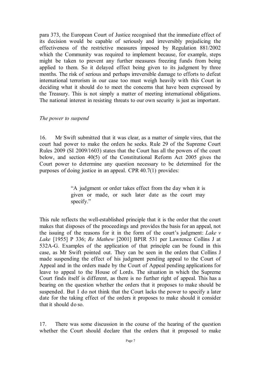para 373, the European Court of Justice recognised that the immediate effect of its decision would be capable of seriously and irreversibly prejudicing the effectiveness of the restrictive measures imposed by Regulation 881/2002 which the Community was required to implement because, for example, steps might be taken to prevent any further measures freezing funds from being applied to them. So it delayed effect being given to its judgment by three months. The risk of serious and perhaps irreversible damage to efforts to defeat international terrorism in our case too must weigh heavily with this Court in deciding what it should do to meet the concerns that have been expressed by the Treasury. This is not simply a matter of meeting international obligations. The national interest in resisting threats to our own security is just as important.

## *The power to suspend*

16. Mr Swift submitted that it was clear, as a matter of simple vires, that the court had power to make the orders he seeks. Rule 29 of the Supreme Court Rules 2009 (SI 2009/1603) states that the Court has all the powers of the court below, and section 40(5) of the Constitutional Reform Act 2005 gives the Court power to determine any question necessary to be determined for the purposes of doing justice in an appeal. CPR 40.7(1) provides:

> "A judgment or order takes effect from the day when it is given or made, or such later date as the court may specify."

This rule reflects the well-established principle that it is the order that the court makes that disposes of the proceedings and provides the basis for an appeal, not the issuing of the reasons for it in the form of the court's judgment: *Lake v Lake* [1955] P 336; *Re Mathew* [2001] BPIR 531 per Lawrence Collins J at 532A-G. Examples of the application of that principle can be found in this case, as Mr Swift pointed out. They can be seen in the orders that Collins J made suspending the effect of his judgment pending appeal to the Court of Appeal and in the orders made by the Court of Appeal pending applications for leave to appeal to the House of Lords. The situation in which the Supreme Court finds itself is different, as there is no further right of appeal. This has a bearing on the question whether the orders that it proposes to make should be suspended. But I do not think that the Court lacks the power to specify a later date for the taking effect of the orders it proposes to make should it consider that it should do so.

17. There was some discussion in the course of the hearing of the question whether the Court should declare that the orders that it proposed to make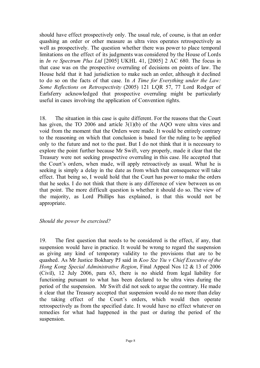should have effect prospectively only. The usual rule, of course, is that an order quashing an order or other measure as ultra vires operates retrospectively as well as prospectively. The question whether there was power to place temporal limitations on the effect of its judgments was considered by the House of Lords in *In re Spectrum Plus Ltd* [2005] UKHL 41, [2005] 2 AC 680. The focus in that case was on the prospective overruling of decisions on points of law. The House held that it had jurisdiction to make such an order, although it declined to do so on the facts of that case. In *A Time for Everything under the Law: Some Reflections on Retrospectivity* (2005) 121 LQR 57, 77 Lord Rodger of Earlsferry acknowledged that prospective overruling might be particularly useful in cases involving the application of Convention rights.

18. The situation in this case is quite different. For the reasons that the Court has given, the TO 2006 and article 3(1)(b) of the AQO were ultra vires and void from the moment that the Orders were made. It would be entirely contrary to the reasoning on which that conclusion is based for the ruling to be applied only to the future and not to the past. But I do not think that it is necessary to explore the point further because Mr Swift, very properly, made it clear that the Treasury were not seeking prospective overruling in this case. He accepted that the Court's orders, when made, will apply retroactively as usual. What he is seeking is simply a delay in the date as from which that consequence will take effect. That being so, I would hold that the Court has power to make the orders that he seeks. I do not think that there is any difference of view between us on that point. The more difficult question is whether it should do so. The view of the majority, as Lord Phillips has explained, is that this would not be appropriate.

## *Should the power be exercised?*

19. The first question that needs to be considered is the effect, if any, that suspension would have in practice. It would be wrong to regard the suspension as giving any kind of temporary validity to the provisions that are to be quashed. As Mr Justice Bokhary PJ said in *Koo Sze Yiu v Chief Executive of the Hong Kong Special Administrative Region*, Final Appeal Nos 12 & 13 of 2006 (Civil), 12 July 2006, para 63, there is no shield from legal liability for functioning pursuant to what has been declared to be ultra vires during the period of the suspension. Mr Swift did not seek to argue the contrary. He made it clear that the Treasury accepted that suspension would do no more than delay the taking effect of the Court's orders, which would then operate retrospectively as from the specified date. It would have no effect whatever on remedies for what had happened in the past or during the period of the suspension.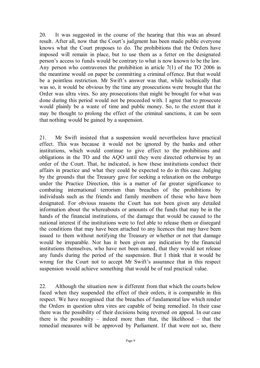20. It was suggested in the course of the hearing that this was an absurd result. After all, now that the Court's judgment has been made public everyone knows what the Court proposes to do. The prohibitions that the Orders have imposed will remain in place, but to use them as a fetter on the designated person's access to funds would be contrary to what is now known to be the law. Any person who contravenes the prohibition in article 7(1) of the TO 2006 in the meantime would on paper be committing a criminal offence. But that would be a pointless restriction. Mr Swift's answer was that, while technically that was so, it would be obvious by the time any prosecutions were brought that the Order was ultra vires. So any prosecutions that might be brought for what was done during this period would not be proceeded with. I agree that to prosecute would plainly be a waste of time and public money. So, to the extent that it may be thought to prolong the effect of the criminal sanctions, it can be seen that nothing would be gained by a suspension.

21. Mr Swift insisted that a suspension would nevertheless have practical effect. This was because it would not be ignored by the banks and other institutions, which would continue to give effect to the prohibitions and obligations in the TO and the AQO until they were directed otherwise by an order of the Court. That, he indicated, is how these institutions conduct their affairs in practice and what they could be expected to do in this case. Judging by the grounds that the Treasury gave for seeking a relaxation on the embargo under the Practice Direction, this is a matter of far greater significance to combating international terrorism than breaches of the prohibitions by individuals such as the friends and family members of those who have been designated. For obvious reasons the Court has not been given any detailed information about the whereabouts or amounts of the funds that may be in the hands of the financial institutions, of the damage that would be caused to the national interest if the institutions were to feel able to release them or disregard the conditions that may have been attached to any licences that may have been issued to them without notifying the Treasury or whether or not that damage would be irreparable. Nor has it been given any indication by the financial institutions themselves, who have not been named, that they would not release any funds during the period of the suspension. But I think that it would be wrong for the Court not to accept Mr Swift's assurance that in this respect suspension would achieve something that would be of real practical value.

22. Although the situation now is different from that which the courts below faced when they suspended the effect of their orders, it is comparable in this respect. We have recognised that the breaches of fundamental law which render the Orders in question ultra vires are capable of being remedied. In their case there was the possibility of their decisions being reversed on appeal. In our case there is the possibility – indeed more than that, the likelihood – that the remedial measures will be approved by Parliament. If that were not so, there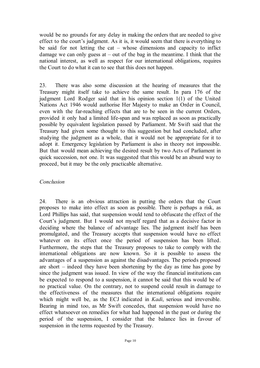would be no grounds for any delay in making the orders that are needed to give effect to the court's judgment. As it is, it would seem that there is everything to be said for not letting the cat – whose dimensions and capacity to inflict damage we can only guess at  $-$  out of the bag in the meantime. I think that the national interest, as well as respect for our international obligations, requires the Court to do what it can to see that this does not happen.

23. There was also some discussion at the hearing of measures that the Treasury might itself take to achieve the same result. In para 176 of the judgment Lord Rodger said that in his opinion section 1(1) of the United Nations Act 1946 would authorise Her Majesty to make an Order in Council, even with the far-reaching effects that are to be seen in the current Orders, provided it only had a limited life-span and was replaced as soon as practically possible by equivalent legislation passed by Parliament. Mr Swift said that the Treasury had given some thought to this suggestion but had concluded, after studying the judgment as a whole, that it would not be appropriate for it to adopt it. Emergency legislation by Parliament is also in theory not impossible. But that would mean achieving the desired result by two Acts of Parliament in quick succession, not one. It was suggested that this would be an absurd way to proceed, but it may be the only practicable alternative.

## *Conclusion*

24. There is an obvious attraction in putting the orders that the Court proposes to make into effect as soon as possible. There is perhaps a risk, as Lord Phillips has said, that suspension would tend to obfuscate the effect of the Court's judgment. But I would not myself regard that as a decisive factor in deciding where the balance of advantage lies. The judgment itself has been promulgated, and the Treasury accepts that suspension would have no effect whatever on its effect once the period of suspension has been lifted. Furthermore, the steps that the Treasury proposes to take to comply with the international obligations are now known. So it is possible to assess the advantages of a suspension as against the disadvantages. The periods proposed are short – indeed they have been shortening by the day as time has gone by since the judgment was issued. In view of the way the financial institutions can be expected to respond to a suspension, it cannot be said that this would be of no practical value. On the contrary, not to suspend could result in damage to the effectiveness of the measures that the international obligations require which might well be, as the ECJ indicated in *Kadi*, serious and irreversible. Bearing in mind too, as Mr Swift concedes, that suspension would have no effect whatsoever on remedies for what had happened in the past or during the period of the suspension, I consider that the balance lies in favour of suspension in the terms requested by the Treasury.